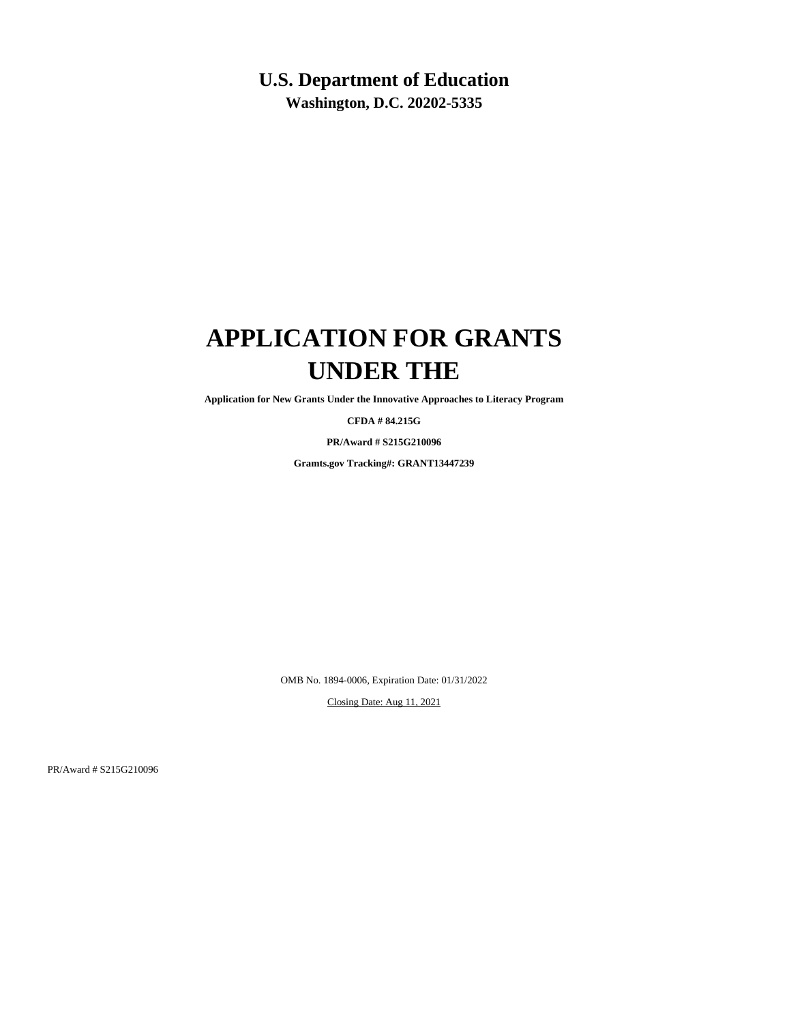# **U.S. Department of Education**

**Washington, D.C. 20202-5335**

# **APPLICATION FOR GRANTS UNDER THE**

**Application for New Grants Under the Innovative Approaches to Literacy Program**

**CFDA # 84.215G**

**PR/Award # S215G210096**

**Gramts.gov Tracking#: GRANT13447239**

OMB No. 1894-0006, Expiration Date: 01/31/2022

Closing Date: Aug 11, 2021

PR/Award # S215G210096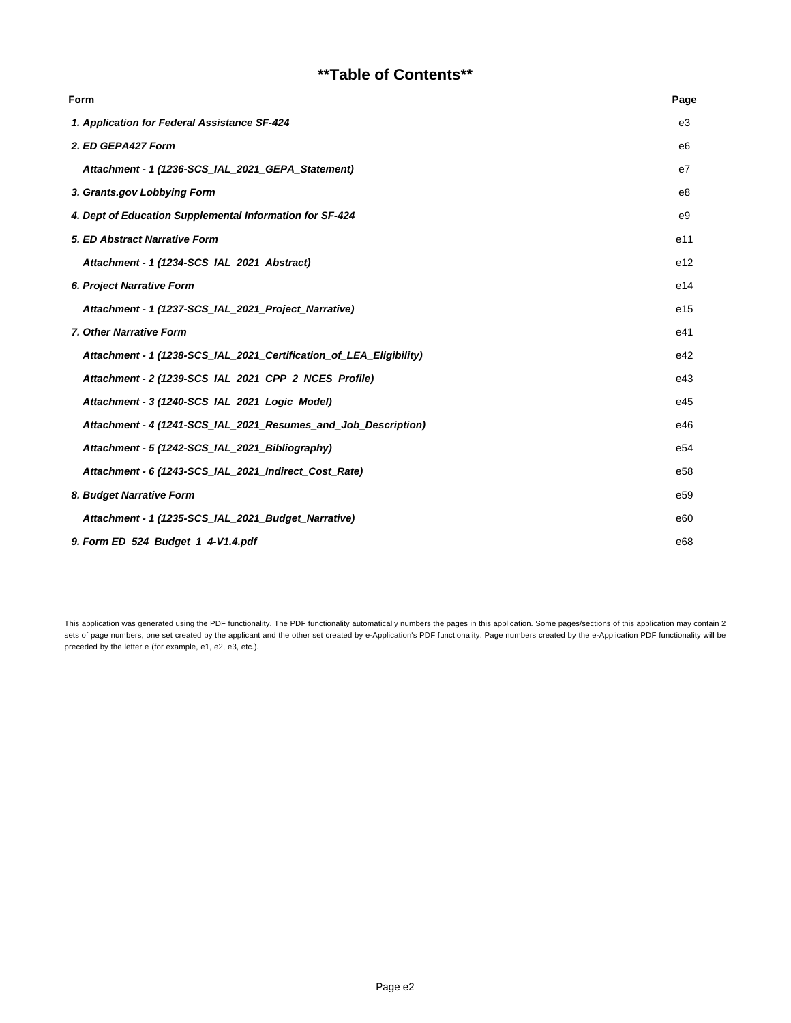### **\*\*Table of Contents\*\***

| Form                                                                | Page |
|---------------------------------------------------------------------|------|
| 1. Application for Federal Assistance SF-424                        | e3   |
| 2. ED GEPA427 Form                                                  | e6   |
| Attachment - 1 (1236-SCS_IAL_2021_GEPA_Statement)                   | e7   |
| 3. Grants.gov Lobbying Form                                         | e8   |
| 4. Dept of Education Supplemental Information for SF-424            | e9   |
| 5. ED Abstract Narrative Form                                       | e11  |
| Attachment - 1 (1234-SCS IAL 2021 Abstract)                         | e12  |
| 6. Project Narrative Form                                           | e14  |
| Attachment - 1 (1237-SCS_IAL_2021_Project_Narrative)                | e15  |
| 7. Other Narrative Form                                             | e41  |
| Attachment - 1 (1238-SCS_IAL_2021_Certification_of_LEA_Eligibility) | e42  |
| Attachment - 2 (1239-SCS_IAL_2021_CPP_2_NCES_Profile)               | e43  |
| Attachment - 3 (1240-SCS_IAL_2021_Logic_Model)                      | e45  |
| Attachment - 4 (1241-SCS_IAL_2021_Resumes_and_Job_Description)      | e46  |
| Attachment - 5 (1242-SCS_IAL_2021_Bibliography)                     | e54  |
| Attachment - 6 (1243-SCS_IAL_2021_Indirect_Cost_Rate)               | e58  |
| 8. Budget Narrative Form                                            | e59  |
| Attachment - 1 (1235-SCS_IAL_2021_Budget_Narrative)                 | e60  |
| 9. Form ED_524_Budget_1_4-V1.4.pdf                                  | e68  |

This application was generated using the PDF functionality. The PDF functionality automatically numbers the pages in this application. Some pages/sections of this application may contain 2 sets of page numbers, one set created by the applicant and the other set created by e-Application's PDF functionality. Page numbers created by the e-Application PDF functionality will be preceded by the letter e (for example, e1, e2, e3, etc.).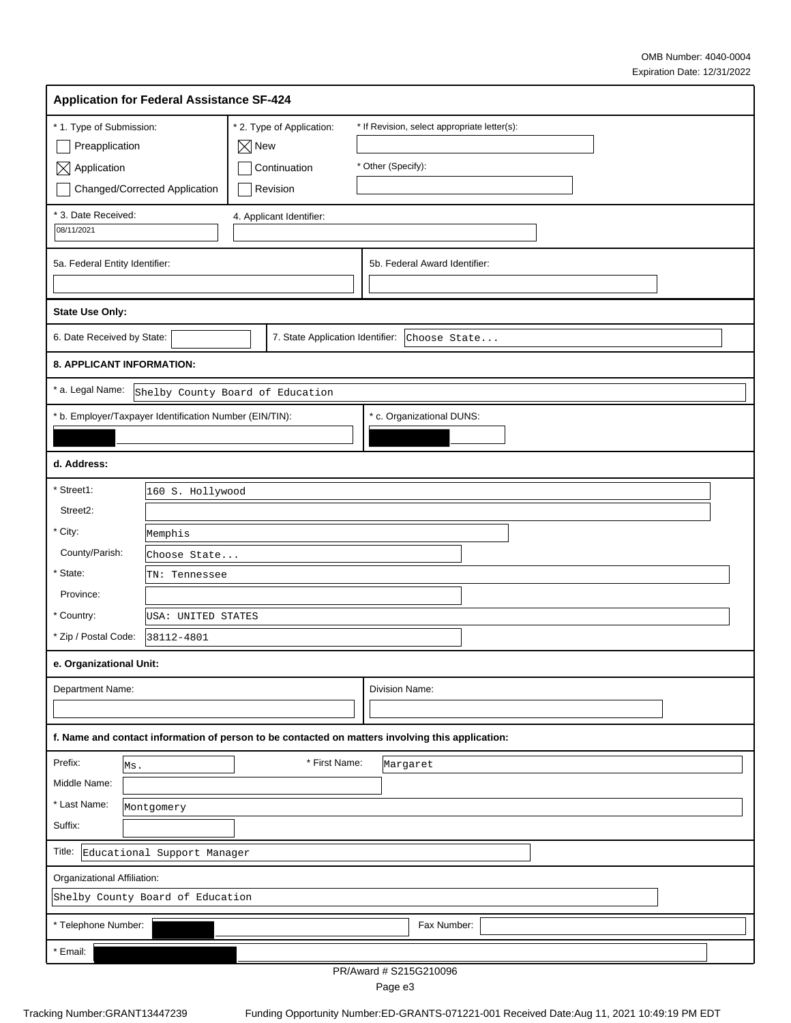| <b>Application for Federal Assistance SF-424</b>                                                       |                                                                          |                                                                    |  |  |
|--------------------------------------------------------------------------------------------------------|--------------------------------------------------------------------------|--------------------------------------------------------------------|--|--|
| * 1. Type of Submission:<br>Preapplication<br>$\boxtimes$ Application<br>Changed/Corrected Application | * 2. Type of Application:<br>$\boxtimes$ New<br>Continuation<br>Revision | * If Revision, select appropriate letter(s):<br>* Other (Specify): |  |  |
| * 3. Date Received:<br>08/11/2021                                                                      | 4. Applicant Identifier:                                                 |                                                                    |  |  |
| 5a. Federal Entity Identifier:                                                                         |                                                                          | 5b. Federal Award Identifier:                                      |  |  |
| <b>State Use Only:</b>                                                                                 |                                                                          |                                                                    |  |  |
| 6. Date Received by State:                                                                             | 7. State Application Identifier:                                         | Choose State                                                       |  |  |
| 8. APPLICANT INFORMATION:                                                                              |                                                                          |                                                                    |  |  |
| * a. Legal Name:                                                                                       | Shelby County Board of Education                                         |                                                                    |  |  |
| * b. Employer/Taxpayer Identification Number (EIN/TIN):                                                |                                                                          | * c. Organizational DUNS:                                          |  |  |
|                                                                                                        |                                                                          |                                                                    |  |  |
| d. Address:                                                                                            |                                                                          |                                                                    |  |  |
| * Street1:<br>160 S. Hollywood<br>Street2:<br>* City:<br>Memphis                                       |                                                                          |                                                                    |  |  |
| County/Parish:<br>Choose State                                                                         |                                                                          |                                                                    |  |  |
| * State:<br>TN: Tennessee                                                                              |                                                                          |                                                                    |  |  |
| Province:<br>* Country:                                                                                |                                                                          |                                                                    |  |  |
| USA: UNITED STATES<br>* Zip / Postal Code:<br>38112-4801                                               |                                                                          |                                                                    |  |  |
| e. Organizational Unit:                                                                                |                                                                          |                                                                    |  |  |
| Department Name:                                                                                       |                                                                          | Division Name:                                                     |  |  |
|                                                                                                        |                                                                          |                                                                    |  |  |
| f. Name and contact information of person to be contacted on matters involving this application:       |                                                                          |                                                                    |  |  |
| Prefix:<br>Ms.                                                                                         | * First Name:                                                            | Margaret                                                           |  |  |
| Middle Name:                                                                                           |                                                                          |                                                                    |  |  |
| * Last Name:<br>Montgomery                                                                             |                                                                          |                                                                    |  |  |
| Suffix:                                                                                                |                                                                          |                                                                    |  |  |
| Title:<br>Educational Support Manager                                                                  |                                                                          |                                                                    |  |  |
| Organizational Affiliation:<br>Shelby County Board of Education                                        |                                                                          |                                                                    |  |  |
| * Telephone Number:                                                                                    |                                                                          | Fax Number:                                                        |  |  |
| * Email:                                                                                               |                                                                          |                                                                    |  |  |

PR/Award # S215G210096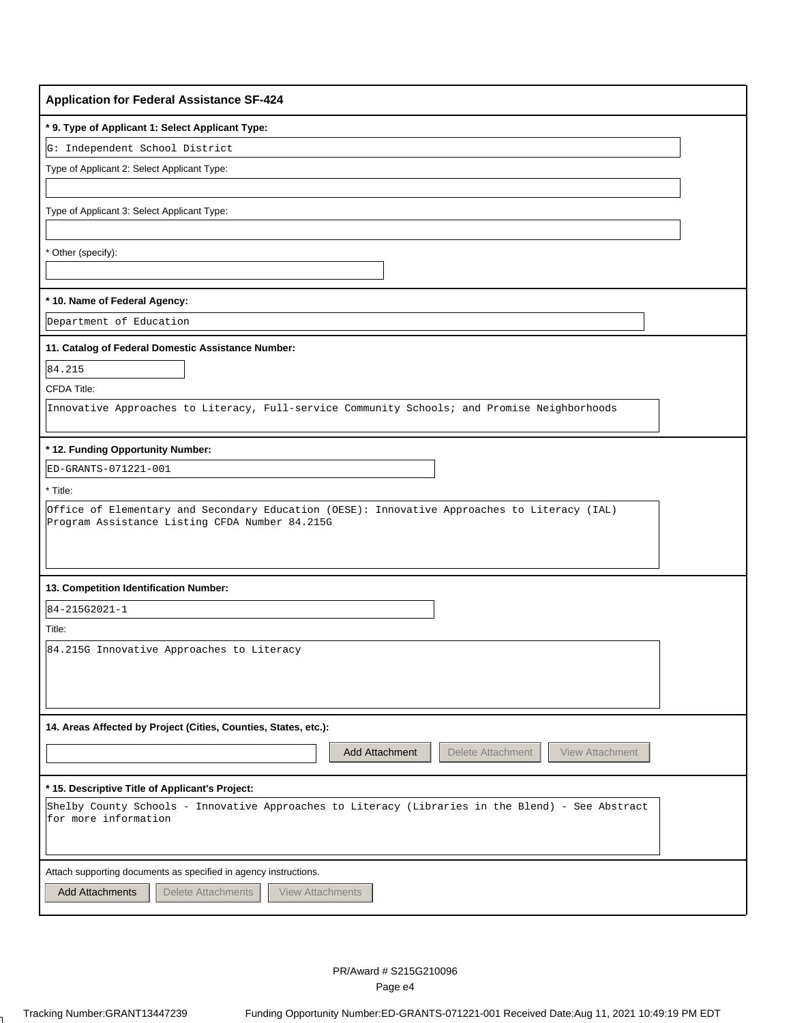| <b>Application for Federal Assistance SF-424</b>                                                                                               |
|------------------------------------------------------------------------------------------------------------------------------------------------|
| * 9. Type of Applicant 1: Select Applicant Type:                                                                                               |
| G: Independent School District                                                                                                                 |
| Type of Applicant 2: Select Applicant Type:                                                                                                    |
|                                                                                                                                                |
| Type of Applicant 3: Select Applicant Type:                                                                                                    |
|                                                                                                                                                |
| Other (specify):                                                                                                                               |
|                                                                                                                                                |
| * 10. Name of Federal Agency:                                                                                                                  |
| Department of Education                                                                                                                        |
| 11. Catalog of Federal Domestic Assistance Number:                                                                                             |
| 84.215                                                                                                                                         |
| CFDA Title:                                                                                                                                    |
| Innovative Approaches to Literacy, Full-service Community Schools; and Promise Neighborhoods                                                   |
|                                                                                                                                                |
| * 12. Funding Opportunity Number:                                                                                                              |
| ED-GRANTS-071221-001                                                                                                                           |
| * Title:                                                                                                                                       |
| Office of Elementary and Secondary Education (OESE): Innovative Approaches to Literacy (IAL)<br>Program Assistance Listing CFDA Number 84.215G |
|                                                                                                                                                |
| 13. Competition Identification Number:                                                                                                         |
| 84-215G2021-1                                                                                                                                  |
| Title:                                                                                                                                         |
| 84.215G Innovative Approaches to Literacy                                                                                                      |
|                                                                                                                                                |
|                                                                                                                                                |
| 14. Areas Affected by Project (Cities, Counties, States, etc.):                                                                                |
| <b>Add Attachment</b><br>Delete Attachment<br>View Attachment                                                                                  |
|                                                                                                                                                |
| * 15. Descriptive Title of Applicant's Project:                                                                                                |
| Shelby County Schools - Innovative Approaches to Literacy (Libraries in the Blend) - See Abstract<br>for more information                      |
|                                                                                                                                                |
|                                                                                                                                                |
| Attach supporting documents as specified in agency instructions.                                                                               |
| <b>Delete Attachments</b><br><b>Add Attachments</b><br><b>View Attachments</b>                                                                 |

 $\mathbf{L}$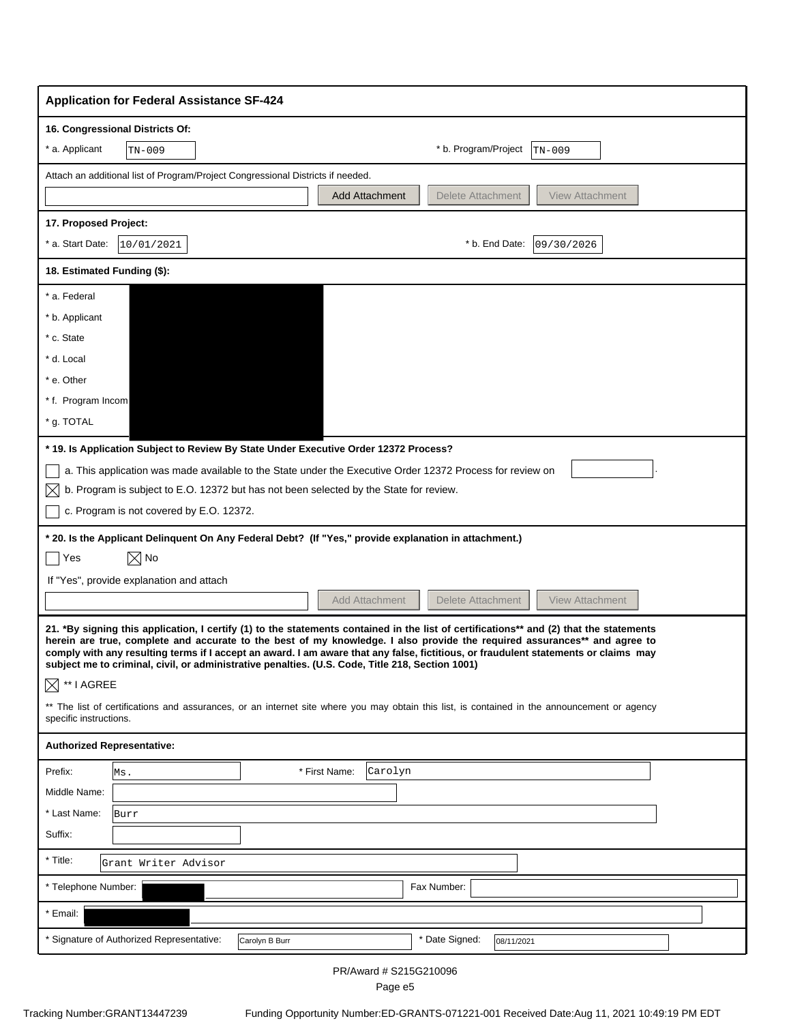| <b>Application for Federal Assistance SF-424</b>                                                                                                                                                                                                                                                                                                                                                                                                                                                                                                                                                                                                                                                                     |  |  |  |  |  |
|----------------------------------------------------------------------------------------------------------------------------------------------------------------------------------------------------------------------------------------------------------------------------------------------------------------------------------------------------------------------------------------------------------------------------------------------------------------------------------------------------------------------------------------------------------------------------------------------------------------------------------------------------------------------------------------------------------------------|--|--|--|--|--|
| 16. Congressional Districts Of:                                                                                                                                                                                                                                                                                                                                                                                                                                                                                                                                                                                                                                                                                      |  |  |  |  |  |
| * a. Applicant<br>* b. Program/Project<br>TN-009<br>TN-009                                                                                                                                                                                                                                                                                                                                                                                                                                                                                                                                                                                                                                                           |  |  |  |  |  |
| Attach an additional list of Program/Project Congressional Districts if needed.                                                                                                                                                                                                                                                                                                                                                                                                                                                                                                                                                                                                                                      |  |  |  |  |  |
| <b>Add Attachment</b><br>Delete Attachment<br><b>View Attachment</b>                                                                                                                                                                                                                                                                                                                                                                                                                                                                                                                                                                                                                                                 |  |  |  |  |  |
| 17. Proposed Project:                                                                                                                                                                                                                                                                                                                                                                                                                                                                                                                                                                                                                                                                                                |  |  |  |  |  |
| * a. Start Date:<br>* b. End Date:<br>10/01/2021<br>09/30/2026                                                                                                                                                                                                                                                                                                                                                                                                                                                                                                                                                                                                                                                       |  |  |  |  |  |
| 18. Estimated Funding (\$):                                                                                                                                                                                                                                                                                                                                                                                                                                                                                                                                                                                                                                                                                          |  |  |  |  |  |
| * a. Federal                                                                                                                                                                                                                                                                                                                                                                                                                                                                                                                                                                                                                                                                                                         |  |  |  |  |  |
| * b. Applicant                                                                                                                                                                                                                                                                                                                                                                                                                                                                                                                                                                                                                                                                                                       |  |  |  |  |  |
| * c. State                                                                                                                                                                                                                                                                                                                                                                                                                                                                                                                                                                                                                                                                                                           |  |  |  |  |  |
| * d. Local                                                                                                                                                                                                                                                                                                                                                                                                                                                                                                                                                                                                                                                                                                           |  |  |  |  |  |
| * e. Other                                                                                                                                                                                                                                                                                                                                                                                                                                                                                                                                                                                                                                                                                                           |  |  |  |  |  |
| * f. Program Incom                                                                                                                                                                                                                                                                                                                                                                                                                                                                                                                                                                                                                                                                                                   |  |  |  |  |  |
| * g. TOTAL                                                                                                                                                                                                                                                                                                                                                                                                                                                                                                                                                                                                                                                                                                           |  |  |  |  |  |
| * 19. Is Application Subject to Review By State Under Executive Order 12372 Process?                                                                                                                                                                                                                                                                                                                                                                                                                                                                                                                                                                                                                                 |  |  |  |  |  |
| a. This application was made available to the State under the Executive Order 12372 Process for review on                                                                                                                                                                                                                                                                                                                                                                                                                                                                                                                                                                                                            |  |  |  |  |  |
| b. Program is subject to E.O. 12372 but has not been selected by the State for review.<br>$\bowtie$                                                                                                                                                                                                                                                                                                                                                                                                                                                                                                                                                                                                                  |  |  |  |  |  |
| c. Program is not covered by E.O. 12372.                                                                                                                                                                                                                                                                                                                                                                                                                                                                                                                                                                                                                                                                             |  |  |  |  |  |
| * 20. Is the Applicant Delinquent On Any Federal Debt? (If "Yes," provide explanation in attachment.)                                                                                                                                                                                                                                                                                                                                                                                                                                                                                                                                                                                                                |  |  |  |  |  |
| $\boxtimes$ No<br>Yes<br>$\mathbf{I}$                                                                                                                                                                                                                                                                                                                                                                                                                                                                                                                                                                                                                                                                                |  |  |  |  |  |
| If "Yes", provide explanation and attach                                                                                                                                                                                                                                                                                                                                                                                                                                                                                                                                                                                                                                                                             |  |  |  |  |  |
| Delete Attachment<br><b>View Attachment</b><br><b>Add Attachment</b>                                                                                                                                                                                                                                                                                                                                                                                                                                                                                                                                                                                                                                                 |  |  |  |  |  |
| 21. *By signing this application, I certify (1) to the statements contained in the list of certifications** and (2) that the statements<br>herein are true, complete and accurate to the best of my knowledge. I also provide the required assurances** and agree to<br>comply with any resulting terms if I accept an award. I am aware that any false, fictitious, or fraudulent statements or claims may<br>subject me to criminal, civil, or administrative penalties. (U.S. Code, Title 218, Section 1001)<br>** I AGREE<br>$\bowtie$<br>** The list of certifications and assurances, or an internet site where you may obtain this list, is contained in the announcement or agency<br>specific instructions. |  |  |  |  |  |
| <b>Authorized Representative:</b>                                                                                                                                                                                                                                                                                                                                                                                                                                                                                                                                                                                                                                                                                    |  |  |  |  |  |
| Prefix:<br>* First Name:<br>Carolyn<br>Ms.                                                                                                                                                                                                                                                                                                                                                                                                                                                                                                                                                                                                                                                                           |  |  |  |  |  |
| Middle Name:                                                                                                                                                                                                                                                                                                                                                                                                                                                                                                                                                                                                                                                                                                         |  |  |  |  |  |
| * Last Name:<br>Burr                                                                                                                                                                                                                                                                                                                                                                                                                                                                                                                                                                                                                                                                                                 |  |  |  |  |  |
| Suffix:                                                                                                                                                                                                                                                                                                                                                                                                                                                                                                                                                                                                                                                                                                              |  |  |  |  |  |
| * Title:<br>Grant Writer Advisor                                                                                                                                                                                                                                                                                                                                                                                                                                                                                                                                                                                                                                                                                     |  |  |  |  |  |
| * Telephone Number:<br>Fax Number:                                                                                                                                                                                                                                                                                                                                                                                                                                                                                                                                                                                                                                                                                   |  |  |  |  |  |
| * Email:                                                                                                                                                                                                                                                                                                                                                                                                                                                                                                                                                                                                                                                                                                             |  |  |  |  |  |
| * Date Signed:<br>* Signature of Authorized Representative:<br>Carolyn B Burr<br>08/11/2021                                                                                                                                                                                                                                                                                                                                                                                                                                                                                                                                                                                                                          |  |  |  |  |  |

PR/Award # S215G210096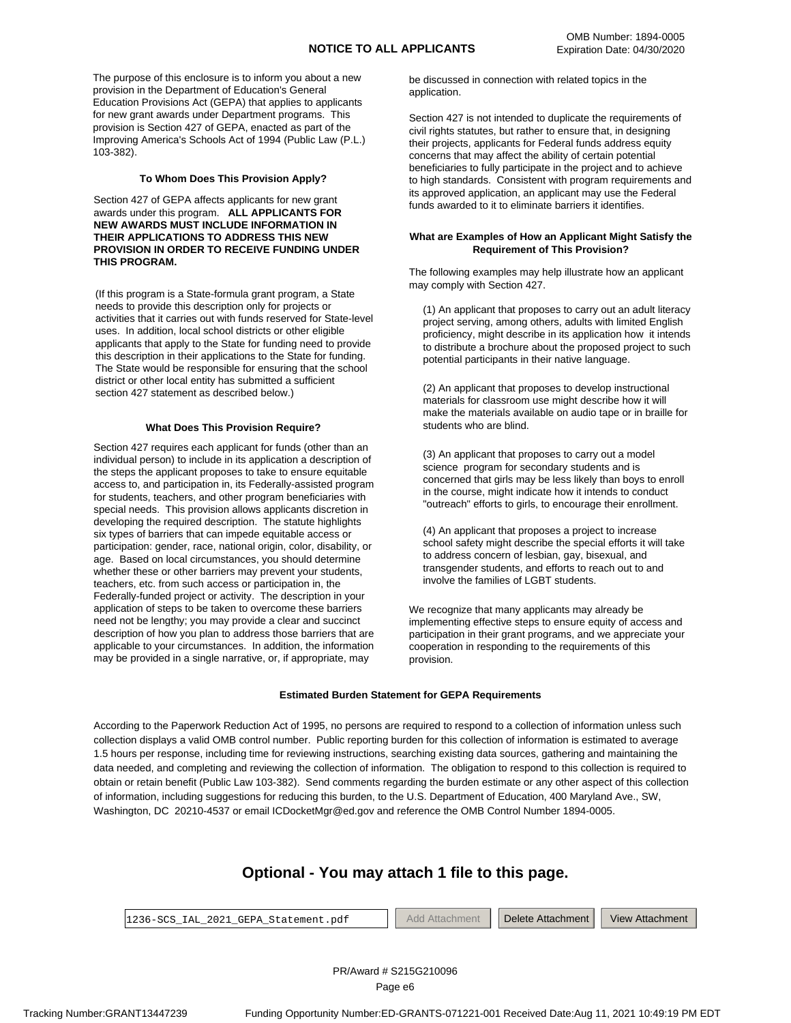The purpose of this enclosure is to inform you about a new provision in the Department of Education's General Education Provisions Act (GEPA) that applies to applicants for new grant awards under Department programs. This provision is Section 427 of GEPA, enacted as part of the Improving America's Schools Act of 1994 (Public Law (P.L.) 103-382).

#### **To Whom Does This Provision Apply?**

Section 427 of GEPA affects applicants for new grant awards under this program. **ALL APPLICANTS FOR NEW AWARDS MUST INCLUDE INFORMATION IN THEIR APPLICATIONS TO ADDRESS THIS NEW PROVISION IN ORDER TO RECEIVE FUNDING UNDER THIS PROGRAM.** 

(If this program is a State-formula grant program, a State needs to provide this description only for projects or activities that it carries out with funds reserved for State-level uses. In addition, local school districts or other eligible applicants that apply to the State for funding need to provide this description in their applications to the State for funding. The State would be responsible for ensuring that the school district or other local entity has submitted a sufficient section 427 statement as described below.)

#### **What Does This Provision Require?**

Section 427 requires each applicant for funds (other than an individual person) to include in its application a description of the steps the applicant proposes to take to ensure equitable access to, and participation in, its Federally-assisted program for students, teachers, and other program beneficiaries with special needs. This provision allows applicants discretion in developing the required description. The statute highlights six types of barriers that can impede equitable access or participation: gender, race, national origin, color, disability, or age. Based on local circumstances, you should determine whether these or other barriers may prevent your students, teachers, etc. from such access or participation in, the Federally-funded project or activity. The description in your application of steps to be taken to overcome these barriers need not be lengthy; you may provide a clear and succinct description of how you plan to address those barriers that are applicable to your circumstances. In addition, the information may be provided in a single narrative, or, if appropriate, may

be discussed in connection with related topics in the application.

Section 427 is not intended to duplicate the requirements of civil rights statutes, but rather to ensure that, in designing their projects, applicants for Federal funds address equity concerns that may affect the ability of certain potential beneficiaries to fully participate in the project and to achieve to high standards. Consistent with program requirements and its approved application, an applicant may use the Federal funds awarded to it to eliminate barriers it identifies.

#### **What are Examples of How an Applicant Might Satisfy the Requirement of This Provision?**

The following examples may help illustrate how an applicant may comply with Section 427.

(1) An applicant that proposes to carry out an adult literacy project serving, among others, adults with limited English proficiency, might describe in its application how it intends to distribute a brochure about the proposed project to such potential participants in their native language.

(2) An applicant that proposes to develop instructional materials for classroom use might describe how it will make the materials available on audio tape or in braille for students who are blind.

(3) An applicant that proposes to carry out a model science program for secondary students and is concerned that girls may be less likely than boys to enroll in the course, might indicate how it intends to conduct "outreach" efforts to girls, to encourage their enrollment.

(4) An applicant that proposes a project to increase school safety might describe the special efforts it will take to address concern of lesbian, gay, bisexual, and transgender students, and efforts to reach out to and involve the families of LGBT students.

We recognize that many applicants may already be implementing effective steps to ensure equity of access and participation in their grant programs, and we appreciate your cooperation in responding to the requirements of this provision.

#### **Estimated Burden Statement for GEPA Requirements**

According to the Paperwork Reduction Act of 1995, no persons are required to respond to a collection of information unless such collection displays a valid OMB control number. Public reporting burden for this collection of information is estimated to average 1.5 hours per response, including time for reviewing instructions, searching existing data sources, gathering and maintaining the data needed, and completing and reviewing the collection of information. The obligation to respond to this collection is required to obtain or retain benefit (Public Law 103-382). Send comments regarding the burden estimate or any other aspect of this collection of information, including suggestions for reducing this burden, to the U.S. Department of Education, 400 Maryland Ave., SW, Washington, DC 20210-4537 or email ICDocketMgr@ed.gov and reference the OMB Control Number 1894-0005.

### **Optional - You may attach 1 file to this page.**

1236-SCS\_IAL\_2021\_GEPA\_Statement.pdf Add Attachment Delete Attachment View Attachment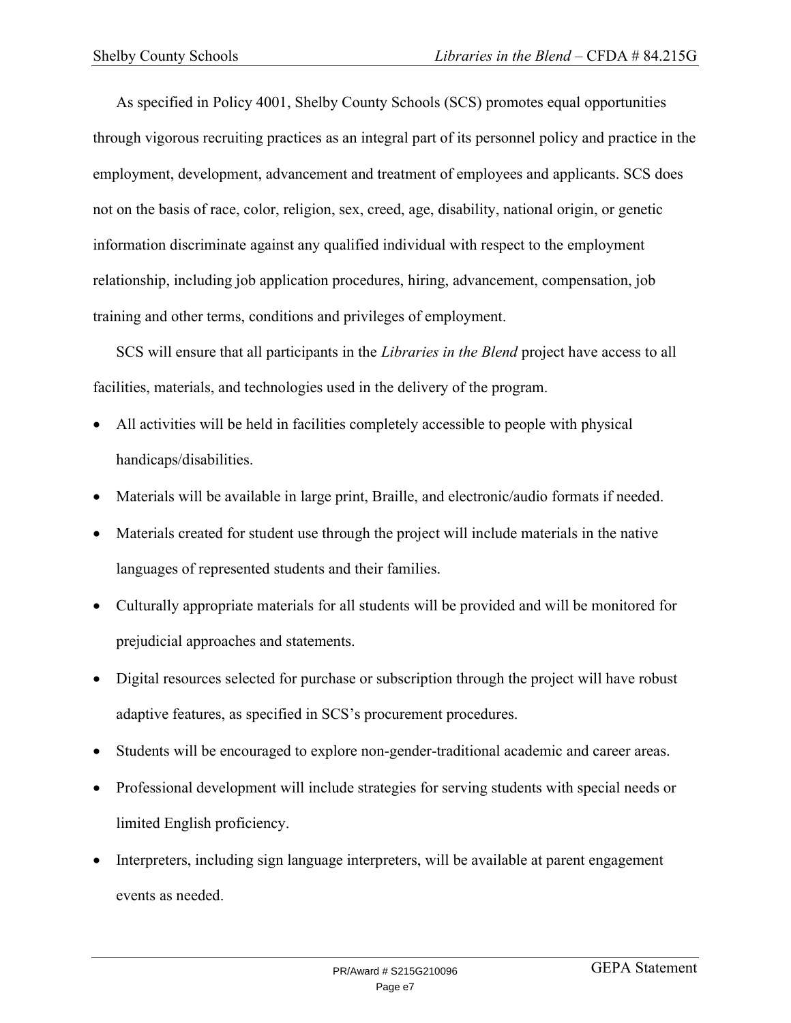As specified in Policy 4001, Shelby County Schools (SCS) promotes equal opportunities through vigorous recruiting practices as an integral part of its personnel policy and practice in the employment, development, advancement and treatment of employees and applicants. SCS does not on the basis of race, color, religion, sex, creed, age, disability, national origin, or genetic information discriminate against any qualified individual with respect to the employment relationship, including job application procedures, hiring, advancement, compensation, job training and other terms, conditions and privileges of employment.

SCS will ensure that all participants in the *Libraries in the Blend* project have access to all facilities, materials, and technologies used in the delivery of the program.

- All activities will be held in facilities completely accessible to people with physical handicaps/disabilities.
- Materials will be available in large print, Braille, and electronic/audio formats if needed.
- Materials created for student use through the project will include materials in the native languages of represented students and their families.
- Culturally appropriate materials for all students will be provided and will be monitored for prejudicial approaches and statements.
- Digital resources selected for purchase or subscription through the project will have robust adaptive features, as specified in SCS's procurement procedures.
- Students will be encouraged to explore non-gender-traditional academic and career areas.
- Professional development will include strategies for serving students with special needs or limited English proficiency.
- Interpreters, including sign language interpreters, will be available at parent engagement events as needed.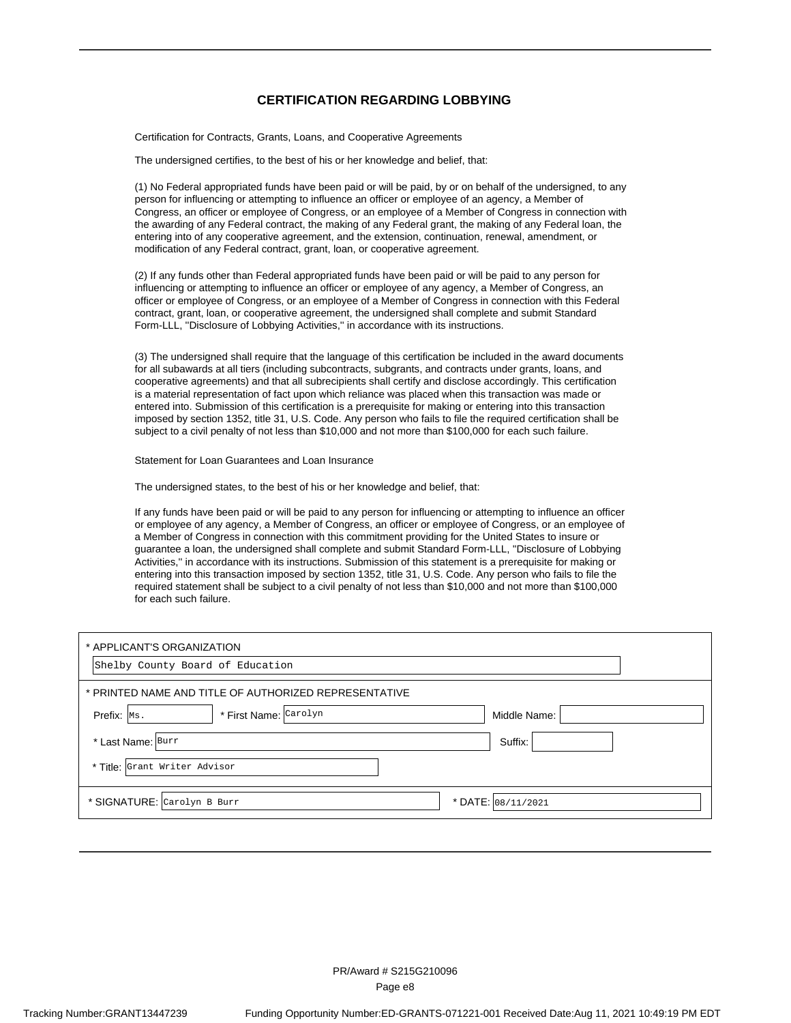#### **CERTIFICATION REGARDING LOBBYING**

Certification for Contracts, Grants, Loans, and Cooperative Agreements

The undersigned certifies, to the best of his or her knowledge and belief, that:

(1) No Federal appropriated funds have been paid or will be paid, by or on behalf of the undersigned, to any person for influencing or attempting to influence an officer or employee of an agency, a Member of Congress, an officer or employee of Congress, or an employee of a Member of Congress in connection with the awarding of any Federal contract, the making of any Federal grant, the making of any Federal loan, the entering into of any cooperative agreement, and the extension, continuation, renewal, amendment, or modification of any Federal contract, grant, loan, or cooperative agreement.

(2) If any funds other than Federal appropriated funds have been paid or will be paid to any person for influencing or attempting to influence an officer or employee of any agency, a Member of Congress, an officer or employee of Congress, or an employee of a Member of Congress in connection with this Federal contract, grant, loan, or cooperative agreement, the undersigned shall complete and submit Standard Form-LLL, ''Disclosure of Lobbying Activities,'' in accordance with its instructions.

(3) The undersigned shall require that the language of this certification be included in the award documents for all subawards at all tiers (including subcontracts, subgrants, and contracts under grants, loans, and cooperative agreements) and that all subrecipients shall certify and disclose accordingly. This certification is a material representation of fact upon which reliance was placed when this transaction was made or entered into. Submission of this certification is a prerequisite for making or entering into this transaction imposed by section 1352, title 31, U.S. Code. Any person who fails to file the required certification shall be subject to a civil penalty of not less than \$10,000 and not more than \$100,000 for each such failure.

Statement for Loan Guarantees and Loan Insurance

The undersigned states, to the best of his or her knowledge and belief, that:

If any funds have been paid or will be paid to any person for influencing or attempting to influence an officer or employee of any agency, a Member of Congress, an officer or employee of Congress, or an employee of a Member of Congress in connection with this commitment providing for the United States to insure or guarantee a loan, the undersigned shall complete and submit Standard Form-LLL, ''Disclosure of Lobbying Activities,'' in accordance with its instructions. Submission of this statement is a prerequisite for making or entering into this transaction imposed by section 1352, title 31, U.S. Code. Any person who fails to file the required statement shall be subject to a civil penalty of not less than \$10,000 and not more than \$100,000 for each such failure.

| * APPLICANT'S ORGANIZATION                            |                    |
|-------------------------------------------------------|--------------------|
| Shelby County Board of Education                      |                    |
| * PRINTED NAME AND TITLE OF AUTHORIZED REPRESENTATIVE |                    |
| * First Name: Carolyn<br>$Prefix:$ $Ms.$              | Middle Name:       |
| * Last Name: Burr                                     | Suffix:            |
| * Title: Grant Writer Advisor                         |                    |
| * SIGNATURE: Carolyn B Burr                           | * DATE: 08/11/2021 |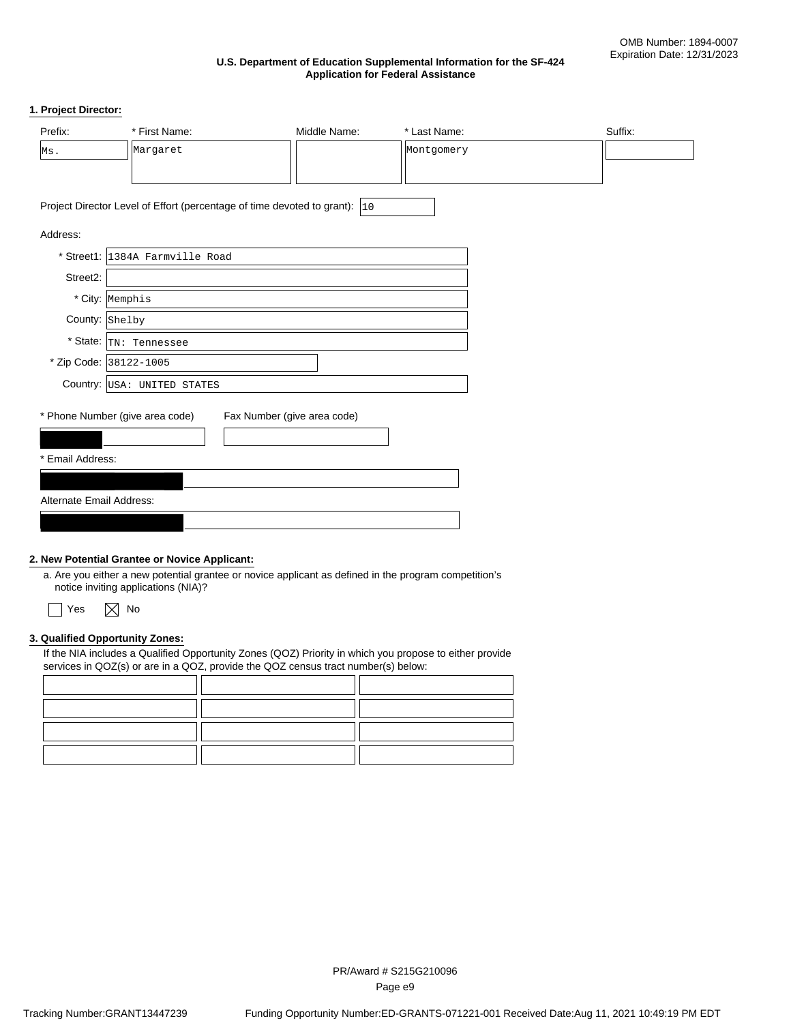#### **U.S. Department of Education Supplemental Information for the SF-424 Application for Federal Assistance**

#### **1. Project Director:**

| Prefix:                  | * First Name:                                                              | Middle Name:                | * Last Name: | Suffix: |
|--------------------------|----------------------------------------------------------------------------|-----------------------------|--------------|---------|
| Ms.                      | Margaret                                                                   |                             | Montgomery   |         |
|                          |                                                                            |                             |              |         |
|                          | Project Director Level of Effort (percentage of time devoted to grant): 10 |                             |              |         |
| Address:                 |                                                                            |                             |              |         |
|                          | * Street1: 1384A Farmville Road                                            |                             |              |         |
| Street2:                 |                                                                            |                             |              |         |
|                          | * City: Memphis                                                            |                             |              |         |
|                          | County: Shelby                                                             |                             |              |         |
|                          | * State: TN: Tennessee                                                     |                             |              |         |
|                          | * Zip Code: 38122-1005                                                     |                             |              |         |
|                          | Country: USA: UNITED STATES                                                |                             |              |         |
| * Email Address:         | * Phone Number (give area code)                                            | Fax Number (give area code) |              |         |
|                          |                                                                            |                             |              |         |
|                          |                                                                            |                             |              |         |
| Alternate Email Address: |                                                                            |                             |              |         |

a. Are you either a new potential grantee or novice applicant as defined in the program competition's notice inviting applications (NIA)?



#### **3. Qualified Opportunity Zones:**

If the NIA includes a Qualified Opportunity Zones (QOZ) Priority in which you propose to either provide services in QOZ(s) or are in a QOZ, provide the QOZ census tract number(s) below: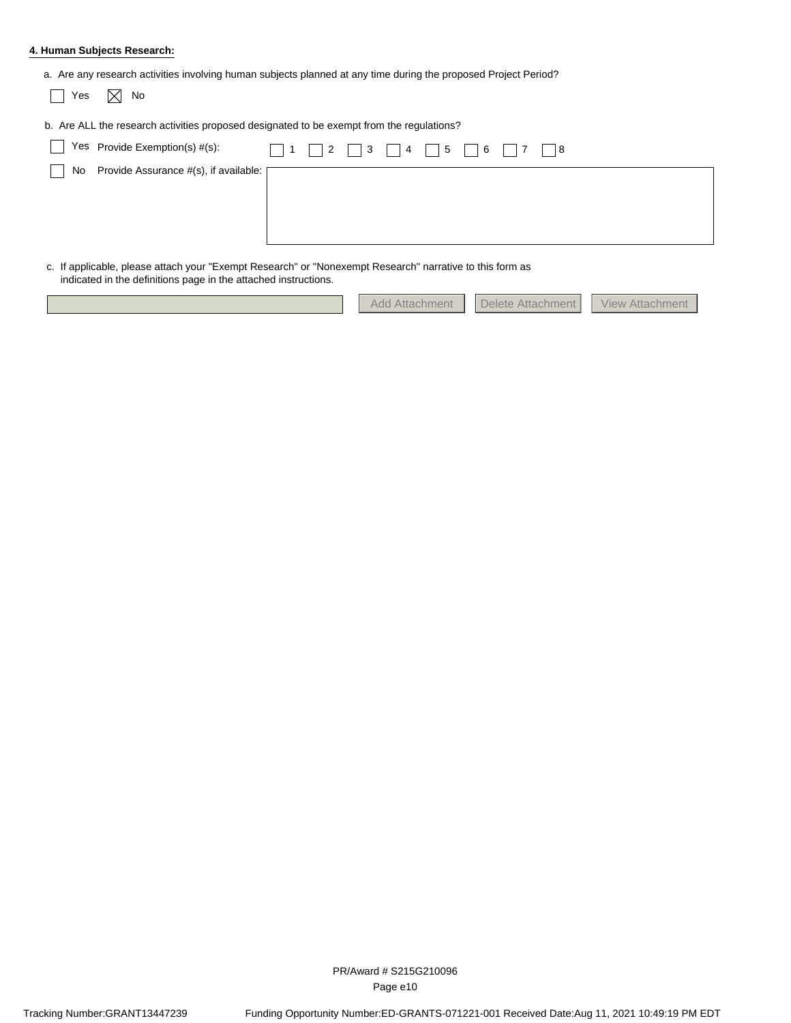#### **4. Human Subjects Research:**

| Yes | No<br>X                                                                                   |   |             |  |
|-----|-------------------------------------------------------------------------------------------|---|-------------|--|
|     | b. Are ALL the research activities proposed designated to be exempt from the regulations? |   |             |  |
|     | Yes Provide Exemption(s) #(s):                                                            |   | $\vert$   8 |  |
|     | No Provide Assurance #(s), if available: [                                                |   |             |  |
|     |                                                                                           | . |             |  |

c. If applicable, please attach your "Exempt Research" or "Nonexempt Research" narrative to this form as indicated in the definitions page in the attached instructions.

|  | Attachment<br>Add | Delete Attachment | View Attachment |
|--|-------------------|-------------------|-----------------|
|  |                   |                   |                 |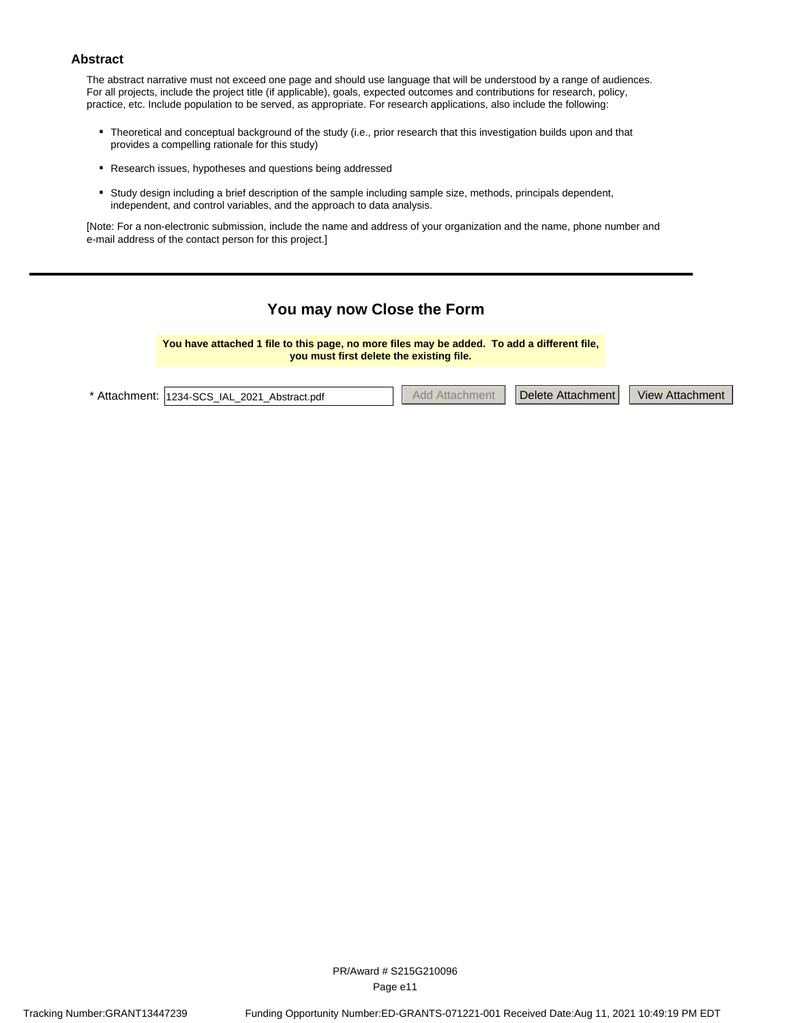#### **Abstract**

The abstract narrative must not exceed one page and should use language that will be understood by a range of audiences. For all projects, include the project title (if applicable), goals, expected outcomes and contributions for research, policy, practice, etc. Include population to be served, as appropriate. For research applications, also include the following:

- Theoretical and conceptual background of the study (i.e., prior research that this investigation builds upon and that provides a competition retired for this ctudy). provides a compelling rationale for this study)
- **·** Research issues, hypotheses and questions being addressed
- Study design including a brief description of the sample including sample size, methods, principals dependent, independent, independent, independent, and control variables, and the approach to data analysis.

[Note: For a non-electronic submission, include the name and address of your organization and the name, phone number and e-mail address of the contact person for this project.]

#### **You may now Close the Form**

**You have attached 1 file to this page, no more files may be added. To add a different file, you must first delete the existing file.**

| * Attachment: 1234-SCS IAL 2021 Abstract.pdf | Delete Attachment      |
|----------------------------------------------|------------------------|
| Ado                                          | <b>View Attachment</b> |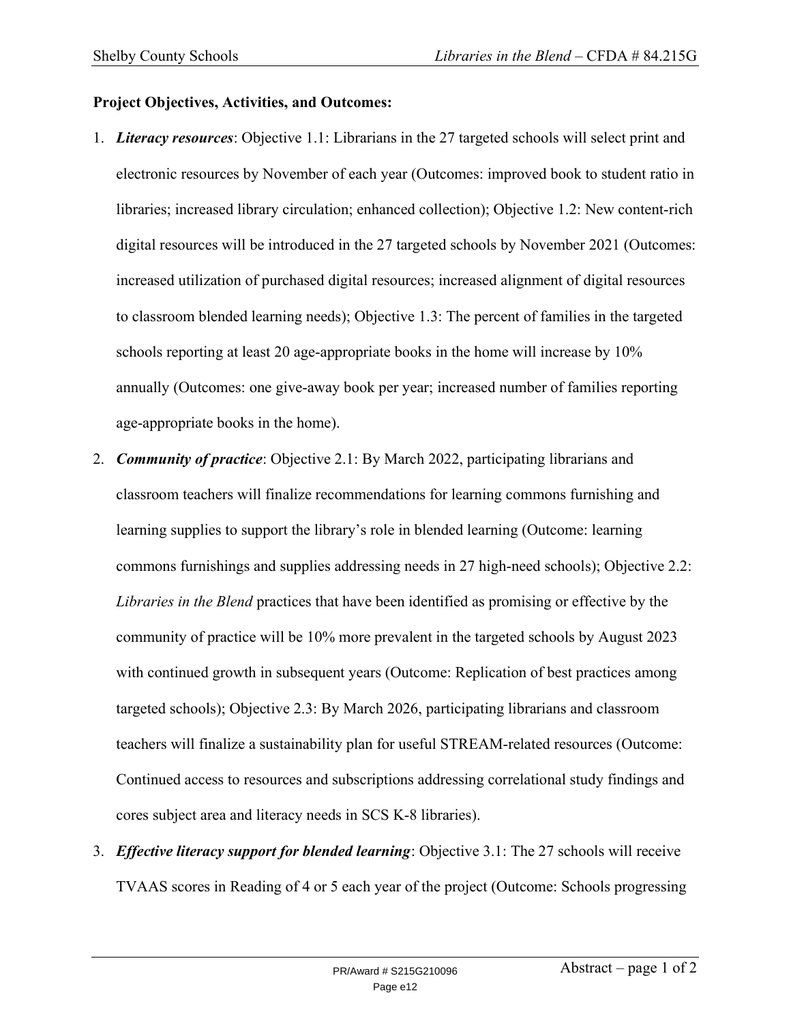#### Project Objectives, Activities, and Outcomes:

- 1. Literacy resources: Objective 1.1: Librarians in the 27 targeted schools will select print and electronic resources by November of each year (Outcomes: improved book to student ratio in libraries; increased library circulation; enhanced collection); Objective 1.2: New content-rich digital resources will be introduced in the 27 targeted schools by November 2021 (Outcomes: increased utilization of purchased digital resources; increased alignment of digital resources to classroom blended learning needs); Objective 1.3: The percent of families in the targeted schools reporting at least 20 age-appropriate books in the home will increase by 10% annually (Outcomes: one give-away book per year; increased number of families reporting age-appropriate books in the home).
- 2. **Community of practice:** Objective 2.1: By March 2022, participating librarians and classroom teachers will finalize recommendations for learning commons furnishing and learning supplies to support the library's role in blended learning (Outcome: learning commons furnishings and supplies addressing needs in 27 high-need schools); Objective 2.2: Libraries in the Blend practices that have been identified as promising or effective by the community of practice will be 10% more prevalent in the targeted schools by August 2023 with continued growth in subsequent years (Outcome: Replication of best practices among targeted schools); Objective 2.3: By March 2026, participating librarians and classroom teachers will finalize a sustainability plan for useful STREAM-related resources (Outcome: Continued access to resources and subscriptions addressing correlational study findings and cores subject area and literacy needs in SCS K-8 libraries).
- 3. *Effective literacy support for blended learning*: Objective 3.1: The 27 schools will receive TVAAS scores in Reading of 4 or 5 each year of the project (Outcome: Schools progressing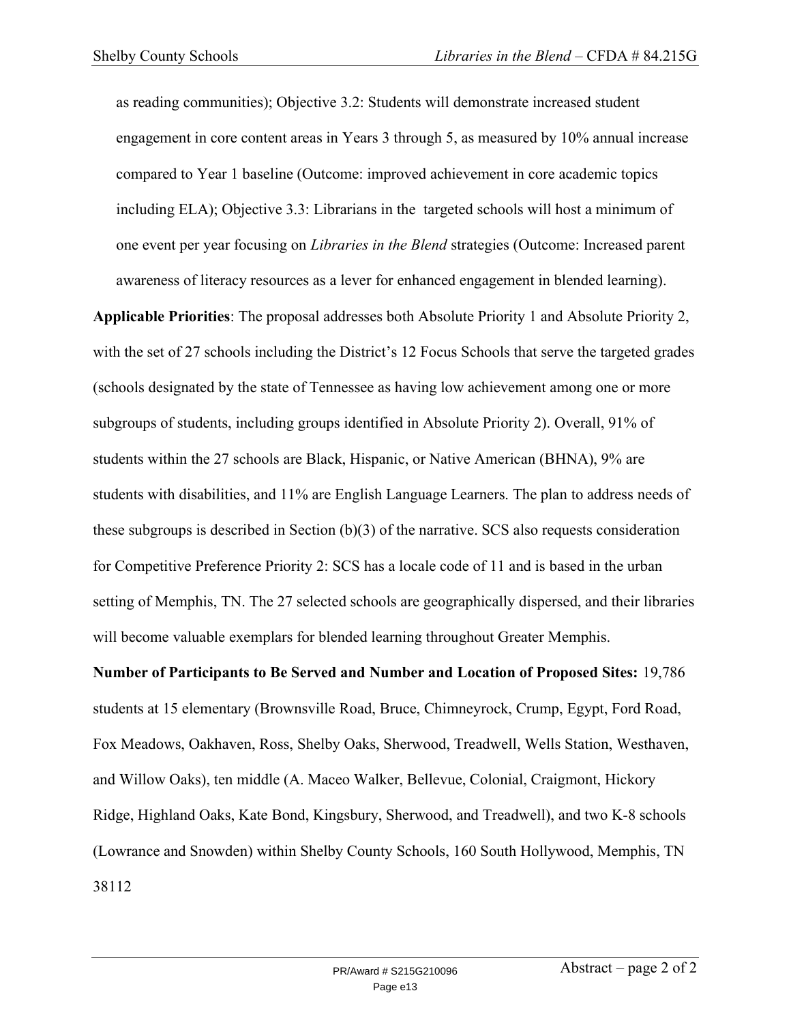as reading communities); Objective 3.2: Students will demonstrate increased student engagement in core content areas in Years 3 through 5, as measured by 10% annual increase compared to Year 1 baseline (Outcome: improved achievement in core academic topics including ELA); Objective 3.3: Librarians in the targeted schools will host a minimum of one event per year focusing on Libraries in the Blend strategies (Outcome: Increased parent awareness of literacy resources as a lever for enhanced engagement in blended learning).

Applicable Priorities: The proposal addresses both Absolute Priority 1 and Absolute Priority 2, with the set of 27 schools including the District's 12 Focus Schools that serve the targeted grades (schools designated by the state of Tennessee as having low achievement among one or more subgroups of students, including groups identified in Absolute Priority 2). Overall, 91% of students within the 27 schools are Black, Hispanic, or Native American (BHNA), 9% are students with disabilities, and 11% are English Language Learners. The plan to address needs of these subgroups is described in Section (b)(3) of the narrative. SCS also requests consideration for Competitive Preference Priority 2: SCS has a locale code of 11 and is based in the urban setting of Memphis, TN. The 27 selected schools are geographically dispersed, and their libraries will become valuable exemplars for blended learning throughout Greater Memphis.

Number of Participants to Be Served and Number and Location of Proposed Sites: 19,786 students at 15 elementary (Brownsville Road, Bruce, Chimneyrock, Crump, Egypt, Ford Road, Fox Meadows, Oakhaven, Ross, Shelby Oaks, Sherwood, Treadwell, Wells Station, Westhaven, and Willow Oaks), ten middle (A. Maceo Walker, Bellevue, Colonial, Craigmont, Hickory Ridge, Highland Oaks, Kate Bond, Kingsbury, Sherwood, and Treadwell), and two K-8 schools (Lowrance and Snowden) within Shelby County Schools, 160 South Hollywood, Memphis, TN 38112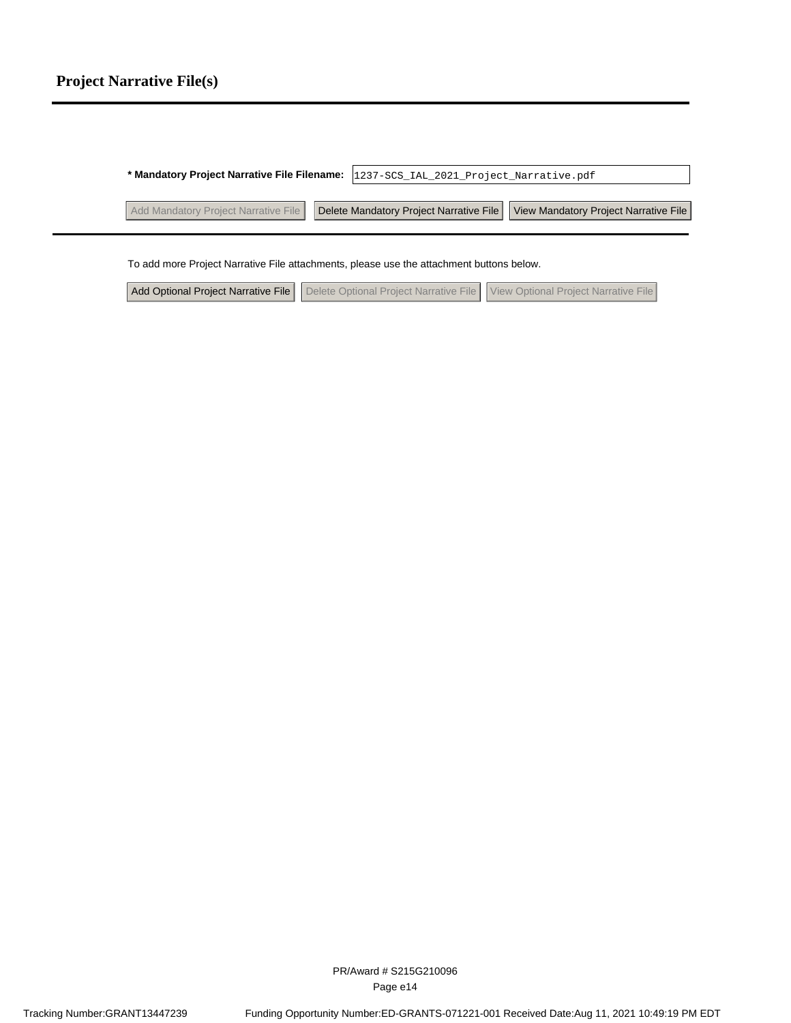|                                                                                                                        | * Mandatory Project Narrative File Filename:  1237-SCS_IAL_2021_Project_Narrative.pdf |  |  |  |  |
|------------------------------------------------------------------------------------------------------------------------|---------------------------------------------------------------------------------------|--|--|--|--|
| Add Mandatory Project Narrative File   Delete Mandatory Project Narrative File   View Mandatory Project Narrative File |                                                                                       |  |  |  |  |

To add more Project Narrative File attachments, please use the attachment buttons below.

|  |  | Add Optional Project Narrative File   Delete Optional Project Narrative File   View Optional Project Narrative File |  |  |
|--|--|---------------------------------------------------------------------------------------------------------------------|--|--|
|--|--|---------------------------------------------------------------------------------------------------------------------|--|--|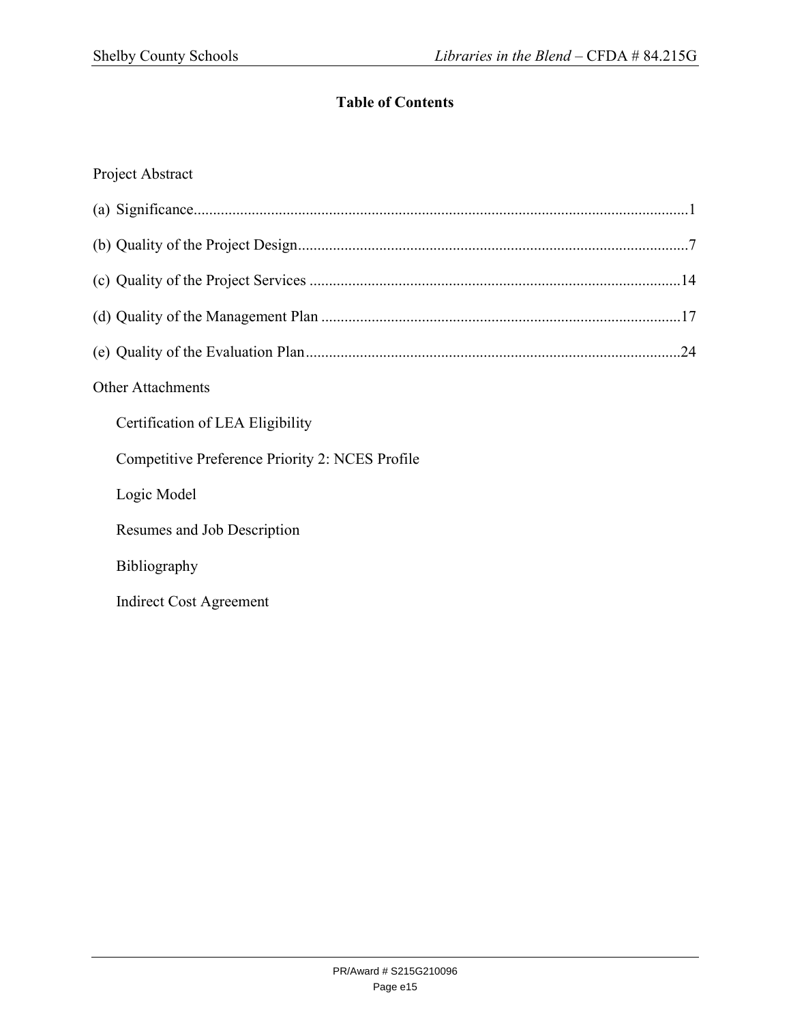# Table of Contents

| Project Abstract |  |
|------------------|--|
|------------------|--|

| <b>Other Attachments</b>                        |  |
|-------------------------------------------------|--|
| Certification of LEA Eligibility                |  |
| Competitive Preference Priority 2: NCES Profile |  |
| Logic Model                                     |  |
| Resumes and Job Description                     |  |
| <b>Bibliography</b>                             |  |
| Indirect Cost Agreement                         |  |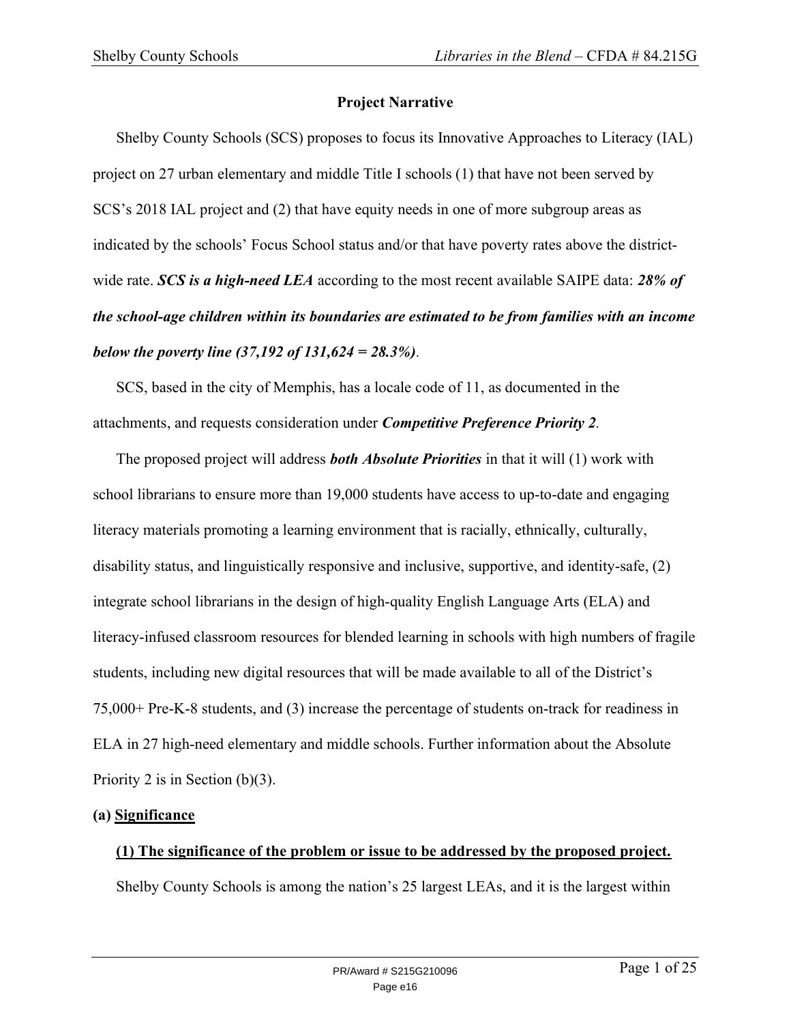### Project Narrative

Shelby County Schools (SCS) proposes to focus its Innovative Approaches to Literacy (IAL) project on 27 urban elementary and middle Title I schools (1) that have not been served by SCS's 2018 IAL project and (2) that have equity needs in one of more subgroup areas as indicated by the schools' Focus School status and/or that have poverty rates above the districtwide rate. SCS is a high-need LEA according to the most recent available SAIPE data: 28% of the school-age children within its boundaries are estimated to be from families with an income below the poverty line  $(37,192 \text{ of } 131,624 = 28.3\%)$ .

SCS, based in the city of Memphis, has a locale code of 11, as documented in the attachments, and requests consideration under Competitive Preference Priority 2.

The proposed project will address **both Absolute Priorities** in that it will (1) work with school librarians to ensure more than 19,000 students have access to up-to-date and engaging literacy materials promoting a learning environment that is racially, ethnically, culturally, disability status, and linguistically responsive and inclusive, supportive, and identity-safe, (2) integrate school librarians in the design of high-quality English Language Arts (ELA) and literacy-infused classroom resources for blended learning in schools with high numbers of fragile students, including new digital resources that will be made available to all of the District's 75,000+ Pre-K-8 students, and (3) increase the percentage of students on-track for readiness in ELA in 27 high-need elementary and middle schools. Further information about the Absolute Priority 2 is in Section (b)(3).

#### (a) Significance

# (1) The significance of the problem or issue to be addressed by the proposed project.

Shelby County Schools is among the nation's 25 largest LEAs, and it is the largest within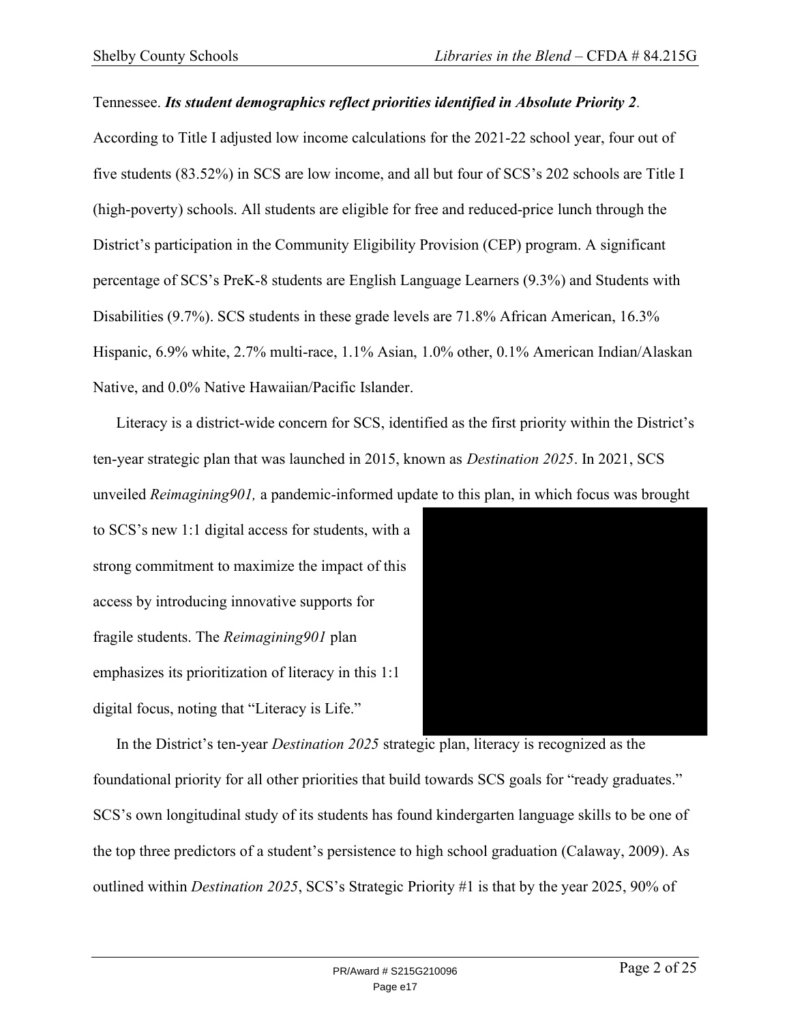### Tennessee. Its student demographics reflect priorities identified in Absolute Priority 2.

According to Title I adjusted low income calculations for the 2021-22 school year, four out of five students (83.52%) in SCS are low income, and all but four of SCS's 202 schools are Title I (high-poverty) schools. All students are eligible for free and reduced-price lunch through the District's participation in the Community Eligibility Provision (CEP) program. A significant percentage of SCS's PreK-8 students are English Language Learners (9.3%) and Students with Disabilities (9.7%). SCS students in these grade levels are 71.8% African American, 16.3% Hispanic, 6.9% white, 2.7% multi-race, 1.1% Asian, 1.0% other, 0.1% American Indian/Alaskan Native, and 0.0% Native Hawaiian/Pacific Islander.

Literacy is a district-wide concern for SCS, identified as the first priority within the District's ten-year strategic plan that was launched in 2015, known as Destination 2025. In 2021, SCS

unveiled *Reimagining901*, a pandemic-informed update to this plan, in which focus was brought

to SCS's new 1:1 digital access for students, with a strong commitment to maximize the impact of this access by introducing innovative supports for fragile students. The Reimagining901 plan emphasizes its prioritization of literacy in this 1:1 digital focus, noting that "Literacy is Life."



In the District's ten-year *Destination 2025* strategic plan, literacy is recognized as the foundational priority for all other priorities that build towards SCS goals for "ready graduates." SCS's own longitudinal study of its students has found kindergarten language skills to be one of the top three predictors of a student's persistence to high school graduation (Calaway, 2009). As outlined within Destination 2025, SCS's Strategic Priority #1 is that by the year 2025, 90% of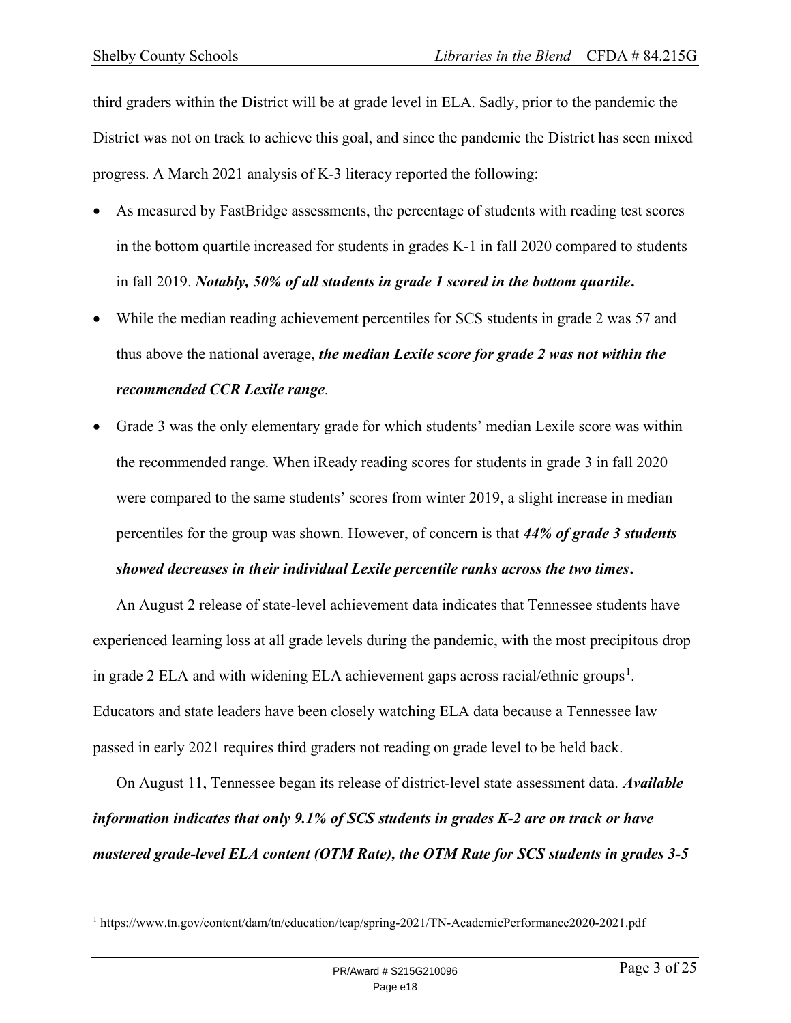third graders within the District will be at grade level in ELA. Sadly, prior to the pandemic the District was not on track to achieve this goal, and since the pandemic the District has seen mixed progress. A March 2021 analysis of K-3 literacy reported the following:

- As measured by FastBridge assessments, the percentage of students with reading test scores in the bottom quartile increased for students in grades K-1 in fall 2020 compared to students in fall 2019. Notably,  $50\%$  of all students in grade 1 scored in the bottom quartile.
- While the median reading achievement percentiles for SCS students in grade 2 was 57 and thus above the national average, the median Lexile score for grade 2 was not within the recommended CCR Lexile range.
- Grade 3 was the only elementary grade for which students' median Lexile score was within the recommended range. When iReady reading scores for students in grade 3 in fall 2020 were compared to the same students' scores from winter 2019, a slight increase in median percentiles for the group was shown. However, of concern is that 44% of grade 3 students showed decreases in their individual Lexile percentile ranks across the two times.

An August 2 release of state-level achievement data indicates that Tennessee students have experienced learning loss at all grade levels during the pandemic, with the most precipitous drop in grade 2 ELA and with widening ELA achievement gaps across racial/ethnic groups<sup>1</sup>. Educators and state leaders have been closely watching ELA data because a Tennessee law passed in early 2021 requires third graders not reading on grade level to be held back.

On August 11, Tennessee began its release of district-level state assessment data. Available information indicates that only 9.1% of SCS students in grades K-2 are on track or have mastered grade-level ELA content (OTM Rate), the OTM Rate for SCS students in grades 3-5

<sup>1</sup> https://www.tn.gov/content/dam/tn/education/tcap/spring-2021/TN-AcademicPerformance2020-2021.pdf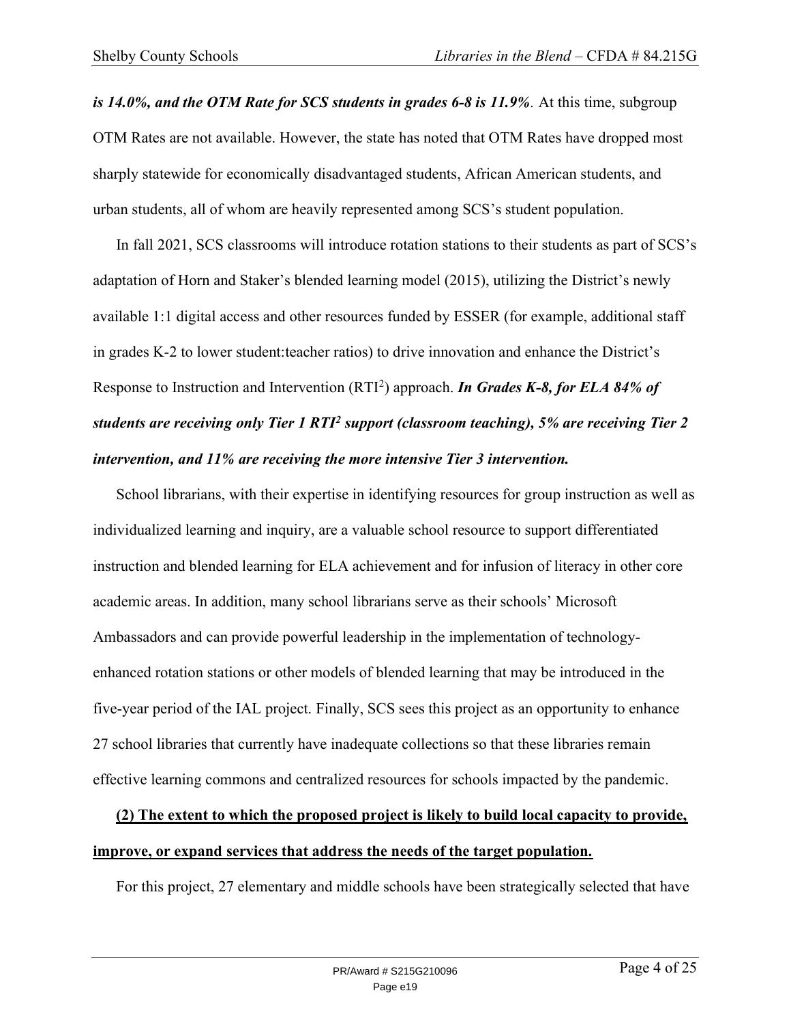is 14.0%, and the OTM Rate for SCS students in grades 6-8 is 11.9%. At this time, subgroup OTM Rates are not available. However, the state has noted that OTM Rates have dropped most sharply statewide for economically disadvantaged students, African American students, and urban students, all of whom are heavily represented among SCS's student population.

In fall 2021, SCS classrooms will introduce rotation stations to their students as part of SCS's adaptation of Horn and Staker's blended learning model (2015), utilizing the District's newly available 1:1 digital access and other resources funded by ESSER (for example, additional staff in grades K-2 to lower student:teacher ratios) to drive innovation and enhance the District's Response to Instruction and Intervention (RTI<sup>2</sup>) approach. *In Grades K-8, for ELA 84% of* students are receiving only Tier 1 RTI<sup>2</sup> support (classroom teaching), 5% are receiving Tier 2 intervention, and 11% are receiving the more intensive Tier 3 intervention.

School librarians, with their expertise in identifying resources for group instruction as well as individualized learning and inquiry, are a valuable school resource to support differentiated instruction and blended learning for ELA achievement and for infusion of literacy in other core academic areas. In addition, many school librarians serve as their schools' Microsoft Ambassadors and can provide powerful leadership in the implementation of technologyenhanced rotation stations or other models of blended learning that may be introduced in the five-year period of the IAL project. Finally, SCS sees this project as an opportunity to enhance 27 school libraries that currently have inadequate collections so that these libraries remain effective learning commons and centralized resources for schools impacted by the pandemic.

# (2) The extent to which the proposed project is likely to build local capacity to provide, improve, or expand services that address the needs of the target population.

For this project, 27 elementary and middle schools have been strategically selected that have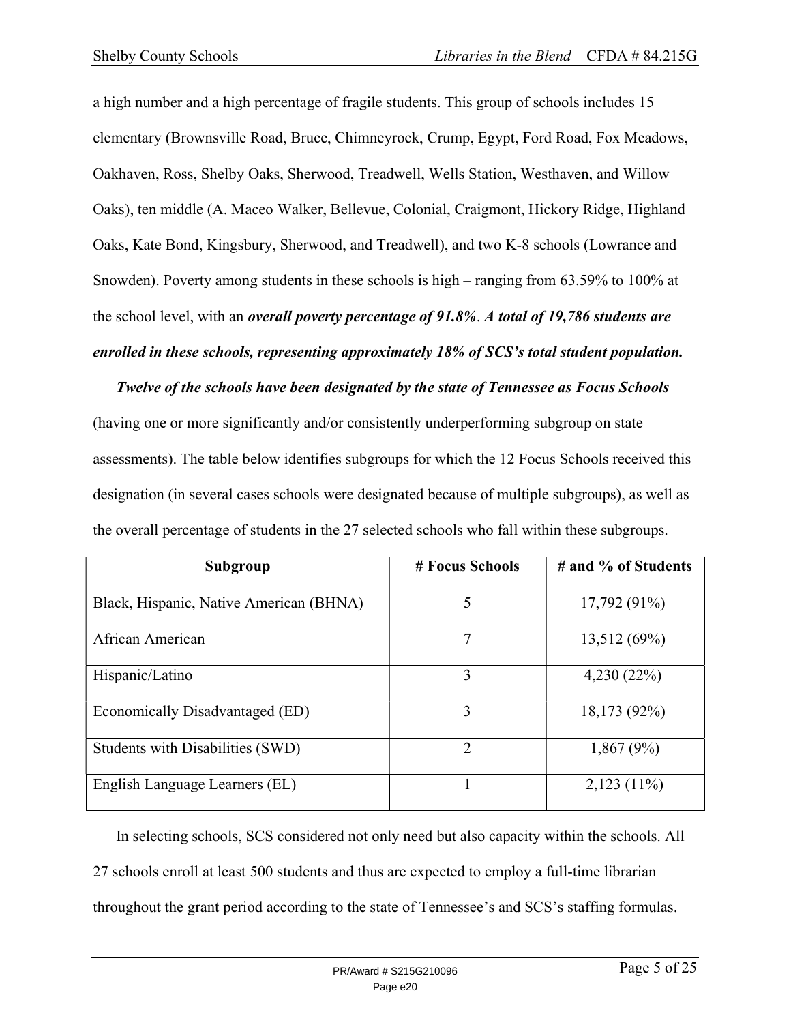a high number and a high percentage of fragile students. This group of schools includes 15 elementary (Brownsville Road, Bruce, Chimneyrock, Crump, Egypt, Ford Road, Fox Meadows, Oakhaven, Ross, Shelby Oaks, Sherwood, Treadwell, Wells Station, Westhaven, and Willow Oaks), ten middle (A. Maceo Walker, Bellevue, Colonial, Craigmont, Hickory Ridge, Highland Oaks, Kate Bond, Kingsbury, Sherwood, and Treadwell), and two K-8 schools (Lowrance and Snowden). Poverty among students in these schools is high – ranging from 63.59% to 100% at the school level, with an *overall poverty percentage of 91.8%. A total of 19,786 students are* enrolled in these schools, representing approximately 18% of SCS's total student population.

Twelve of the schools have been designated by the state of Tennessee as Focus Schools (having one or more significantly and/or consistently underperforming subgroup on state assessments). The table below identifies subgroups for which the 12 Focus Schools received this designation (in several cases schools were designated because of multiple subgroups), as well as the overall percentage of students in the 27 selected schools who fall within these subgroups.

| Subgroup                                | # Focus Schools | # and % of Students |
|-----------------------------------------|-----------------|---------------------|
| Black, Hispanic, Native American (BHNA) | 5               | 17,792 (91%)        |
| African American                        | 7               | 13,512 (69%)        |
| Hispanic/Latino                         | 3               | 4,230(22%)          |
| Economically Disadvantaged (ED)         | 3               | 18,173 (92%)        |
| Students with Disabilities (SWD)        | $\overline{2}$  | 1,867(9%)           |
| English Language Learners (EL)          |                 | $2,123(11\%)$       |

In selecting schools, SCS considered not only need but also capacity within the schools. All 27 schools enroll at least 500 students and thus are expected to employ a full-time librarian throughout the grant period according to the state of Tennessee's and SCS's staffing formulas.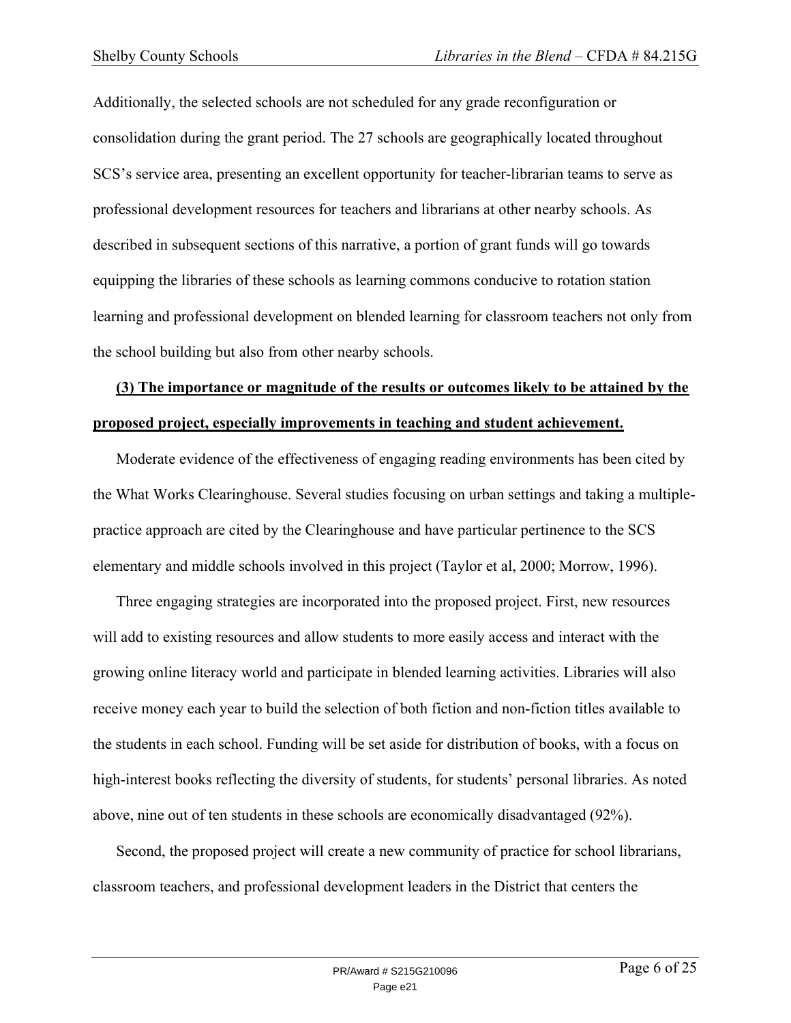Additionally, the selected schools are not scheduled for any grade reconfiguration or consolidation during the grant period. The 27 schools are geographically located throughout SCS's service area, presenting an excellent opportunity for teacher-librarian teams to serve as professional development resources for teachers and librarians at other nearby schools. As described in subsequent sections of this narrative, a portion of grant funds will go towards equipping the libraries of these schools as learning commons conducive to rotation station learning and professional development on blended learning for classroom teachers not only from the school building but also from other nearby schools.

# (3) The importance or magnitude of the results or outcomes likely to be attained by the proposed project, especially improvements in teaching and student achievement.

Moderate evidence of the effectiveness of engaging reading environments has been cited by the What Works Clearinghouse. Several studies focusing on urban settings and taking a multiplepractice approach are cited by the Clearinghouse and have particular pertinence to the SCS elementary and middle schools involved in this project (Taylor et al, 2000; Morrow, 1996).

Three engaging strategies are incorporated into the proposed project. First, new resources will add to existing resources and allow students to more easily access and interact with the growing online literacy world and participate in blended learning activities. Libraries will also receive money each year to build the selection of both fiction and non-fiction titles available to the students in each school. Funding will be set aside for distribution of books, with a focus on high-interest books reflecting the diversity of students, for students' personal libraries. As noted above, nine out of ten students in these schools are economically disadvantaged (92%).

Second, the proposed project will create a new community of practice for school librarians, classroom teachers, and professional development leaders in the District that centers the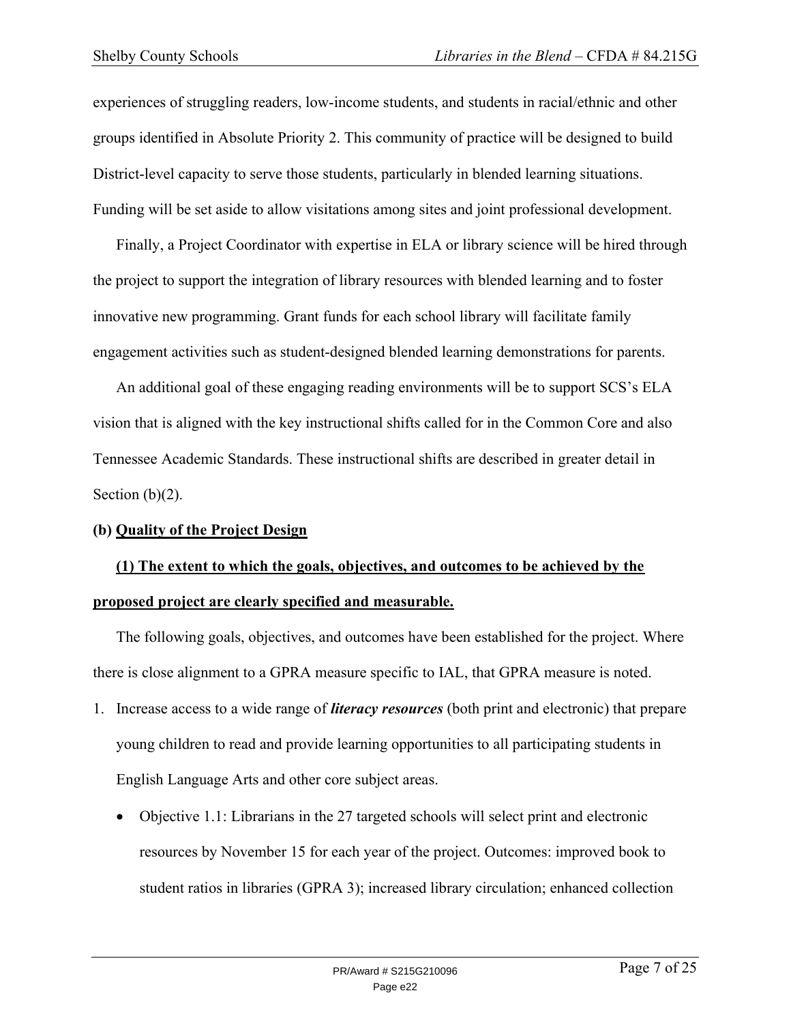experiences of struggling readers, low-income students, and students in racial/ethnic and other groups identified in Absolute Priority 2. This community of practice will be designed to build District-level capacity to serve those students, particularly in blended learning situations. Funding will be set aside to allow visitations among sites and joint professional development.

Finally, a Project Coordinator with expertise in ELA or library science will be hired through the project to support the integration of library resources with blended learning and to foster innovative new programming. Grant funds for each school library will facilitate family engagement activities such as student-designed blended learning demonstrations for parents.

An additional goal of these engaging reading environments will be to support SCS's ELA vision that is aligned with the key instructional shifts called for in the Common Core and also Tennessee Academic Standards. These instructional shifts are described in greater detail in Section (b)(2).

#### (b) Quality of the Project Design

# (1) The extent to which the goals, objectives, and outcomes to be achieved by the proposed project are clearly specified and measurable.

The following goals, objectives, and outcomes have been established for the project. Where there is close alignment to a GPRA measure specific to IAL, that GPRA measure is noted.

- 1. Increase access to a wide range of *literacy resources* (both print and electronic) that prepare young children to read and provide learning opportunities to all participating students in English Language Arts and other core subject areas.
	- Objective 1.1: Librarians in the 27 targeted schools will select print and electronic resources by November 15 for each year of the project. Outcomes: improved book to student ratios in libraries (GPRA 3); increased library circulation; enhanced collection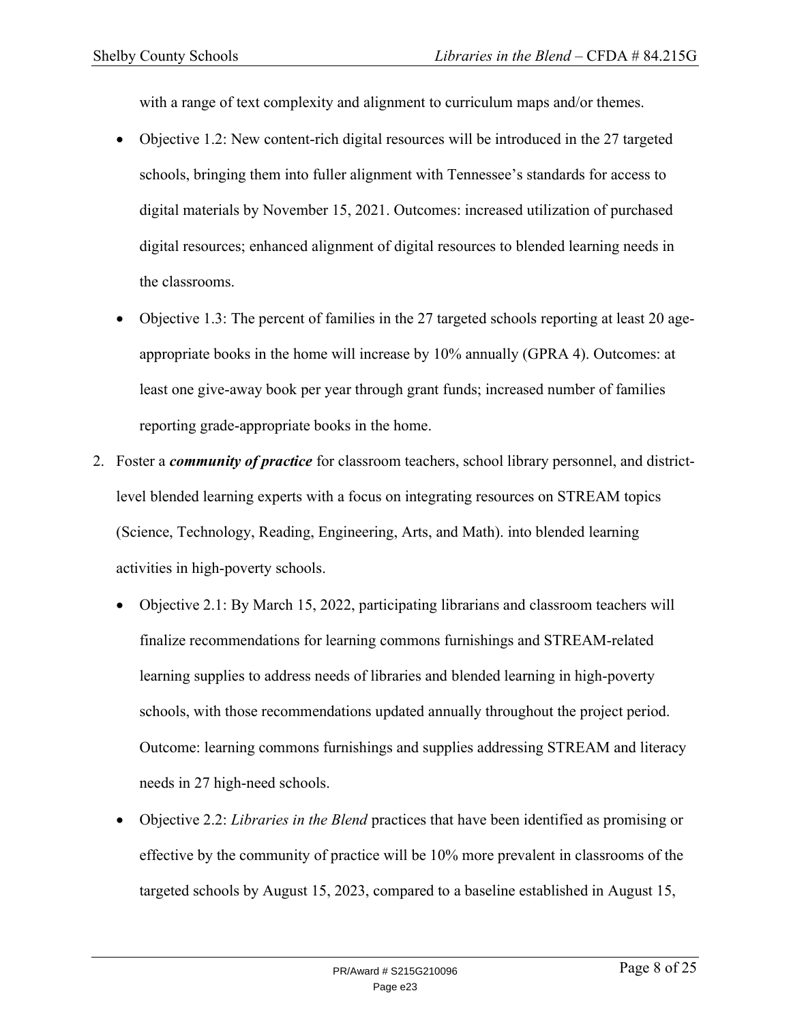with a range of text complexity and alignment to curriculum maps and/or themes.

- Objective 1.2: New content-rich digital resources will be introduced in the 27 targeted schools, bringing them into fuller alignment with Tennessee's standards for access to digital materials by November 15, 2021. Outcomes: increased utilization of purchased digital resources; enhanced alignment of digital resources to blended learning needs in the classrooms.
- Objective 1.3: The percent of families in the 27 targeted schools reporting at least 20 ageappropriate books in the home will increase by 10% annually (GPRA 4). Outcomes: at least one give-away book per year through grant funds; increased number of families reporting grade-appropriate books in the home.
- 2. Foster a *community of practice* for classroom teachers, school library personnel, and districtlevel blended learning experts with a focus on integrating resources on STREAM topics (Science, Technology, Reading, Engineering, Arts, and Math). into blended learning activities in high-poverty schools.
	- Objective 2.1: By March 15, 2022, participating librarians and classroom teachers will finalize recommendations for learning commons furnishings and STREAM-related learning supplies to address needs of libraries and blended learning in high-poverty schools, with those recommendations updated annually throughout the project period. Outcome: learning commons furnishings and supplies addressing STREAM and literacy needs in 27 high-need schools.
	- Objective 2.2: Libraries in the Blend practices that have been identified as promising or effective by the community of practice will be 10% more prevalent in classrooms of the targeted schools by August 15, 2023, compared to a baseline established in August 15,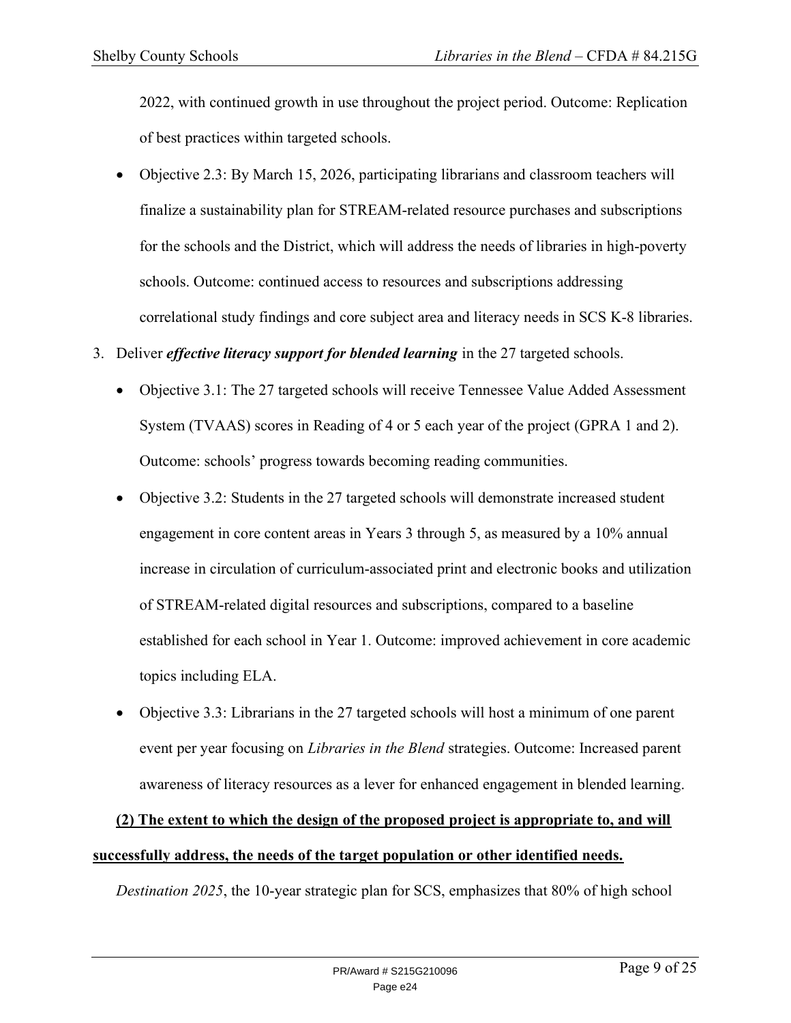2022, with continued growth in use throughout the project period. Outcome: Replication of best practices within targeted schools.

 Objective 2.3: By March 15, 2026, participating librarians and classroom teachers will finalize a sustainability plan for STREAM-related resource purchases and subscriptions for the schools and the District, which will address the needs of libraries in high-poverty schools. Outcome: continued access to resources and subscriptions addressing correlational study findings and core subject area and literacy needs in SCS K-8 libraries.

### 3. Deliver *effective literacy support for blended learning* in the 27 targeted schools.

- Objective 3.1: The 27 targeted schools will receive Tennessee Value Added Assessment System (TVAAS) scores in Reading of 4 or 5 each year of the project (GPRA 1 and 2). Outcome: schools' progress towards becoming reading communities.
- Objective 3.2: Students in the 27 targeted schools will demonstrate increased student engagement in core content areas in Years 3 through 5, as measured by a 10% annual increase in circulation of curriculum-associated print and electronic books and utilization of STREAM-related digital resources and subscriptions, compared to a baseline established for each school in Year 1. Outcome: improved achievement in core academic topics including ELA.
- Objective 3.3: Librarians in the 27 targeted schools will host a minimum of one parent event per year focusing on *Libraries in the Blend* strategies. Outcome: Increased parent awareness of literacy resources as a lever for enhanced engagement in blended learning.

# (2) The extent to which the design of the proposed project is appropriate to, and will successfully address, the needs of the target population or other identified needs.

Destination 2025, the 10-year strategic plan for SCS, emphasizes that 80% of high school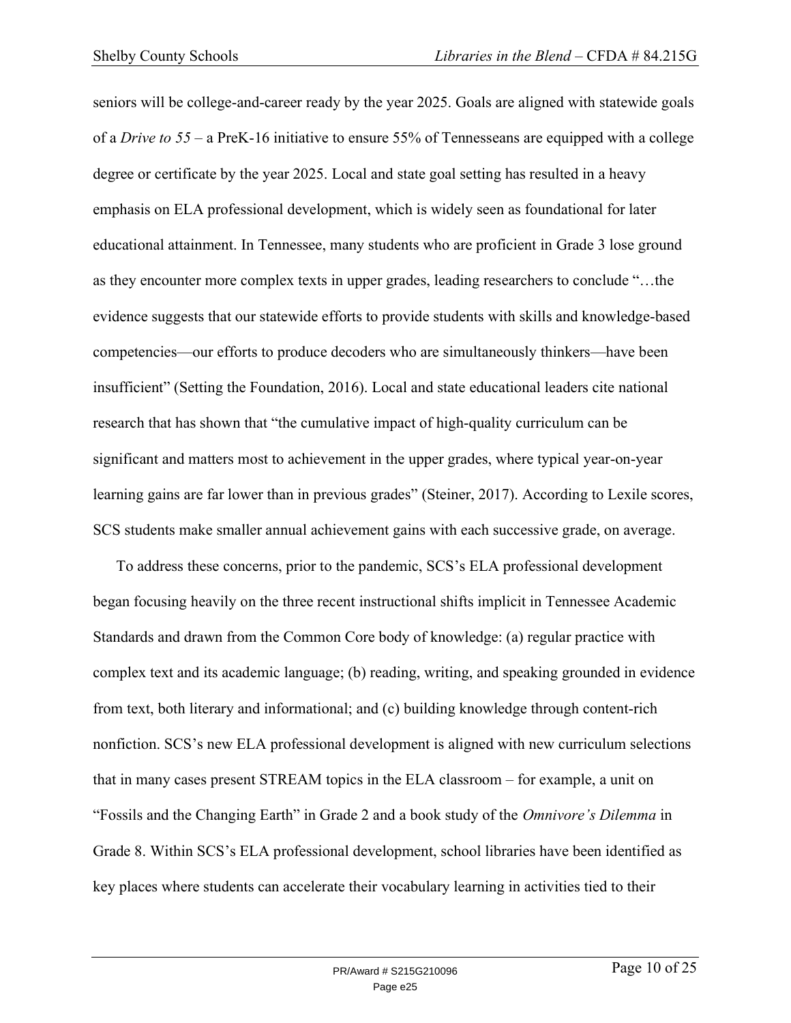seniors will be college-and-career ready by the year 2025. Goals are aligned with statewide goals of a Drive to 55 – a PreK-16 initiative to ensure 55% of Tennesseans are equipped with a college degree or certificate by the year 2025. Local and state goal setting has resulted in a heavy emphasis on ELA professional development, which is widely seen as foundational for later educational attainment. In Tennessee, many students who are proficient in Grade 3 lose ground as they encounter more complex texts in upper grades, leading researchers to conclude "…the evidence suggests that our statewide efforts to provide students with skills and knowledge-based competencies—our efforts to produce decoders who are simultaneously thinkers—have been insufficient" (Setting the Foundation, 2016). Local and state educational leaders cite national research that has shown that "the cumulative impact of high-quality curriculum can be significant and matters most to achievement in the upper grades, where typical year-on-year learning gains are far lower than in previous grades" (Steiner, 2017). According to Lexile scores, SCS students make smaller annual achievement gains with each successive grade, on average.

To address these concerns, prior to the pandemic, SCS's ELA professional development began focusing heavily on the three recent instructional shifts implicit in Tennessee Academic Standards and drawn from the Common Core body of knowledge: (a) regular practice with complex text and its academic language; (b) reading, writing, and speaking grounded in evidence from text, both literary and informational; and (c) building knowledge through content-rich nonfiction. SCS's new ELA professional development is aligned with new curriculum selections that in many cases present STREAM topics in the ELA classroom – for example, a unit on "Fossils and the Changing Earth" in Grade 2 and a book study of the Omnivore's Dilemma in Grade 8. Within SCS's ELA professional development, school libraries have been identified as key places where students can accelerate their vocabulary learning in activities tied to their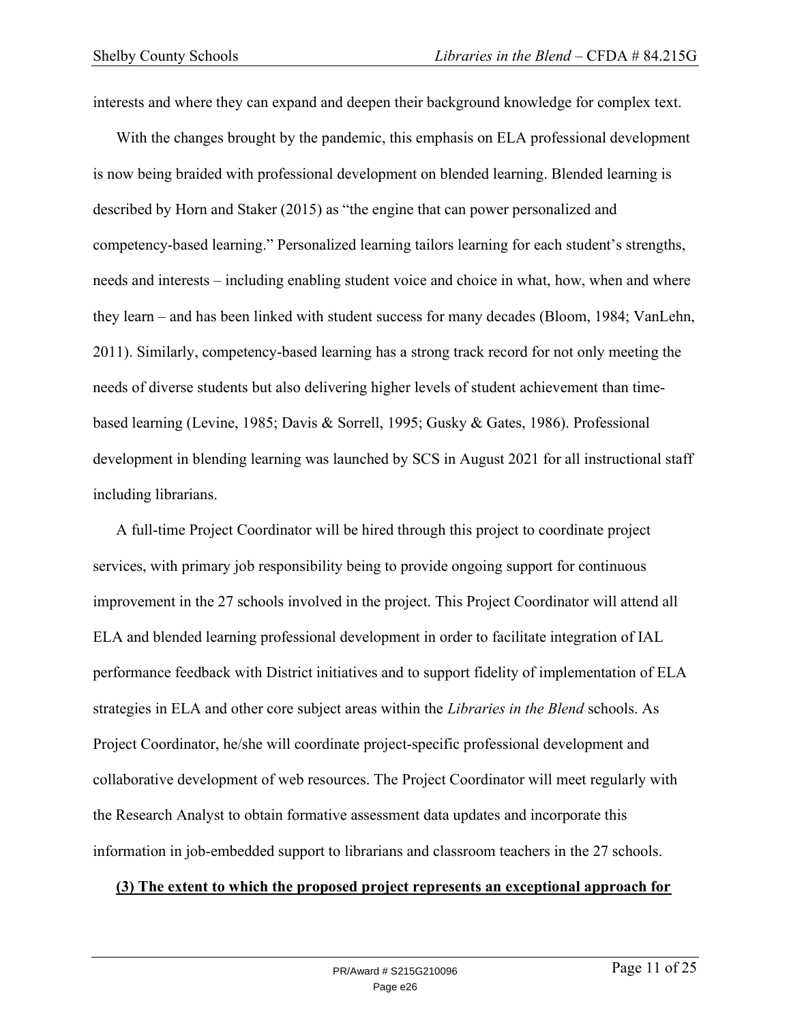interests and where they can expand and deepen their background knowledge for complex text.

With the changes brought by the pandemic, this emphasis on ELA professional development is now being braided with professional development on blended learning. Blended learning is described by Horn and Staker (2015) as "the engine that can power personalized and competency-based learning." Personalized learning tailors learning for each student's strengths, needs and interests – including enabling student voice and choice in what, how, when and where they learn – and has been linked with student success for many decades (Bloom, 1984; VanLehn, 2011). Similarly, competency-based learning has a strong track record for not only meeting the needs of diverse students but also delivering higher levels of student achievement than timebased learning (Levine, 1985; Davis & Sorrell, 1995; Gusky & Gates, 1986). Professional development in blending learning was launched by SCS in August 2021 for all instructional staff including librarians.

A full-time Project Coordinator will be hired through this project to coordinate project services, with primary job responsibility being to provide ongoing support for continuous improvement in the 27 schools involved in the project. This Project Coordinator will attend all ELA and blended learning professional development in order to facilitate integration of IAL performance feedback with District initiatives and to support fidelity of implementation of ELA strategies in ELA and other core subject areas within the *Libraries in the Blend* schools. As Project Coordinator, he/she will coordinate project-specific professional development and collaborative development of web resources. The Project Coordinator will meet regularly with the Research Analyst to obtain formative assessment data updates and incorporate this information in job-embedded support to librarians and classroom teachers in the 27 schools.

#### (3) The extent to which the proposed project represents an exceptional approach for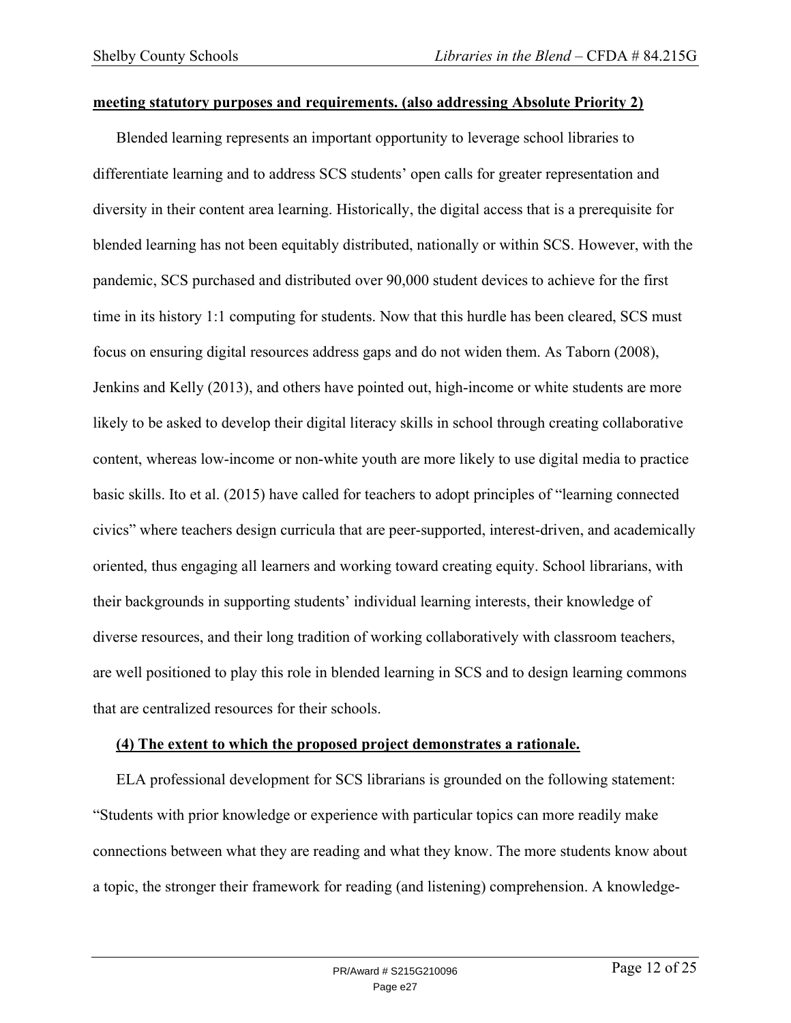#### meeting statutory purposes and requirements. (also addressing Absolute Priority 2)

Blended learning represents an important opportunity to leverage school libraries to differentiate learning and to address SCS students' open calls for greater representation and diversity in their content area learning. Historically, the digital access that is a prerequisite for blended learning has not been equitably distributed, nationally or within SCS. However, with the pandemic, SCS purchased and distributed over 90,000 student devices to achieve for the first time in its history 1:1 computing for students. Now that this hurdle has been cleared, SCS must focus on ensuring digital resources address gaps and do not widen them. As Taborn (2008), Jenkins and Kelly (2013), and others have pointed out, high-income or white students are more likely to be asked to develop their digital literacy skills in school through creating collaborative content, whereas low-income or non-white youth are more likely to use digital media to practice basic skills. Ito et al. (2015) have called for teachers to adopt principles of "learning connected civics" where teachers design curricula that are peer-supported, interest-driven, and academically oriented, thus engaging all learners and working toward creating equity. School librarians, with their backgrounds in supporting students' individual learning interests, their knowledge of diverse resources, and their long tradition of working collaboratively with classroom teachers, are well positioned to play this role in blended learning in SCS and to design learning commons that are centralized resources for their schools.

#### (4) The extent to which the proposed project demonstrates a rationale.

ELA professional development for SCS librarians is grounded on the following statement: "Students with prior knowledge or experience with particular topics can more readily make connections between what they are reading and what they know. The more students know about a topic, the stronger their framework for reading (and listening) comprehension. A knowledge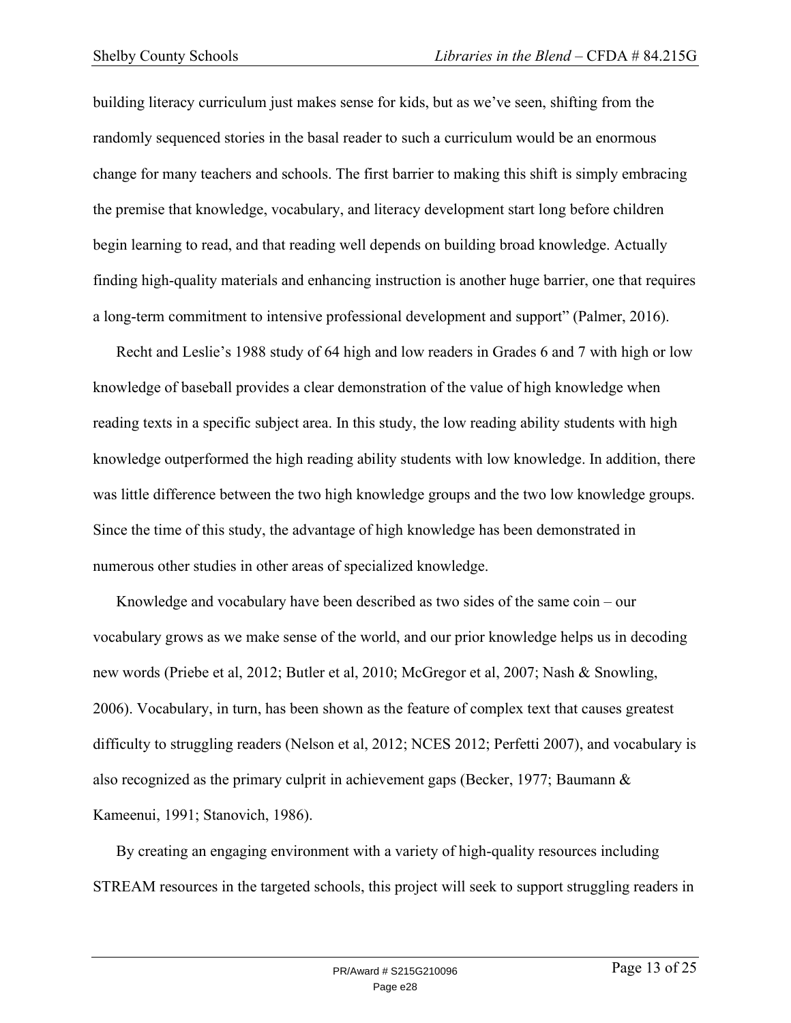building literacy curriculum just makes sense for kids, but as we've seen, shifting from the randomly sequenced stories in the basal reader to such a curriculum would be an enormous change for many teachers and schools. The first barrier to making this shift is simply embracing the premise that knowledge, vocabulary, and literacy development start long before children begin learning to read, and that reading well depends on building broad knowledge. Actually finding high-quality materials and enhancing instruction is another huge barrier, one that requires a long-term commitment to intensive professional development and support" (Palmer, 2016).

Recht and Leslie's 1988 study of 64 high and low readers in Grades 6 and 7 with high or low knowledge of baseball provides a clear demonstration of the value of high knowledge when reading texts in a specific subject area. In this study, the low reading ability students with high knowledge outperformed the high reading ability students with low knowledge. In addition, there was little difference between the two high knowledge groups and the two low knowledge groups. Since the time of this study, the advantage of high knowledge has been demonstrated in numerous other studies in other areas of specialized knowledge.

Knowledge and vocabulary have been described as two sides of the same coin – our vocabulary grows as we make sense of the world, and our prior knowledge helps us in decoding new words (Priebe et al, 2012; Butler et al, 2010; McGregor et al, 2007; Nash & Snowling, 2006). Vocabulary, in turn, has been shown as the feature of complex text that causes greatest difficulty to struggling readers (Nelson et al, 2012; NCES 2012; Perfetti 2007), and vocabulary is also recognized as the primary culprit in achievement gaps (Becker, 1977; Baumann & Kameenui, 1991; Stanovich, 1986).

By creating an engaging environment with a variety of high-quality resources including STREAM resources in the targeted schools, this project will seek to support struggling readers in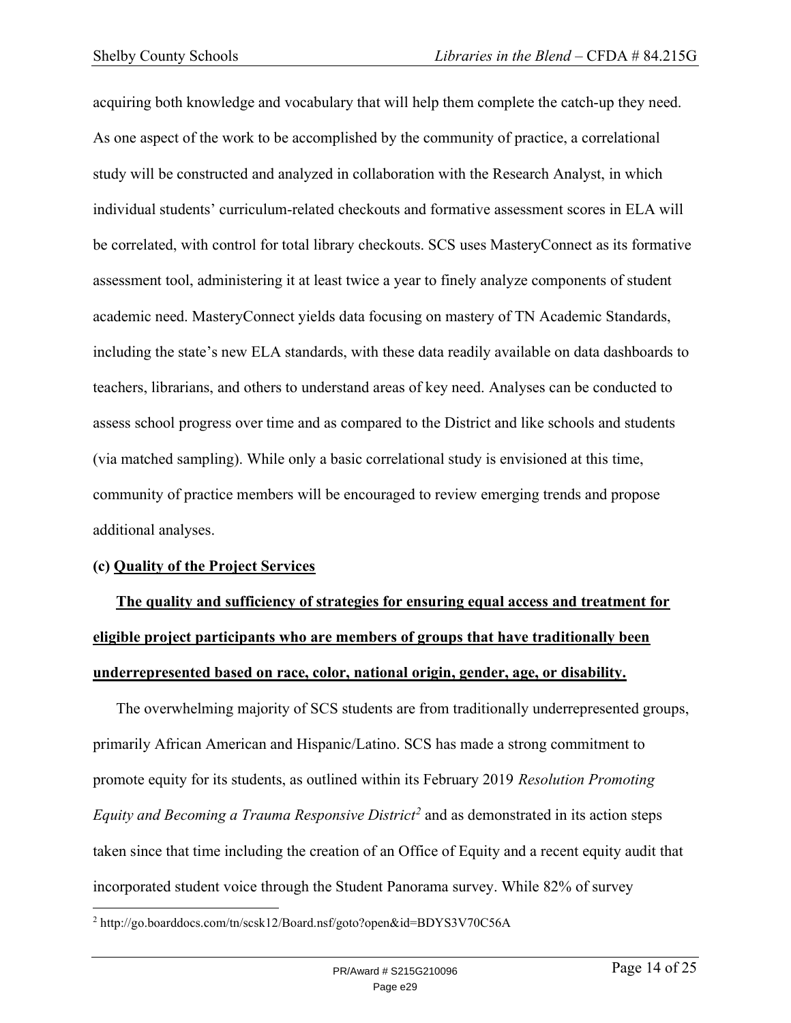acquiring both knowledge and vocabulary that will help them complete the catch-up they need. As one aspect of the work to be accomplished by the community of practice, a correlational study will be constructed and analyzed in collaboration with the Research Analyst, in which individual students' curriculum-related checkouts and formative assessment scores in ELA will be correlated, with control for total library checkouts. SCS uses MasteryConnect as its formative assessment tool, administering it at least twice a year to finely analyze components of student academic need. MasteryConnect yields data focusing on mastery of TN Academic Standards, including the state's new ELA standards, with these data readily available on data dashboards to teachers, librarians, and others to understand areas of key need. Analyses can be conducted to assess school progress over time and as compared to the District and like schools and students (via matched sampling). While only a basic correlational study is envisioned at this time, community of practice members will be encouraged to review emerging trends and propose additional analyses.

#### (c) Quality of the Project Services

The quality and sufficiency of strategies for ensuring equal access and treatment for eligible project participants who are members of groups that have traditionally been underrepresented based on race, color, national origin, gender, age, or disability.

The overwhelming majority of SCS students are from traditionally underrepresented groups, primarily African American and Hispanic/Latino. SCS has made a strong commitment to promote equity for its students, as outlined within its February 2019 Resolution Promoting Equity and Becoming a Trauma Responsive District<sup>2</sup> and as demonstrated in its action steps taken since that time including the creation of an Office of Equity and a recent equity audit that incorporated student voice through the Student Panorama survey. While 82% of survey

<sup>&</sup>lt;sup>2</sup> http://go.boarddocs.com/tn/scsk12/Board.nsf/goto?open&id=BDYS3V70C56A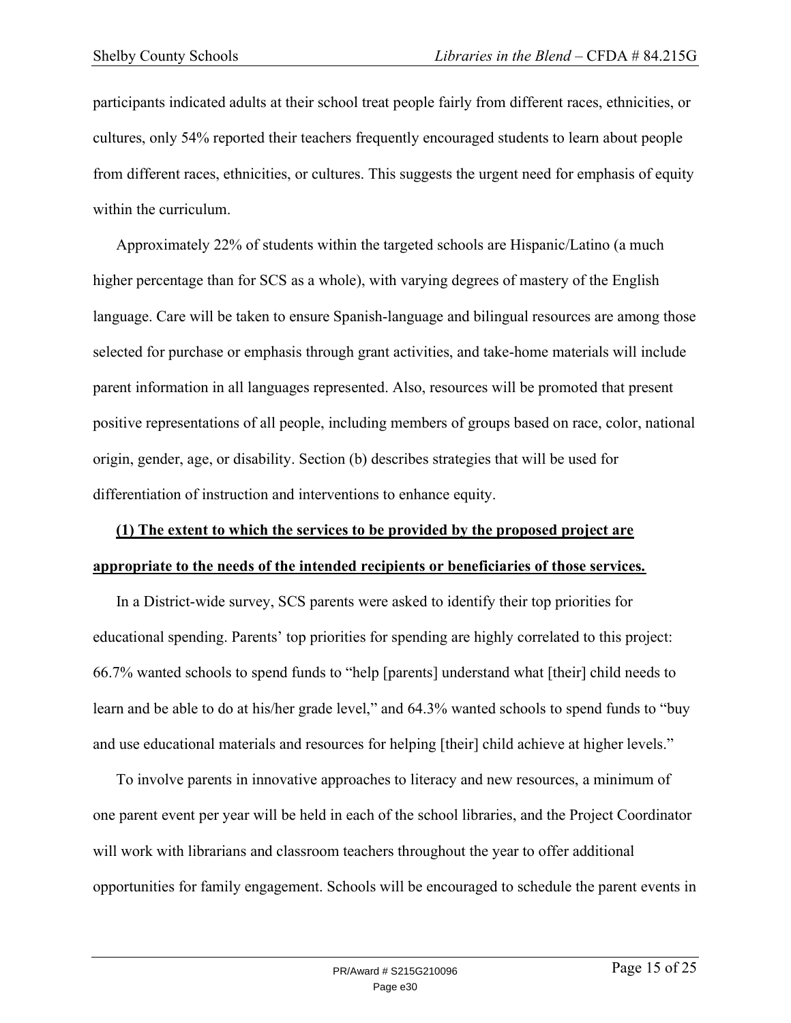participants indicated adults at their school treat people fairly from different races, ethnicities, or cultures, only 54% reported their teachers frequently encouraged students to learn about people from different races, ethnicities, or cultures. This suggests the urgent need for emphasis of equity within the curriculum.

Approximately 22% of students within the targeted schools are Hispanic/Latino (a much higher percentage than for SCS as a whole), with varying degrees of mastery of the English language. Care will be taken to ensure Spanish-language and bilingual resources are among those selected for purchase or emphasis through grant activities, and take-home materials will include parent information in all languages represented. Also, resources will be promoted that present positive representations of all people, including members of groups based on race, color, national origin, gender, age, or disability. Section (b) describes strategies that will be used for differentiation of instruction and interventions to enhance equity.

# (1) The extent to which the services to be provided by the proposed project are appropriate to the needs of the intended recipients or beneficiaries of those services.

In a District-wide survey, SCS parents were asked to identify their top priorities for educational spending. Parents' top priorities for spending are highly correlated to this project: 66.7% wanted schools to spend funds to "help [parents] understand what [their] child needs to learn and be able to do at his/her grade level," and 64.3% wanted schools to spend funds to "buy and use educational materials and resources for helping [their] child achieve at higher levels."

To involve parents in innovative approaches to literacy and new resources, a minimum of one parent event per year will be held in each of the school libraries, and the Project Coordinator will work with librarians and classroom teachers throughout the year to offer additional opportunities for family engagement. Schools will be encouraged to schedule the parent events in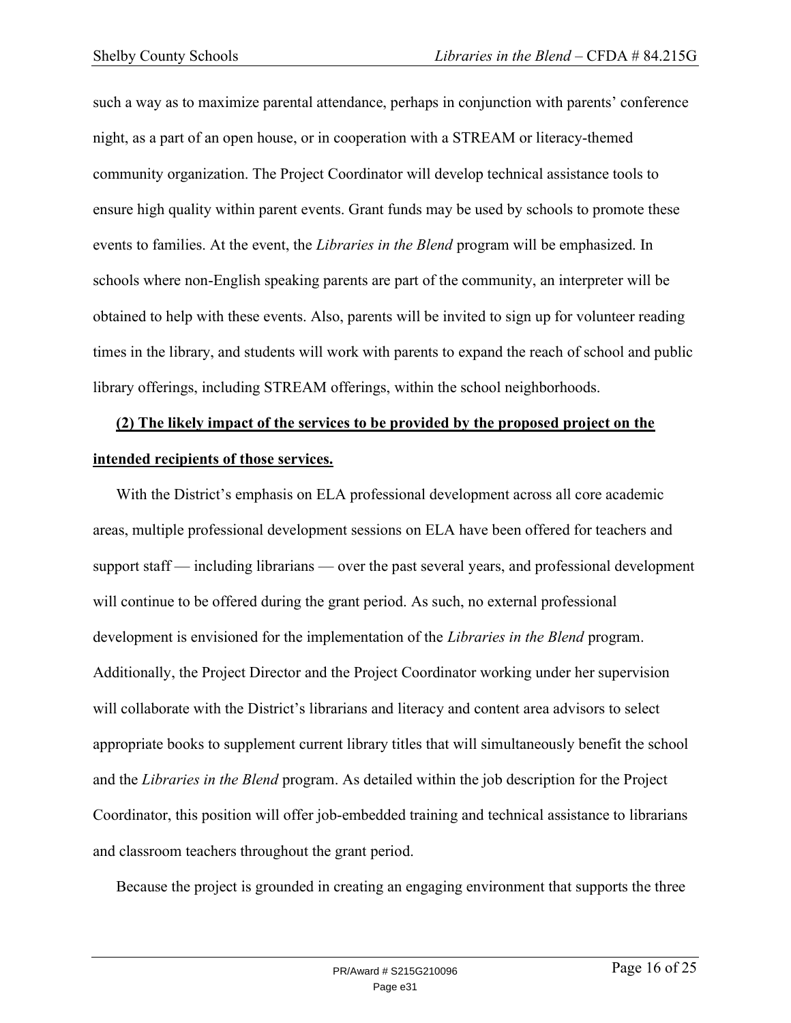such a way as to maximize parental attendance, perhaps in conjunction with parents' conference night, as a part of an open house, or in cooperation with a STREAM or literacy-themed community organization. The Project Coordinator will develop technical assistance tools to ensure high quality within parent events. Grant funds may be used by schools to promote these events to families. At the event, the *Libraries in the Blend* program will be emphasized. In schools where non-English speaking parents are part of the community, an interpreter will be obtained to help with these events. Also, parents will be invited to sign up for volunteer reading times in the library, and students will work with parents to expand the reach of school and public library offerings, including STREAM offerings, within the school neighborhoods.

# (2) The likely impact of the services to be provided by the proposed project on the intended recipients of those services.

With the District's emphasis on ELA professional development across all core academic areas, multiple professional development sessions on ELA have been offered for teachers and support staff — including librarians — over the past several years, and professional development will continue to be offered during the grant period. As such, no external professional development is envisioned for the implementation of the Libraries in the Blend program. Additionally, the Project Director and the Project Coordinator working under her supervision will collaborate with the District's librarians and literacy and content area advisors to select appropriate books to supplement current library titles that will simultaneously benefit the school and the *Libraries in the Blend* program. As detailed within the job description for the Project Coordinator, this position will offer job-embedded training and technical assistance to librarians and classroom teachers throughout the grant period.

Because the project is grounded in creating an engaging environment that supports the three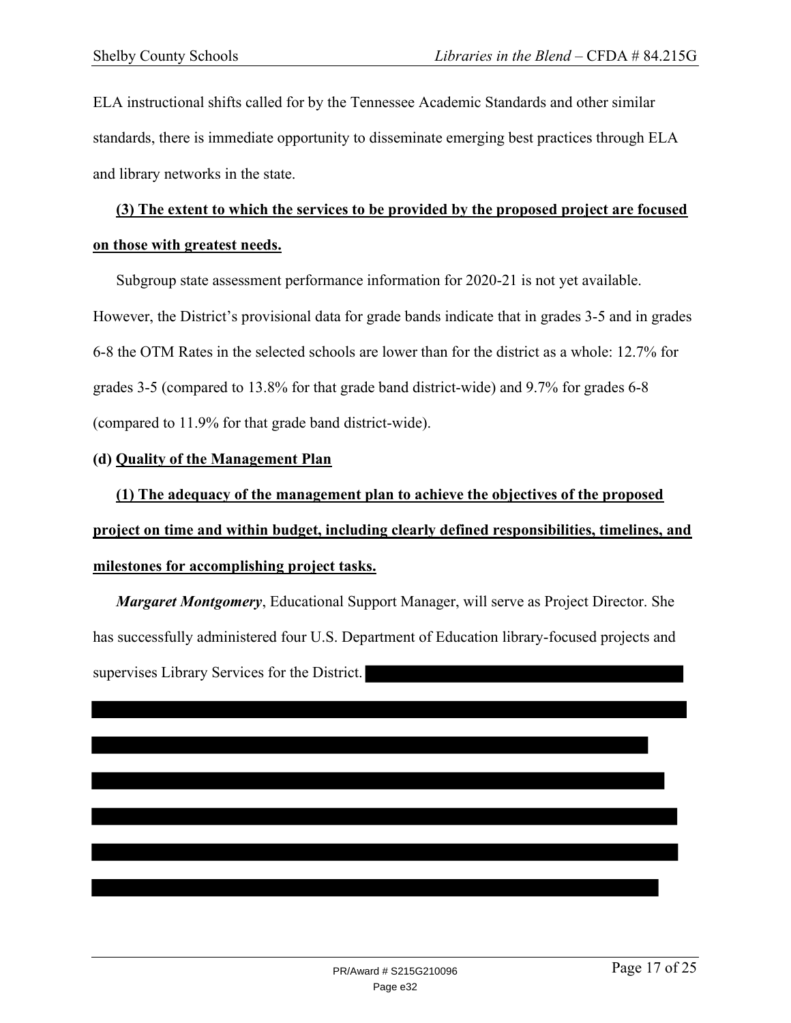ELA instructional shifts called for by the Tennessee Academic Standards and other similar standards, there is immediate opportunity to disseminate emerging best practices through ELA and library networks in the state.

# (3) The extent to which the services to be provided by the proposed project are focused on those with greatest needs.

Subgroup state assessment performance information for 2020-21 is not yet available. However, the District's provisional data for grade bands indicate that in grades 3-5 and in grades 6-8 the OTM Rates in the selected schools are lower than for the district as a whole: 12.7% for grades 3-5 (compared to 13.8% for that grade band district-wide) and 9.7% for grades 6-8 (compared to 11.9% for that grade band district-wide).

#### (d) Quality of the Management Plan

(1) The adequacy of the management plan to achieve the objectives of the proposed project on time and within budget, including clearly defined responsibilities, timelines, and milestones for accomplishing project tasks.

**Margaret Montgomery, Educational Support Manager, will serve as Project Director. She** has successfully administered four U.S. Department of Education library-focused projects and supervises Library Services for the District.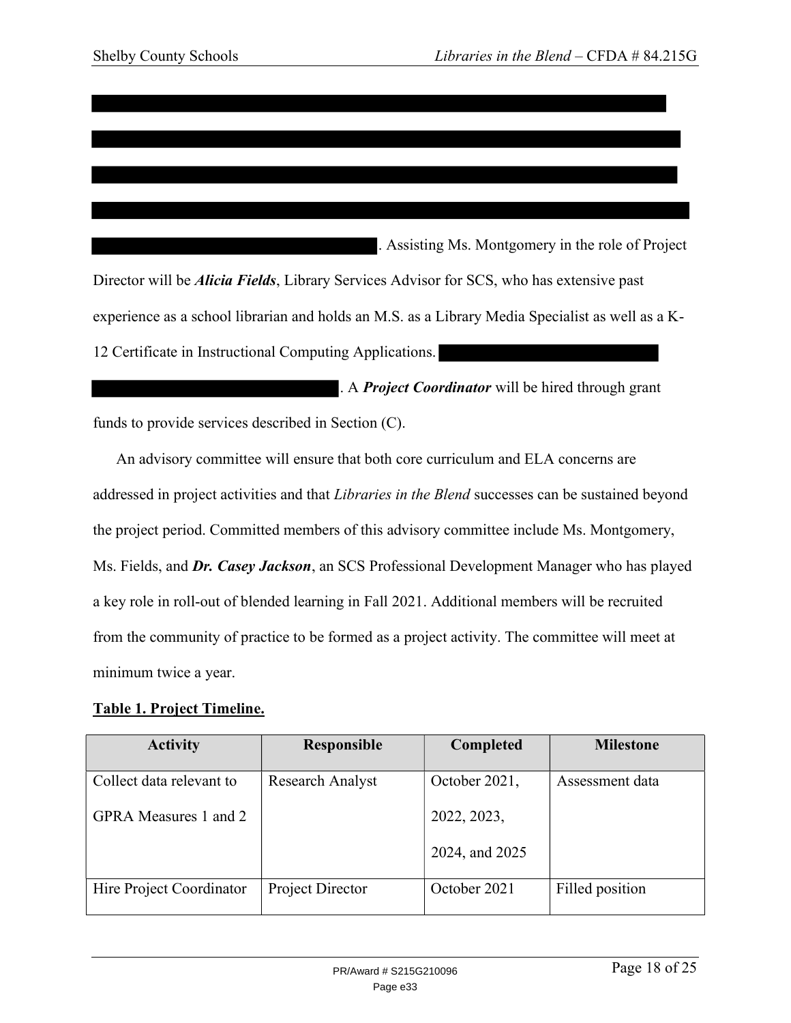. Assisting Ms. Montgomery in the role of Project Director will be *Alicia Fields*, Library Services Advisor for SCS, who has extensive past experience as a school librarian and holds an M.S. as a Library Media Specialist as well as a K-12 Certificate in Instructional Computing Applications.

. A Project Coordinator will be hired through grant funds to provide services described in Section (C).

An advisory committee will ensure that both core curriculum and ELA concerns are addressed in project activities and that Libraries in the Blend successes can be sustained beyond the project period. Committed members of this advisory committee include Ms. Montgomery, Ms. Fields, and Dr. Casey Jackson, an SCS Professional Development Manager who has played a key role in roll-out of blended learning in Fall 2021. Additional members will be recruited from the community of practice to be formed as a project activity. The committee will meet at minimum twice a year.

#### Table 1. Project Timeline.

| <b>Activity</b>          | <b>Responsible</b> | Completed      | <b>Milestone</b> |
|--------------------------|--------------------|----------------|------------------|
| Collect data relevant to | Research Analyst   | October 2021,  | Assessment data  |
| GPRA Measures 1 and 2    |                    | 2022, 2023,    |                  |
|                          |                    | 2024, and 2025 |                  |
| Hire Project Coordinator | Project Director   | October 2021   | Filled position  |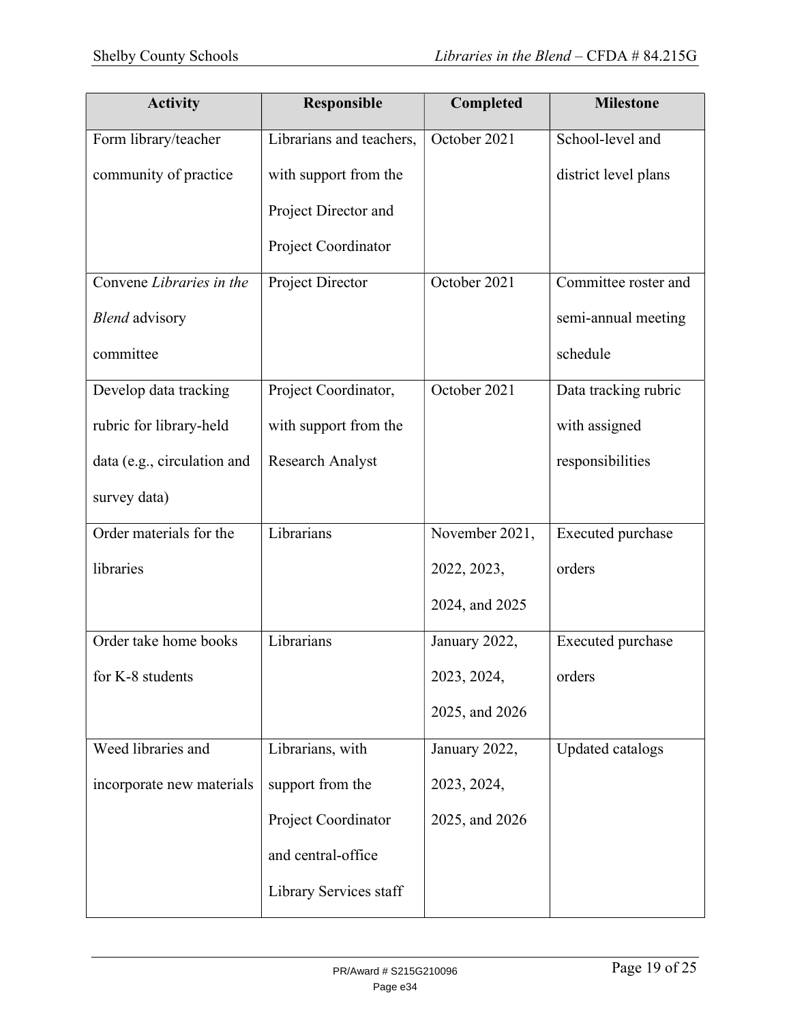| <b>Activity</b>             | Responsible              | Completed      | <b>Milestone</b>         |
|-----------------------------|--------------------------|----------------|--------------------------|
| Form library/teacher        | Librarians and teachers, | October 2021   | School-level and         |
| community of practice       | with support from the    |                | district level plans     |
|                             | Project Director and     |                |                          |
|                             | Project Coordinator      |                |                          |
| Convene Libraries in the    | Project Director         | October 2021   | Committee roster and     |
| <i>Blend</i> advisory       |                          |                | semi-annual meeting      |
| committee                   |                          |                | schedule                 |
| Develop data tracking       | Project Coordinator,     | October 2021   | Data tracking rubric     |
| rubric for library-held     | with support from the    |                | with assigned            |
| data (e.g., circulation and | <b>Research Analyst</b>  |                | responsibilities         |
| survey data)                |                          |                |                          |
| Order materials for the     | Librarians               | November 2021, | <b>Executed</b> purchase |
| libraries                   |                          | 2022, 2023,    | orders                   |
|                             |                          | 2024, and 2025 |                          |
| Order take home books       | Librarians               | January 2022,  | <b>Executed</b> purchase |
| for K-8 students            |                          | 2023, 2024,    | orders                   |
|                             |                          | 2025, and 2026 |                          |
| Weed libraries and          | Librarians, with         | January 2022,  | Updated catalogs         |
| incorporate new materials   | support from the         | 2023, 2024,    |                          |
|                             | Project Coordinator      | 2025, and 2026 |                          |
|                             | and central-office       |                |                          |
|                             | Library Services staff   |                |                          |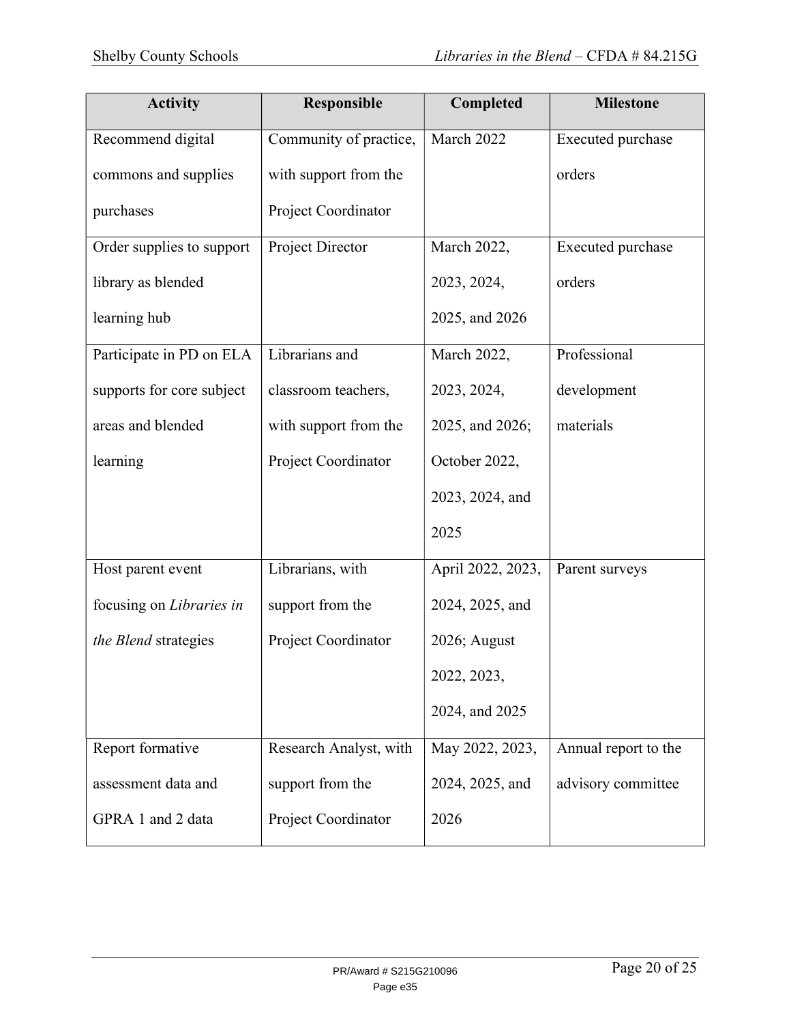| <b>Activity</b>           | Responsible            | Completed         | <b>Milestone</b>         |
|---------------------------|------------------------|-------------------|--------------------------|
| Recommend digital         | Community of practice, | March 2022        | <b>Executed</b> purchase |
| commons and supplies      | with support from the  |                   | orders                   |
| purchases                 | Project Coordinator    |                   |                          |
| Order supplies to support | Project Director       | March 2022,       | <b>Executed</b> purchase |
| library as blended        |                        | 2023, 2024,       | orders                   |
| learning hub              |                        | 2025, and 2026    |                          |
| Participate in PD on ELA  | Librarians and         | March 2022,       | Professional             |
| supports for core subject | classroom teachers,    | 2023, 2024,       | development              |
| areas and blended         | with support from the  | 2025, and 2026;   | materials                |
| learning                  | Project Coordinator    | October 2022,     |                          |
|                           |                        | 2023, 2024, and   |                          |
|                           |                        | 2025              |                          |
| Host parent event         | Librarians, with       | April 2022, 2023, | Parent surveys           |
| focusing on Libraries in  | support from the       | 2024, 2025, and   |                          |
| the Blend strategies      | Project Coordinator    | 2026; August      |                          |
|                           |                        | 2022, 2023,       |                          |
|                           |                        | 2024, and 2025    |                          |
| Report formative          | Research Analyst, with | May 2022, 2023,   | Annual report to the     |
| assessment data and       | support from the       | 2024, 2025, and   | advisory committee       |
| GPRA 1 and 2 data         | Project Coordinator    | 2026              |                          |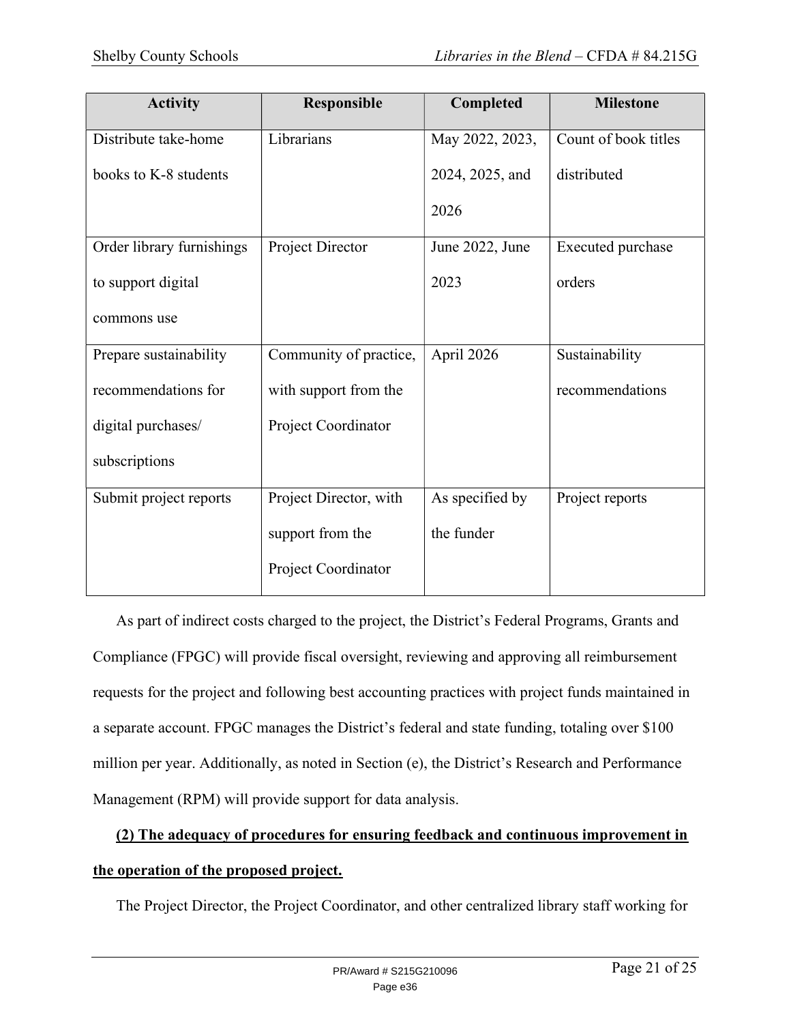| <b>Activity</b>           | Responsible            | Completed       | <b>Milestone</b>     |
|---------------------------|------------------------|-----------------|----------------------|
| Distribute take-home      | Librarians             | May 2022, 2023, | Count of book titles |
| books to K-8 students     |                        | 2024, 2025, and | distributed          |
|                           |                        | 2026            |                      |
| Order library furnishings | Project Director       | June 2022, June | Executed purchase    |
| to support digital        |                        | 2023            | orders               |
| commons use               |                        |                 |                      |
| Prepare sustainability    | Community of practice, | April 2026      | Sustainability       |
| recommendations for       | with support from the  |                 | recommendations      |
| digital purchases/        | Project Coordinator    |                 |                      |
| subscriptions             |                        |                 |                      |
| Submit project reports    | Project Director, with | As specified by | Project reports      |
|                           | support from the       | the funder      |                      |
|                           | Project Coordinator    |                 |                      |

As part of indirect costs charged to the project, the District's Federal Programs, Grants and Compliance (FPGC) will provide fiscal oversight, reviewing and approving all reimbursement requests for the project and following best accounting practices with project funds maintained in a separate account. FPGC manages the District's federal and state funding, totaling over \$100 million per year. Additionally, as noted in Section (e), the District's Research and Performance Management (RPM) will provide support for data analysis.

# (2) The adequacy of procedures for ensuring feedback and continuous improvement in the operation of the proposed project.

The Project Director, the Project Coordinator, and other centralized library staff working for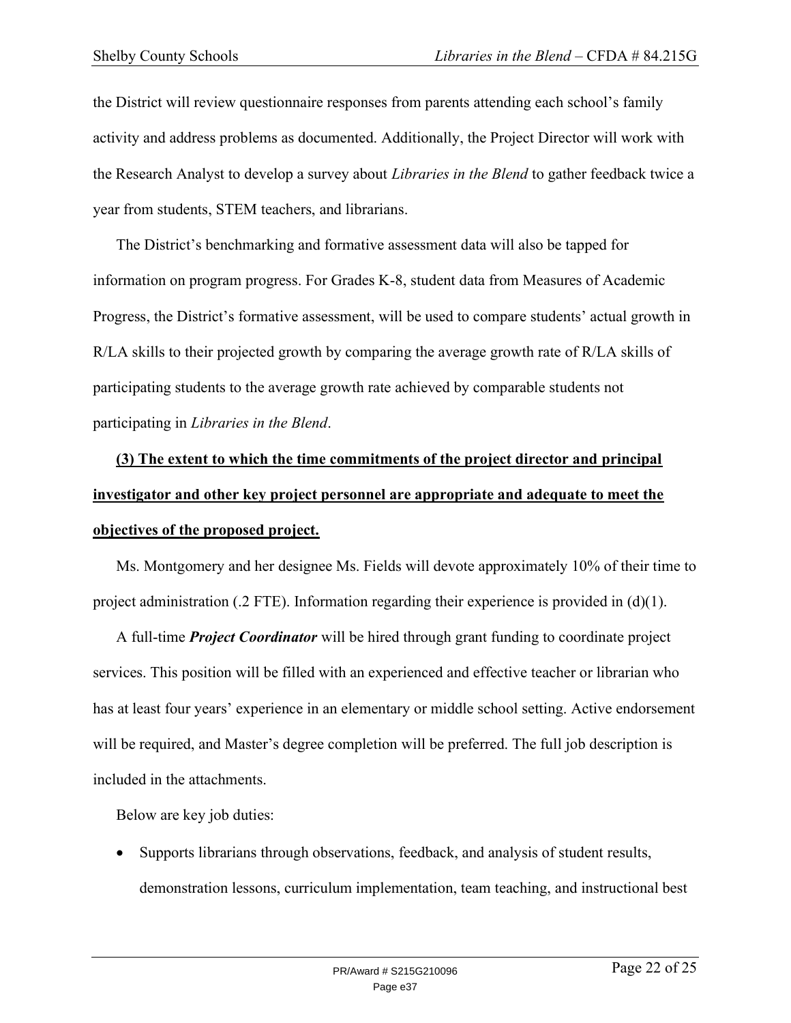the District will review questionnaire responses from parents attending each school's family activity and address problems as documented. Additionally, the Project Director will work with the Research Analyst to develop a survey about Libraries in the Blend to gather feedback twice a year from students, STEM teachers, and librarians.

The District's benchmarking and formative assessment data will also be tapped for information on program progress. For Grades K-8, student data from Measures of Academic Progress, the District's formative assessment, will be used to compare students' actual growth in R/LA skills to their projected growth by comparing the average growth rate of R/LA skills of participating students to the average growth rate achieved by comparable students not participating in Libraries in the Blend.

# (3) The extent to which the time commitments of the project director and principal investigator and other key project personnel are appropriate and adequate to meet the objectives of the proposed project.

Ms. Montgomery and her designee Ms. Fields will devote approximately 10% of their time to project administration (.2 FTE). Information regarding their experience is provided in (d)(1).

A full-time *Project Coordinator* will be hired through grant funding to coordinate project services. This position will be filled with an experienced and effective teacher or librarian who has at least four years' experience in an elementary or middle school setting. Active endorsement will be required, and Master's degree completion will be preferred. The full job description is included in the attachments.

Below are key job duties:

 Supports librarians through observations, feedback, and analysis of student results, demonstration lessons, curriculum implementation, team teaching, and instructional best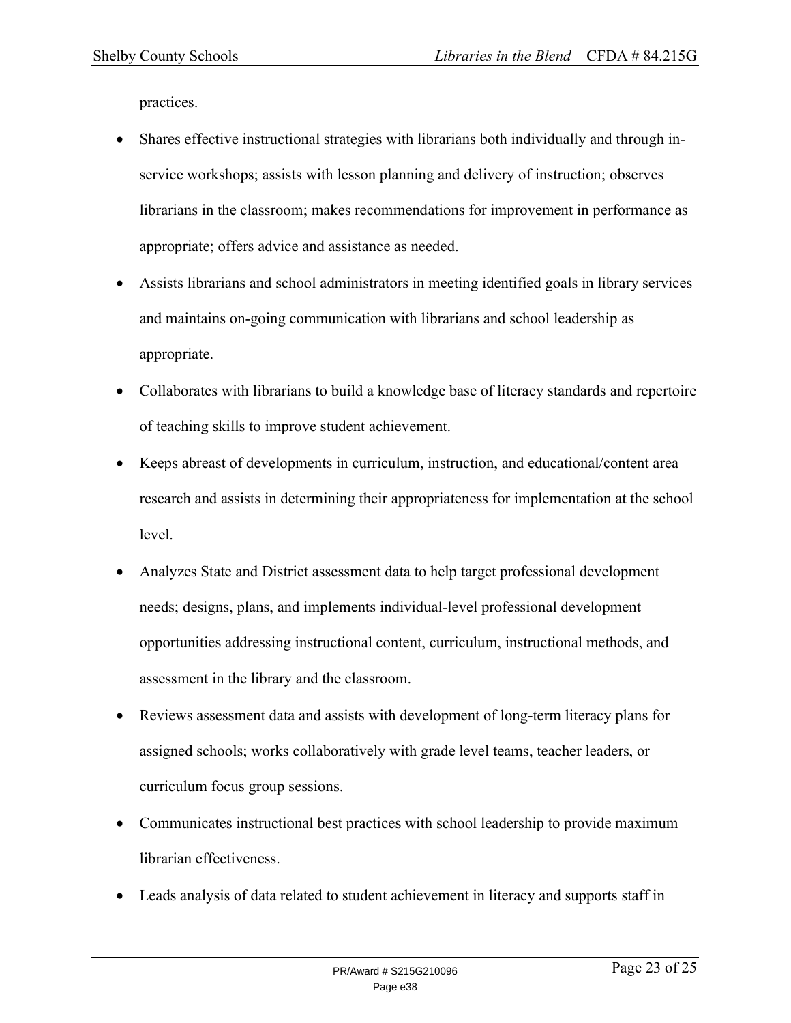practices.

- Shares effective instructional strategies with librarians both individually and through inservice workshops; assists with lesson planning and delivery of instruction; observes librarians in the classroom; makes recommendations for improvement in performance as appropriate; offers advice and assistance as needed.
- Assists librarians and school administrators in meeting identified goals in library services and maintains on-going communication with librarians and school leadership as appropriate.
- Collaborates with librarians to build a knowledge base of literacy standards and repertoire of teaching skills to improve student achievement.
- Keeps abreast of developments in curriculum, instruction, and educational/content area research and assists in determining their appropriateness for implementation at the school level.
- Analyzes State and District assessment data to help target professional development needs; designs, plans, and implements individual-level professional development opportunities addressing instructional content, curriculum, instructional methods, and assessment in the library and the classroom.
- Reviews assessment data and assists with development of long-term literacy plans for assigned schools; works collaboratively with grade level teams, teacher leaders, or curriculum focus group sessions.
- Communicates instructional best practices with school leadership to provide maximum librarian effectiveness.
- Leads analysis of data related to student achievement in literacy and supports staff in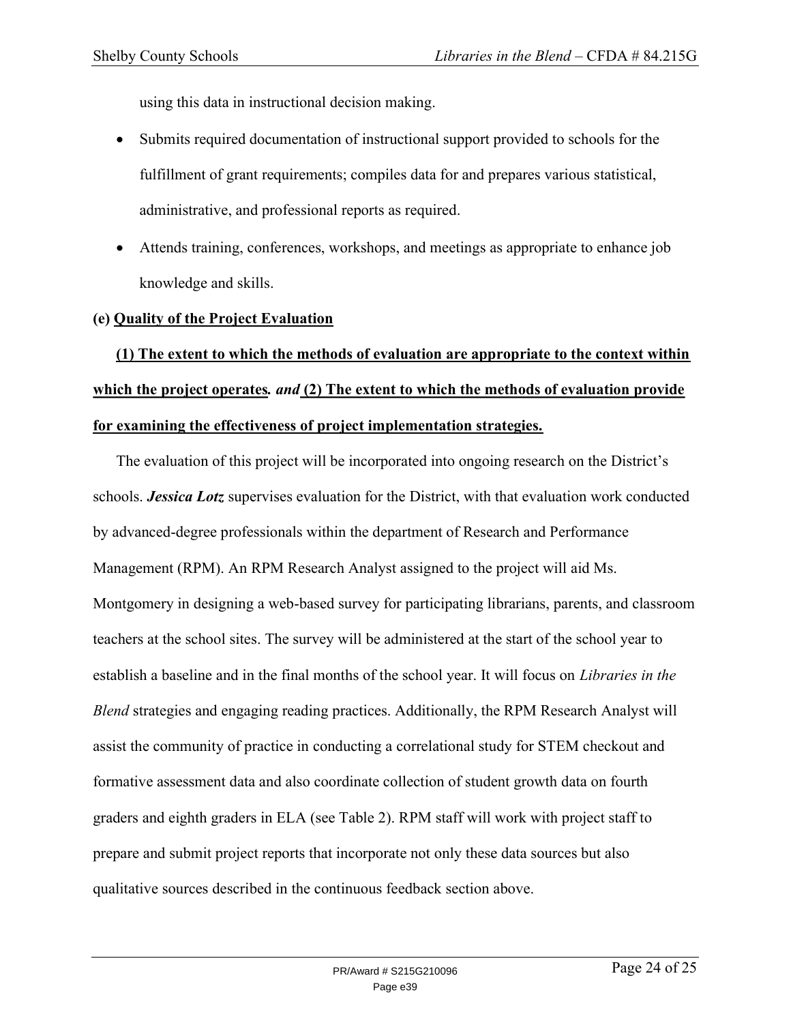using this data in instructional decision making.

- Submits required documentation of instructional support provided to schools for the fulfillment of grant requirements; compiles data for and prepares various statistical, administrative, and professional reports as required.
- Attends training, conferences, workshops, and meetings as appropriate to enhance job knowledge and skills.

#### (e) Quality of the Project Evaluation

# (1) The extent to which the methods of evaluation are appropriate to the context within which the project operates.  $and (2)$  The extent to which the methods of evaluation provide for examining the effectiveness of project implementation strategies.

The evaluation of this project will be incorporated into ongoing research on the District's schools. **Jessica Lotz** supervises evaluation for the District, with that evaluation work conducted by advanced-degree professionals within the department of Research and Performance Management (RPM). An RPM Research Analyst assigned to the project will aid Ms. Montgomery in designing a web-based survey for participating librarians, parents, and classroom teachers at the school sites. The survey will be administered at the start of the school year to establish a baseline and in the final months of the school year. It will focus on Libraries in the Blend strategies and engaging reading practices. Additionally, the RPM Research Analyst will assist the community of practice in conducting a correlational study for STEM checkout and formative assessment data and also coordinate collection of student growth data on fourth graders and eighth graders in ELA (see Table 2). RPM staff will work with project staff to prepare and submit project reports that incorporate not only these data sources but also qualitative sources described in the continuous feedback section above.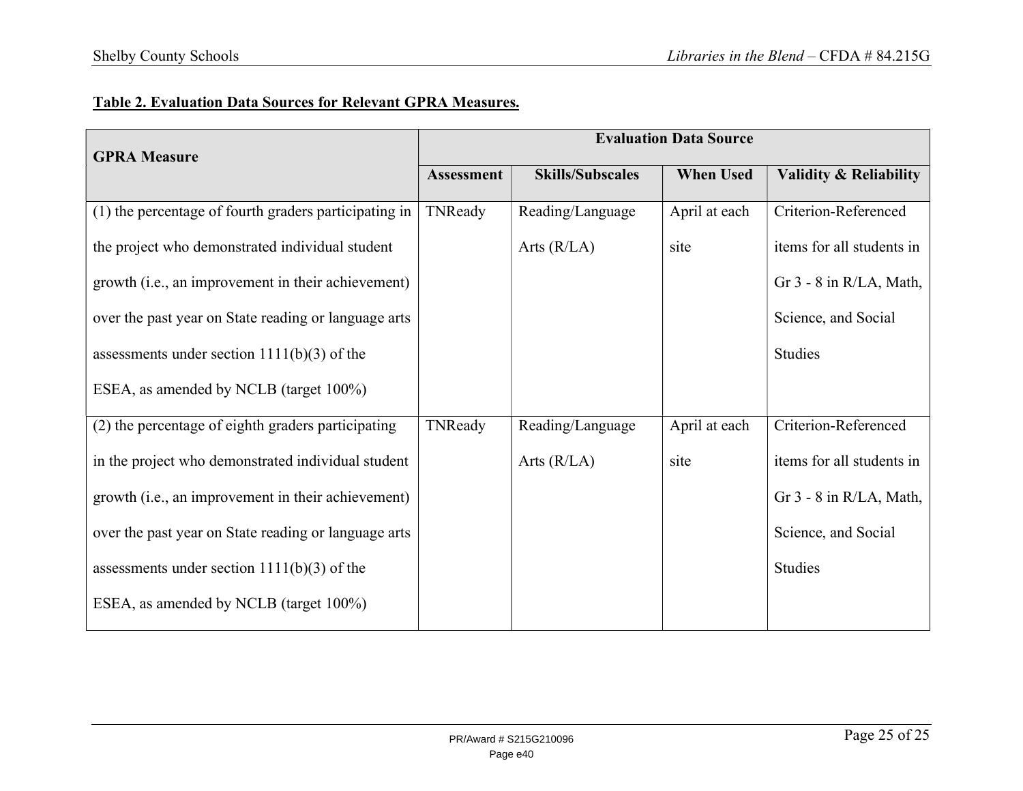### Table 2. Evaluation Data Sources for Relevant GPRA Measures.

| <b>GPRA Measure</b>                                   | <b>Evaluation Data Source</b> |                         |                  |                                   |  |  |
|-------------------------------------------------------|-------------------------------|-------------------------|------------------|-----------------------------------|--|--|
|                                                       | <b>Assessment</b>             | <b>Skills/Subscales</b> | <b>When Used</b> | <b>Validity &amp; Reliability</b> |  |  |
| (1) the percentage of fourth graders participating in | TNReady                       | Reading/Language        | April at each    | Criterion-Referenced              |  |  |
| the project who demonstrated individual student       |                               | Arts $(R/LA)$           | site             | items for all students in         |  |  |
| growth (i.e., an improvement in their achievement)    |                               |                         |                  | Gr $3 - 8$ in R/LA, Math,         |  |  |
| over the past year on State reading or language arts  |                               |                         |                  | Science, and Social               |  |  |
| assessments under section $1111(b)(3)$ of the         |                               |                         |                  | Studies                           |  |  |
| ESEA, as amended by NCLB (target 100%)                |                               |                         |                  |                                   |  |  |
| (2) the percentage of eighth graders participating    | TNReady                       | Reading/Language        | April at each    | Criterion-Referenced              |  |  |
| in the project who demonstrated individual student    |                               | Arts $(R/LA)$           | site             | items for all students in         |  |  |
| growth (i.e., an improvement in their achievement)    |                               |                         |                  | Gr $3 - 8$ in R/LA, Math,         |  |  |
| over the past year on State reading or language arts  |                               |                         |                  | Science, and Social               |  |  |
| assessments under section $1111(b)(3)$ of the         |                               |                         |                  | <b>Studies</b>                    |  |  |
| ESEA, as amended by NCLB (target 100%)                |                               |                         |                  |                                   |  |  |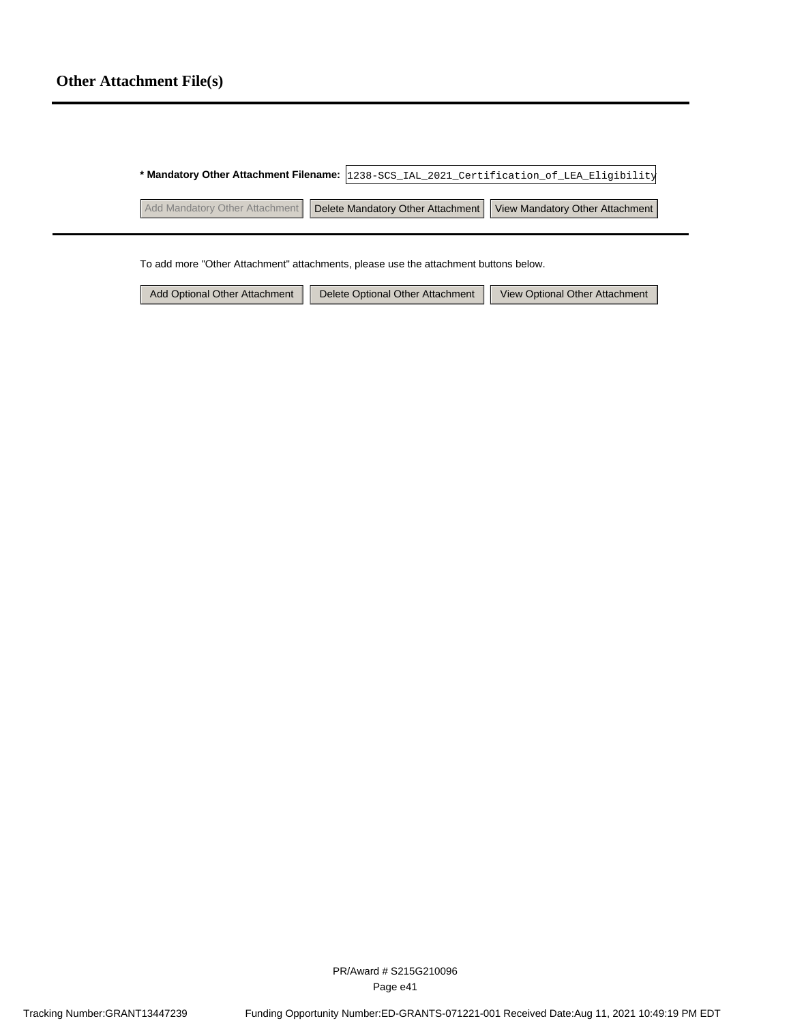| * Mandatory Other Attachment Filename: 1238-SCS_IAL_2021_Certification_of_LEA_Eligibility            |  |
|------------------------------------------------------------------------------------------------------|--|
| Add Mandatory Other Attachment   Delete Mandatory Other Attachment   View Mandatory Other Attachment |  |

To add more "Other Attachment" attachments, please use the attachment buttons below.

Add Optional Other Attachment | Delete Optional Other Attachment | View Optional Other Attachment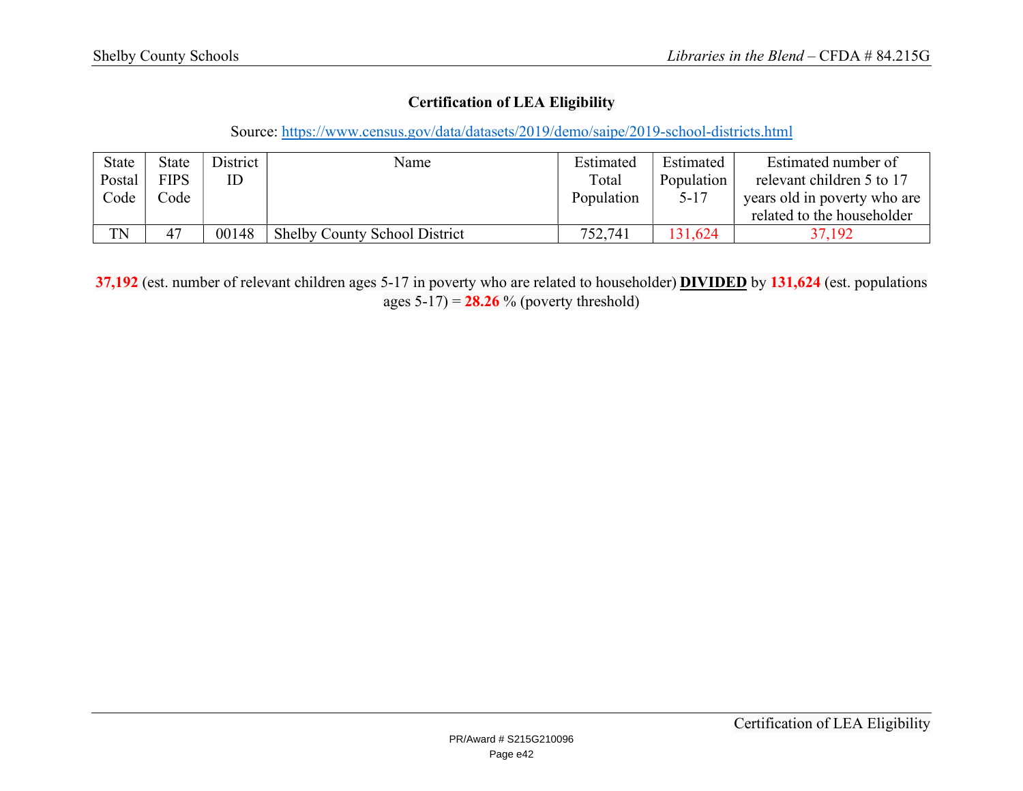### Certification of LEA Eligibility

Source: https://www.census.gov/data/datasets/2019/demo/saipe/2019-school-districts.html

| <b>State</b>    | State       | District | Name                                 | Estimated  | Estimated  | Estimated number of          |
|-----------------|-------------|----------|--------------------------------------|------------|------------|------------------------------|
| Postal          | <b>FIPS</b> | ID       |                                      | Total      | Population | relevant children 5 to 17    |
| $\mathrm{Code}$ | Code        |          |                                      | Population | $5 - 17$   | years old in poverty who are |
|                 |             |          |                                      |            |            | related to the householder   |
| TN              | 47          | 00148    | <b>Shelby County School District</b> | 752,741    | 131.624    | 37.192                       |

37,192 (est. number of relevant children ages 5-17 in poverty who are related to householder) **DIVIDED** by 131,624 (est. populations ages  $5-17$ ) = **28.26** % (poverty threshold)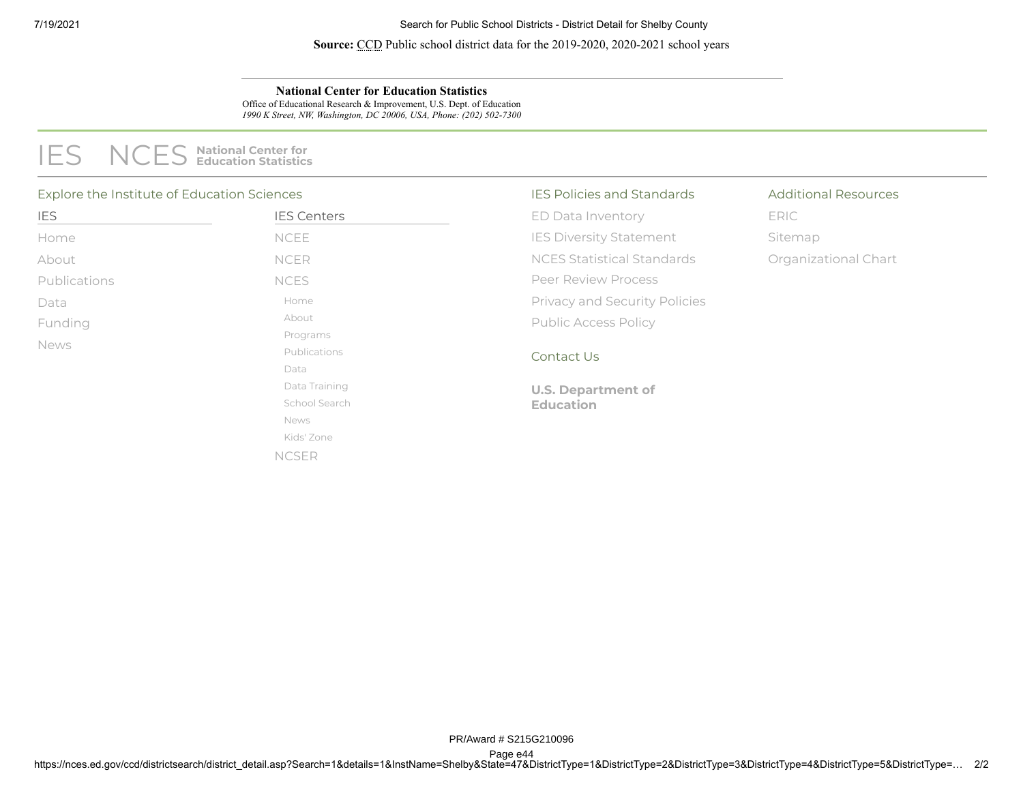#### 7/19/2021 Search for Public School Districts - District Detail for Shelby County

#### **Source:** CCD Public school district data for the 2019-2020, 2020-2021 school years

#### **National Center for Education Statistics**

Office of Educational Research & Improvement, U.S. Dept. of Education *1990 K Street, NW, Washington, DC 20006, USA, Phone: (202) 502-7300*

IES NCES **National Center for Education Statistics**

#### Explore the Institute of Education Sciences **IES Policies and Standards**

| Explore the Institute of Education Sciences |                    | <b>IES Policies and Standards</b>    | <b>Additional Resources</b> |  |  |
|---------------------------------------------|--------------------|--------------------------------------|-----------------------------|--|--|
| <b>IES</b>                                  | <b>IES Centers</b> | ED Data Inventory                    | <b>ERIC</b>                 |  |  |
| Home                                        | <b>NCEE</b>        | <b>IES Diversity Statement</b>       | Sitemap                     |  |  |
| About                                       | <b>NCER</b>        | <b>NCES Statistical Standards</b>    | Organizational Chart        |  |  |
| <b>Publications</b>                         | <b>NCES</b>        | <b>Peer Review Process</b>           |                             |  |  |
| Data                                        | Home               | <b>Privacy and Security Policies</b> |                             |  |  |
| Funding                                     | About              | <b>Public Access Policy</b>          |                             |  |  |
|                                             | Programs           |                                      |                             |  |  |
| News                                        | Publications       | Contact Us                           |                             |  |  |
|                                             | Data               |                                      |                             |  |  |
|                                             | Data Training      | <b>U.S. Department of</b>            |                             |  |  |
|                                             | School Search      | <b>Education</b>                     |                             |  |  |
|                                             | News               |                                      |                             |  |  |
|                                             | Kids' Zone         |                                      |                             |  |  |
|                                             | <b>NCSER</b>       |                                      |                             |  |  |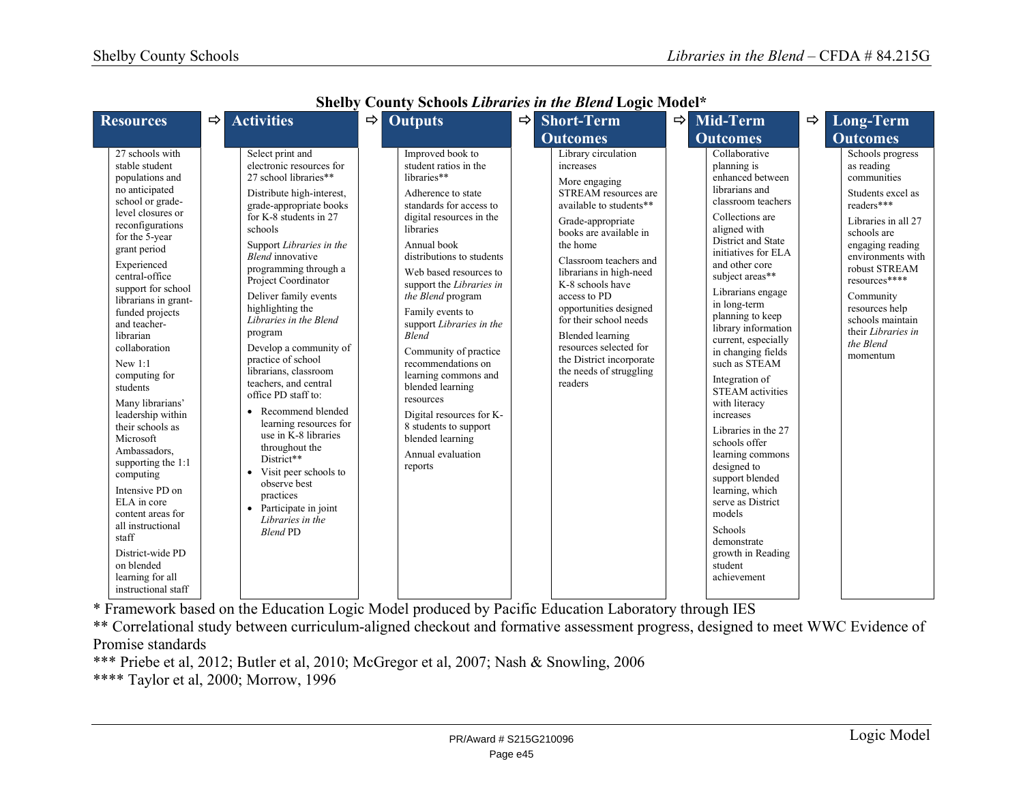| <b>Resources</b>                                                                                                                                                                                                                                                                                                                                                                                                                                                                                                                                                                                                                                               | <b>Activities</b><br>$\Rightarrow$                                                                                                                                                                                                                                                                                                                                                                                                                                                                                                                                                                                                                                                                            | <b>Outputs</b><br>$\Rightarrow$                                                                                                                                                                                                                                                                                                                                                                                                                                                                                                                            | <b>Short-Term</b><br>⇨                                                                                                                                                                                                                                                                                                                                                                                                              | ⇨ | Mid-Term                                                                                                                                                                                                                                                                                                                                                                                                                                                                                                                                                                                                                                                        | $\Rightarrow$ | <b>Long-Term</b>                                                                                                                                                                                                                                                                                    |
|----------------------------------------------------------------------------------------------------------------------------------------------------------------------------------------------------------------------------------------------------------------------------------------------------------------------------------------------------------------------------------------------------------------------------------------------------------------------------------------------------------------------------------------------------------------------------------------------------------------------------------------------------------------|---------------------------------------------------------------------------------------------------------------------------------------------------------------------------------------------------------------------------------------------------------------------------------------------------------------------------------------------------------------------------------------------------------------------------------------------------------------------------------------------------------------------------------------------------------------------------------------------------------------------------------------------------------------------------------------------------------------|------------------------------------------------------------------------------------------------------------------------------------------------------------------------------------------------------------------------------------------------------------------------------------------------------------------------------------------------------------------------------------------------------------------------------------------------------------------------------------------------------------------------------------------------------------|-------------------------------------------------------------------------------------------------------------------------------------------------------------------------------------------------------------------------------------------------------------------------------------------------------------------------------------------------------------------------------------------------------------------------------------|---|-----------------------------------------------------------------------------------------------------------------------------------------------------------------------------------------------------------------------------------------------------------------------------------------------------------------------------------------------------------------------------------------------------------------------------------------------------------------------------------------------------------------------------------------------------------------------------------------------------------------------------------------------------------------|---------------|-----------------------------------------------------------------------------------------------------------------------------------------------------------------------------------------------------------------------------------------------------------------------------------------------------|
|                                                                                                                                                                                                                                                                                                                                                                                                                                                                                                                                                                                                                                                                |                                                                                                                                                                                                                                                                                                                                                                                                                                                                                                                                                                                                                                                                                                               |                                                                                                                                                                                                                                                                                                                                                                                                                                                                                                                                                            | <b>Outcomes</b>                                                                                                                                                                                                                                                                                                                                                                                                                     |   | <b>Outcomes</b>                                                                                                                                                                                                                                                                                                                                                                                                                                                                                                                                                                                                                                                 |               | <b>Outcomes</b>                                                                                                                                                                                                                                                                                     |
| 27 schools with<br>stable student<br>populations and<br>no anticipated<br>school or grade-<br>level closures or<br>reconfigurations<br>for the 5-year<br>grant period<br>Experienced<br>central-office<br>support for school<br>librarians in grant-<br>funded projects<br>and teacher-<br>librarian<br>collaboration<br>New $1:1$<br>computing for<br>students<br>Many librarians'<br>leadership within<br>their schools as<br>Microsoft<br>Ambassadors,<br>supporting the 1:1<br>computing<br>Intensive PD on<br>ELA in core<br>content areas for<br>all instructional<br>staff<br>District-wide PD<br>on blended<br>learning for all<br>instructional staff | Select print and<br>electronic resources for<br>27 school libraries**<br>Distribute high-interest,<br>grade-appropriate books<br>for K-8 students in 27<br>schools<br>Support Libraries in the<br>Blend innovative<br>programming through a<br>Project Coordinator<br>Deliver family events<br>highlighting the<br>Libraries in the Blend<br>program<br>Develop a community of<br>practice of school<br>librarians, classroom<br>teachers, and central<br>office PD staff to:<br>• Recommend blended<br>learning resources for<br>use in K-8 libraries<br>throughout the<br>District**<br>• Visit peer schools to<br>observe best<br>practices<br>Participate in joint<br>Libraries in the<br><b>Blend PD</b> | Improved book to<br>student ratios in the<br>libraries**<br>Adherence to state<br>standards for access to<br>digital resources in the<br>libraries<br>Annual book<br>distributions to students<br>Web based resources to<br>support the Libraries in<br>the Blend program<br>Family events to<br>support Libraries in the<br><b>Blend</b><br>Community of practice<br>recommendations on<br>learning commons and<br>blended learning<br>resources<br>Digital resources for K-<br>8 students to support<br>blended learning<br>Annual evaluation<br>reports | Library circulation<br>increases<br>More engaging<br>STREAM resources are<br>available to students**<br>Grade-appropriate<br>books are available in<br>the home<br>Classroom teachers and<br>librarians in high-need<br>K-8 schools have<br>access to PD<br>opportunities designed<br>for their school needs<br><b>Blended</b> learning<br>resources selected for<br>the District incorporate<br>the needs of struggling<br>readers |   | Collaborative<br>planning is<br>enhanced between<br>librarians and<br>classroom teachers<br>Collections are<br>aligned with<br>District and State<br>initiatives for ELA<br>and other core<br>subject areas**<br>Librarians engage<br>in long-term<br>planning to keep<br>library information<br>current, especially<br>in changing fields<br>such as STEAM<br>Integration of<br><b>STEAM</b> activities<br>with literacy<br>increases<br>Libraries in the 27<br>schools offer<br>learning commons<br>designed to<br>support blended<br>learning, which<br>serve as District<br>models<br>Schools<br>demonstrate<br>growth in Reading<br>student<br>achievement |               | Schools progress<br>as reading<br>communities<br>Students excel as<br>readers***<br>Libraries in all 27<br>schools are<br>engaging reading<br>environments with<br>robust STREAM<br>resources****<br>Community<br>resources help<br>schools maintain<br>their Libraries in<br>the Blend<br>momentum |

### Shelby County Schools Libraries in the Blend Logic Model\*

\* Framework based on the Education Logic Model produced by Pacific Education Laboratory through IES

\*\* Correlational study between curriculum-aligned checkout and formative assessment progress, designed to meet WWC Evidence of Promise standards

\*\*\* Priebe et al, 2012; Butler et al, 2010; McGregor et al, 2007; Nash & Snowling, 2006

\*\*\*\* Taylor et al, 2000; Morrow, 1996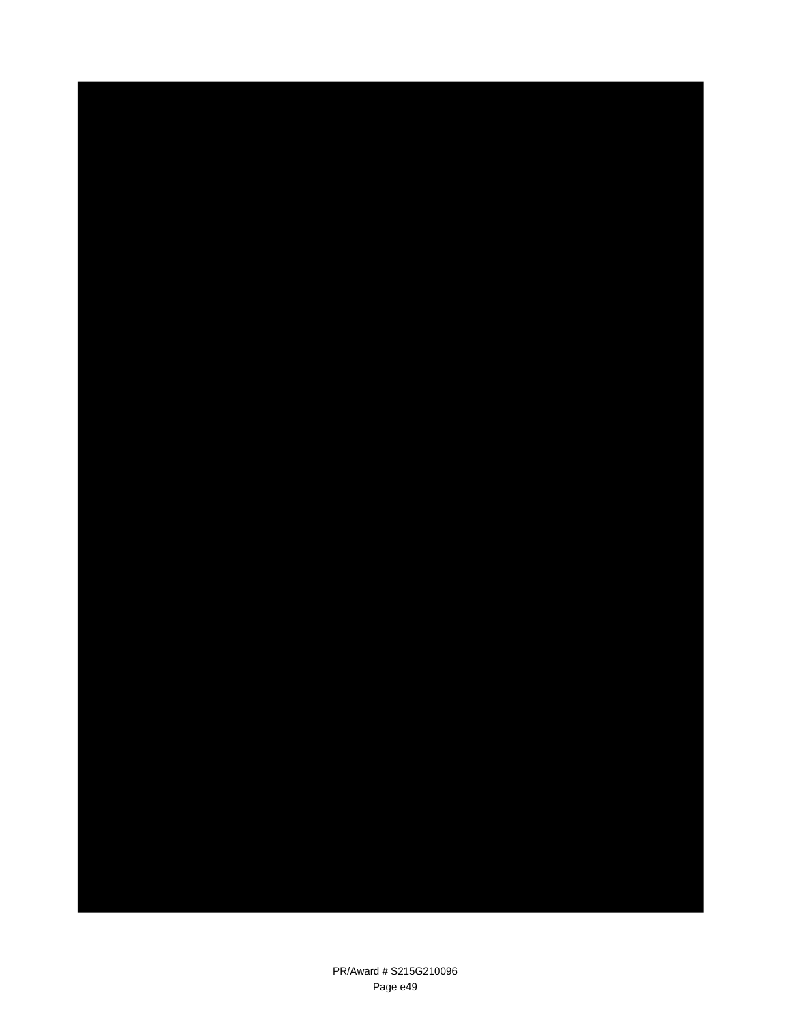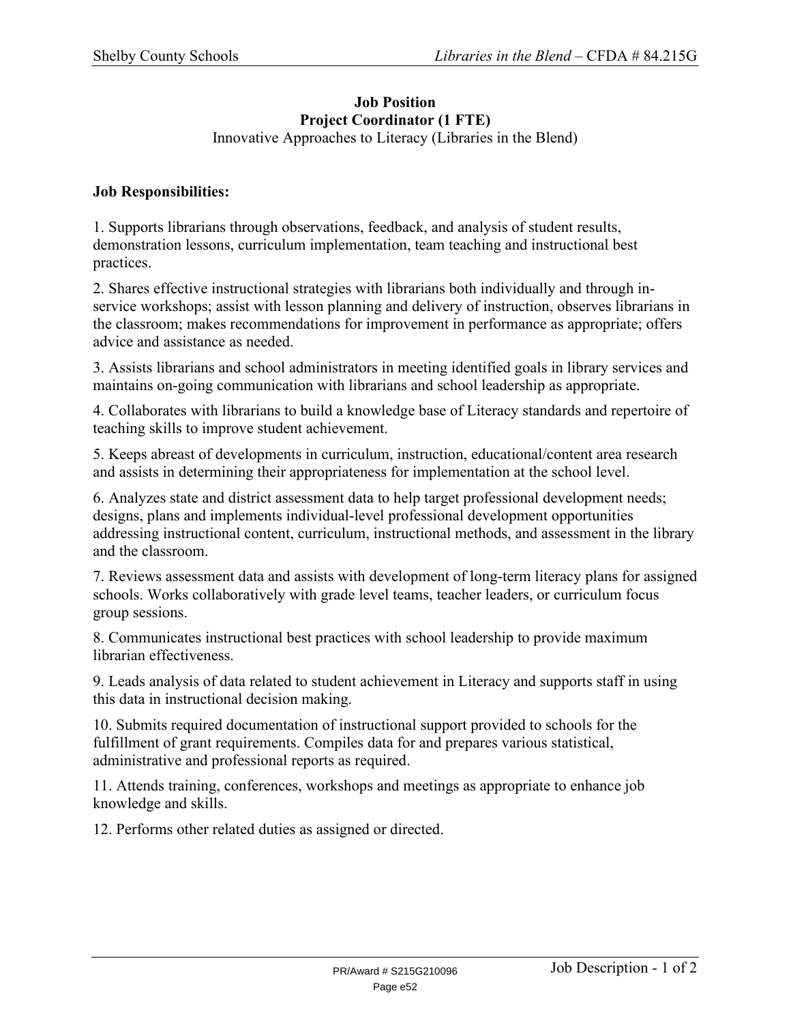# **Job Position Project Coordinator (1 FTE)**

Innovative Approaches to Literacy (Libraries in the Blend)

### **Job Responsibilities:**

1. Supports librarians through observations, feedback, and analysis of student results, demonstration lessons, curriculum implementation, team teaching and instructional best practices.

2. Shares effective instructional strategies with librarians both individually and through inservice workshops; assist with lesson planning and delivery of instruction, observes librarians in the classroom; makes recommendations for improvement in performance as appropriate; offers advice and assistance as needed.

3. Assists librarians and school administrators in meeting identified goals in library services and maintains on-going communication with librarians and school leadership as appropriate.

4. Collaborates with librarians to build a knowledge base of Literacy standards and repertoire of teaching skills to improve student achievement.

5. Keeps abreast of developments in curriculum, instruction, educational/content area research and assists in determining their appropriateness for implementation at the school level.

6. Analyzes state and district assessment data to help target professional development needs; designs, plans and implements individual-level professional development opportunities addressing instructional content, curriculum, instructional methods, and assessment in the library and the classroom.

7. Reviews assessment data and assists with development of long-term literacy plans for assigned schools. Works collaboratively with grade level teams, teacher leaders, or curriculum focus group sessions.

8. Communicates instructional best practices with school leadership to provide maximum librarian effectiveness.

9. Leads analysis of data related to student achievement in Literacy and supports staff in using this data in instructional decision making.

10. Submits required documentation of instructional support provided to schools for the fulfillment of grant requirements. Compiles data for and prepares various statistical, administrative and professional reports as required.

11. Attends training, conferences, workshops and meetings as appropriate to enhance job knowledge and skills.

12. Performs other related duties as assigned or directed.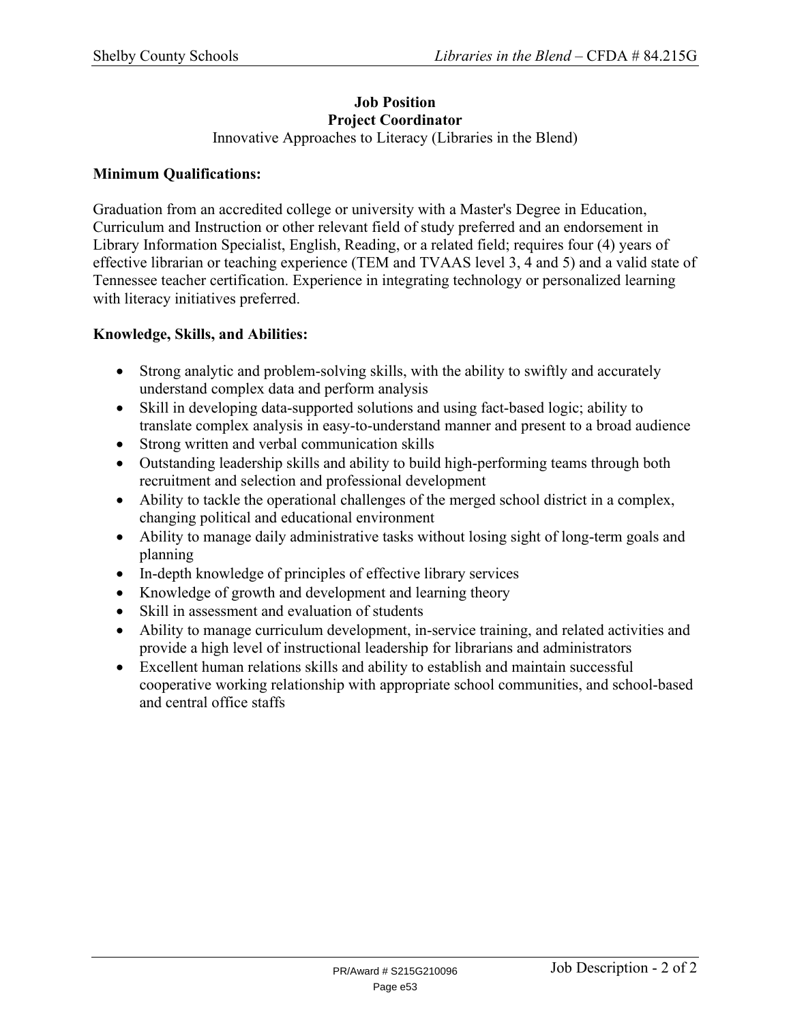### **Job Position Project Coordinator**

Innovative Approaches to Literacy (Libraries in the Blend)

#### **Minimum Qualifications:**

Graduation from an accredited college or university with a Master's Degree in Education, Curriculum and Instruction or other relevant field of study preferred and an endorsement in Library Information Specialist, English, Reading, or a related field; requires four (4) years of effective librarian or teaching experience (TEM and TVAAS level 3, 4 and 5) and a valid state of Tennessee teacher certification. Experience in integrating technology or personalized learning with literacy initiatives preferred.

#### **Knowledge, Skills, and Abilities:**

- Strong analytic and problem-solving skills, with the ability to swiftly and accurately understand complex data and perform analysis
- Skill in developing data-supported solutions and using fact-based logic; ability to translate complex analysis in easy-to-understand manner and present to a broad audience
- Strong written and verbal communication skills
- Outstanding leadership skills and ability to build high-performing teams through both recruitment and selection and professional development
- Ability to tackle the operational challenges of the merged school district in a complex, changing political and educational environment
- Ability to manage daily administrative tasks without losing sight of long-term goals and planning
- In-depth knowledge of principles of effective library services
- Knowledge of growth and development and learning theory
- Skill in assessment and evaluation of students
- Ability to manage curriculum development, in-service training, and related activities and provide a high level of instructional leadership for librarians and administrators
- Excellent human relations skills and ability to establish and maintain successful cooperative working relationship with appropriate school communities, and school-based and central office staffs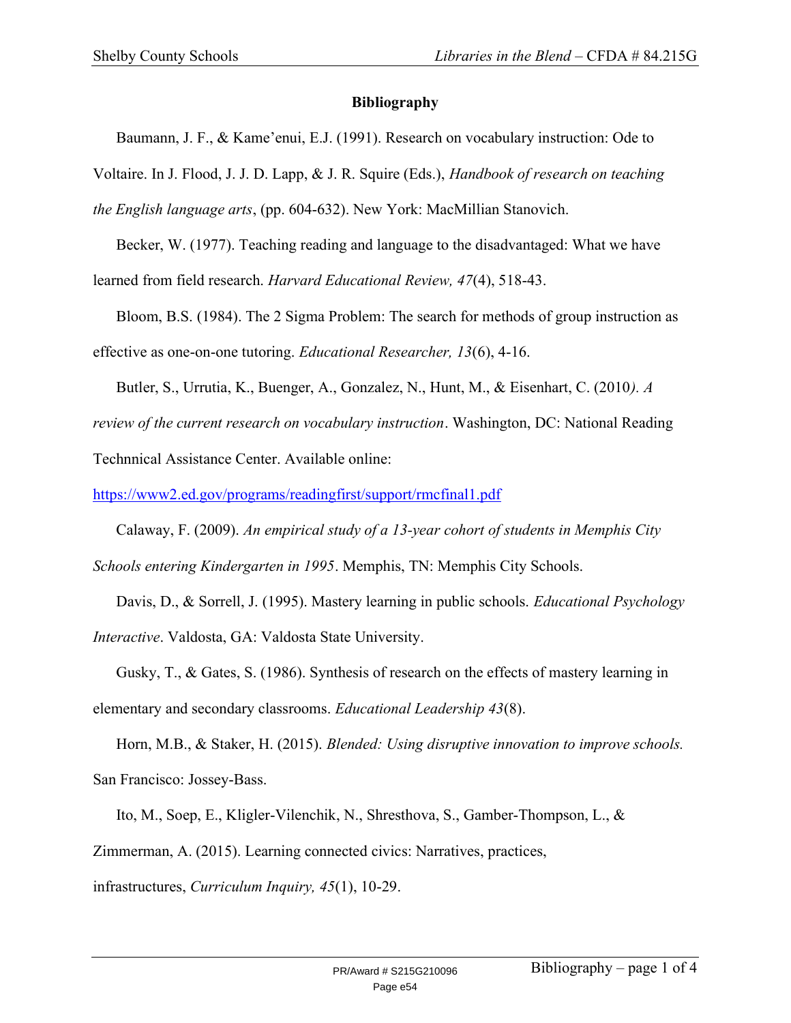### Bibliography

Baumann, J. F., & Kame'enui, E.J. (1991). Research on vocabulary instruction: Ode to

Voltaire. In J. Flood, J. J. D. Lapp, & J. R. Squire (Eds.), Handbook of research on teaching

the English language arts, (pp. 604-632). New York: MacMillian Stanovich.

Becker, W. (1977). Teaching reading and language to the disadvantaged: What we have learned from field research. Harvard Educational Review, 47(4), 518-43.

Bloom, B.S. (1984). The 2 Sigma Problem: The search for methods of group instruction as effective as one-on-one tutoring. Educational Researcher, 13(6), 4-16.

Butler, S., Urrutia, K., Buenger, A., Gonzalez, N., Hunt, M., & Eisenhart, C. (2010). A

review of the current research on vocabulary instruction. Washington, DC: National Reading

Technnical Assistance Center. Available online:

https://www2.ed.gov/programs/readingfirst/support/rmcfinal1.pdf

Calaway, F. (2009). An empirical study of a 13-year cohort of students in Memphis City Schools entering Kindergarten in 1995. Memphis, TN: Memphis City Schools.

Davis, D., & Sorrell, J. (1995). Mastery learning in public schools. *Educational Psychology* Interactive. Valdosta, GA: Valdosta State University.

Gusky, T., & Gates, S. (1986). Synthesis of research on the effects of mastery learning in elementary and secondary classrooms. Educational Leadership 43(8).

Horn, M.B., & Staker, H. (2015). Blended: Using disruptive innovation to improve schools. San Francisco: Jossey-Bass.

Ito, M., Soep, E., Kligler-Vilenchik, N., Shresthova, S., Gamber-Thompson, L., & Zimmerman, A. (2015). Learning connected civics: Narratives, practices,

infrastructures, Curriculum Inquiry, 45(1), 10-29.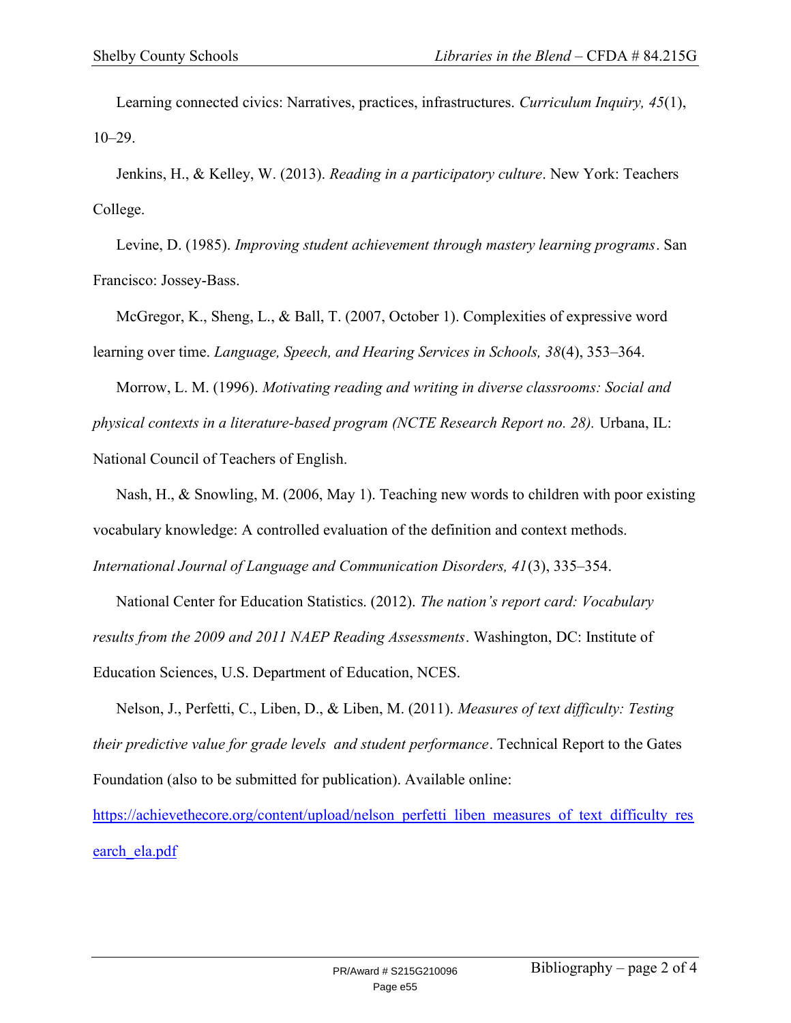Learning connected civics: Narratives, practices, infrastructures. Curriculum Inquiry, 45(1), 10–29.

Jenkins, H., & Kelley, W. (2013). *Reading in a participatory culture*. New York: Teachers College.

Levine, D. (1985). Improving student achievement through mastery learning programs. San Francisco: Jossey-Bass.

McGregor, K., Sheng, L., & Ball, T. (2007, October 1). Complexities of expressive word learning over time. Language, Speech, and Hearing Services in Schools, 38(4), 353–364.

Morrow, L. M. (1996). Motivating reading and writing in diverse classrooms: Social and physical contexts in a literature-based program (NCTE Research Report no. 28). Urbana, IL: National Council of Teachers of English.

Nash, H., & Snowling, M. (2006, May 1). Teaching new words to children with poor existing vocabulary knowledge: A controlled evaluation of the definition and context methods. International Journal of Language and Communication Disorders, 41(3), 335–354.

National Center for Education Statistics. (2012). The nation's report card: Vocabulary results from the 2009 and 2011 NAEP Reading Assessments. Washington, DC: Institute of Education Sciences, U.S. Department of Education, NCES.

Nelson, J., Perfetti, C., Liben, D., & Liben, M. (2011). Measures of text difficulty: Testing their predictive value for grade levels and student performance. Technical Report to the Gates Foundation (also to be submitted for publication). Available online:

https://achievethecore.org/content/upload/nelson\_perfetti\_liben\_measures\_of\_text\_difficulty\_res earch ela.pdf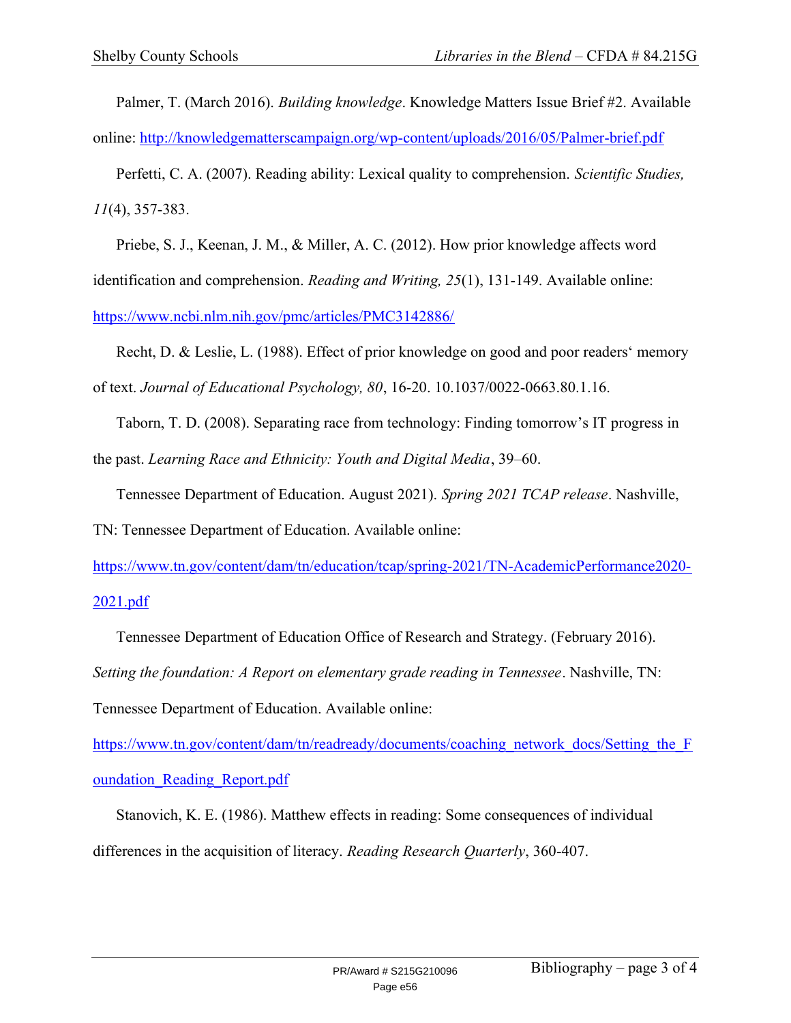Palmer, T. (March 2016). Building knowledge. Knowledge Matters Issue Brief #2. Available online: http://knowledgematterscampaign.org/wp-content/uploads/2016/05/Palmer-brief.pdf

Perfetti, C. A. (2007). Reading ability: Lexical quality to comprehension. Scientific Studies, 11(4), 357-383.

Priebe, S. J., Keenan, J. M., & Miller, A. C. (2012). How prior knowledge affects word

identification and comprehension. Reading and Writing, 25(1), 131-149. Available online:

https://www.ncbi.nlm.nih.gov/pmc/articles/PMC3142886/

Recht, D. & Leslie, L. (1988). Effect of prior knowledge on good and poor readers' memory of text. Journal of Educational Psychology, 80, 16-20. 10.1037/0022-0663.80.1.16.

Taborn, T. D. (2008). Separating race from technology: Finding tomorrow's IT progress in the past. Learning Race and Ethnicity: Youth and Digital Media, 39–60.

Tennessee Department of Education. August 2021). Spring 2021 TCAP release. Nashville,

TN: Tennessee Department of Education. Available online:

https://www.tn.gov/content/dam/tn/education/tcap/spring-2021/TN-AcademicPerformance2020- 2021.pdf

Tennessee Department of Education Office of Research and Strategy. (February 2016). Setting the foundation: A Report on elementary grade reading in Tennessee. Nashville, TN: Tennessee Department of Education. Available online:

https://www.tn.gov/content/dam/tn/readready/documents/coaching\_network\_docs/Setting\_the\_F oundation Reading Report.pdf

Stanovich, K. E. (1986). Matthew effects in reading: Some consequences of individual differences in the acquisition of literacy. Reading Research Quarterly, 360-407.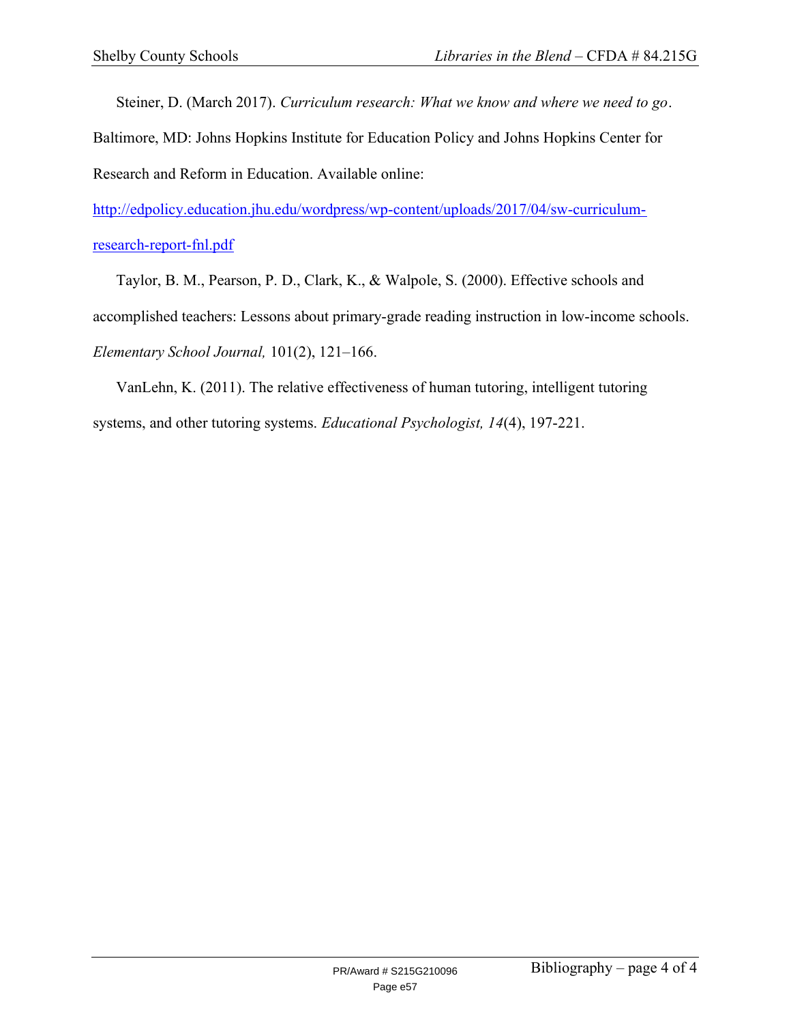Steiner, D. (March 2017). Curriculum research: What we know and where we need to go.

Baltimore, MD: Johns Hopkins Institute for Education Policy and Johns Hopkins Center for Research and Reform in Education. Available online:

http://edpolicy.education.jhu.edu/wordpress/wp-content/uploads/2017/04/sw-curriculumresearch-report-fnl.pdf

Taylor, B. M., Pearson, P. D., Clark, K., & Walpole, S. (2000). Effective schools and accomplished teachers: Lessons about primary-grade reading instruction in low-income schools. Elementary School Journal, 101(2), 121–166.

VanLehn, K. (2011). The relative effectiveness of human tutoring, intelligent tutoring systems, and other tutoring systems. Educational Psychologist, 14(4), 197-221.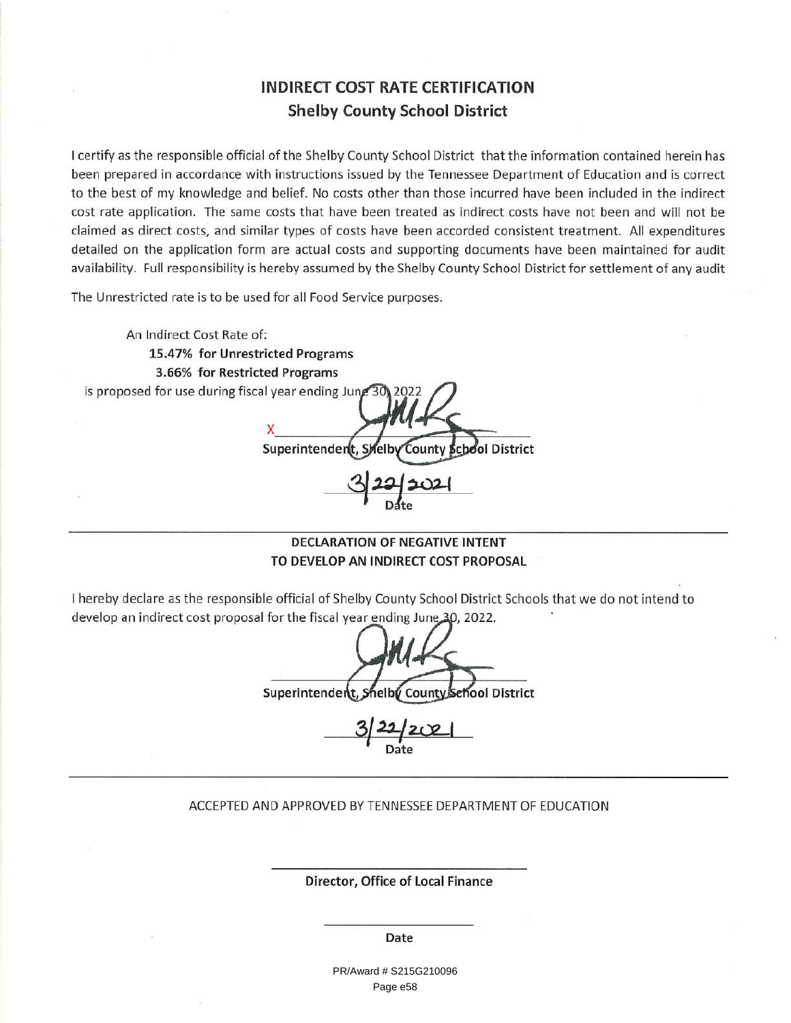# **INDIRECT COST RATE CERTIFICATION Shelby County School District**

I certify as the responsible official of the Shelby County School District that the information contained herein has been prepared in accordance with instructions issued by the Tennessee Department of Education and is correct to the best of my knowledge and belief. No costs other than those incurred have been included in the indirect cost rate application. The same costs that have been treated as indirect costs have not been and will not be claimed as direct costs, and similar types of costs have been accorded consistent treatment. All expenditures detailed on the application form are actual costs and supporting documents have been maintained for audit availability. Full responsibility is hereby assumed by the Shelby County School District for settlement of any audit

The Unrestricted rate is to be used for all Food Service purposes.

An Indirect Cost Rate of: 15.47% for Unrestricted Programs 3.66% for Restricted Programs is proposed for use during fiscal year ending Jung Superintendert, Skelby chool District County

#### **DECLARATION OF NEGATIVE INTENT** TO DEVELOP AN INDIRECT COST PROPOSAL

I hereby declare as the responsible official of Shelby County School District Schools that we do not intend to develop an indirect cost proposal for the fiscal year ending June 30, 2022.

Superintendent, Shelby County **hool District** 

ACCEPTED AND APPROVED BY TENNESSEE DEPARTMENT OF EDUCATION

Director, Office of Local Finance

Date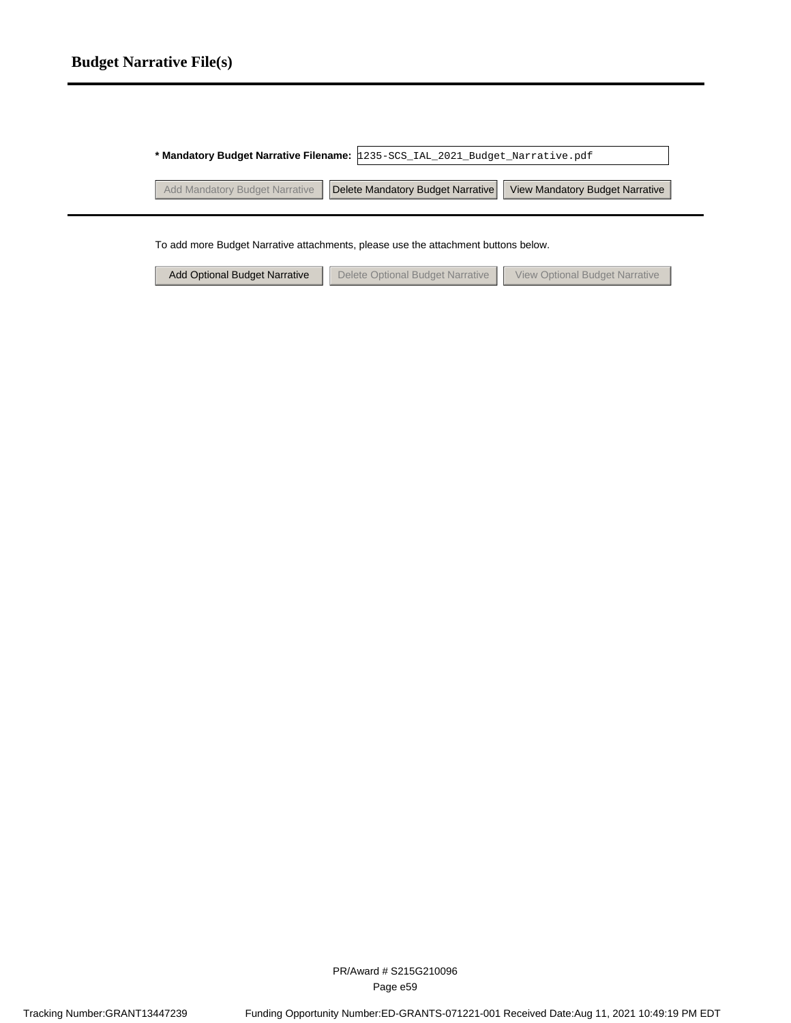### **Budget Narrative File(s)**

|                                | * Mandatory Budget Narrative Filename: 1235-SCS_IAL_2021_Budget_Narrative.pdf |                                 |
|--------------------------------|-------------------------------------------------------------------------------|---------------------------------|
| Add Mandatory Budget Narrative | Delete Mandatory Budget Narrative                                             | View Mandatory Budget Narrative |
|                                |                                                                               |                                 |

To add more Budget Narrative attachments, please use the attachment buttons below.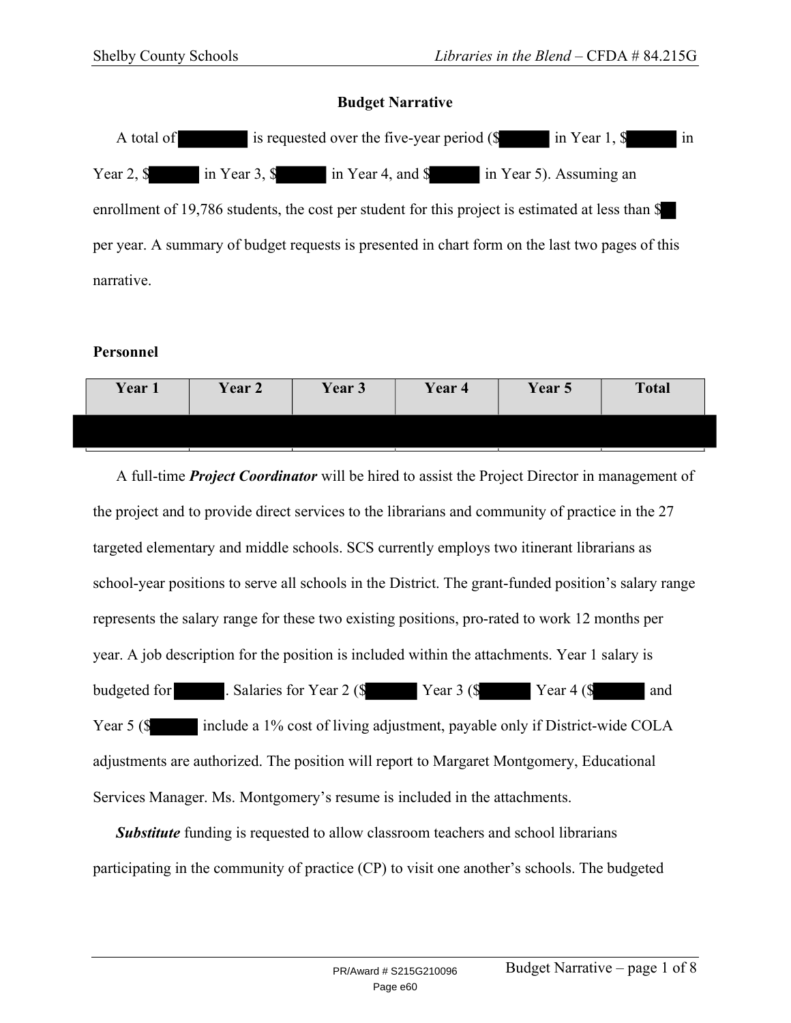#### Budget Narrative

| in<br>A total of<br>is requested over the five-year period (\$)<br>in Year 1, \$                  |  |
|---------------------------------------------------------------------------------------------------|--|
| in Year 4, and \$<br>in Year $3, $$<br>Year $2,$ \$<br>in Year 5). Assuming an                    |  |
| enrollment of 19,786 students, the cost per student for this project is estimated at less than \$ |  |
| per year. A summary of budget requests is presented in chart form on the last two pages of this   |  |
| narrative.                                                                                        |  |

#### Personnel

| Year 1 | <b>Year 2</b> | Year 3 | Year 4 | Year 5 | <b>Total</b> |
|--------|---------------|--------|--------|--------|--------------|
|        |               |        |        |        |              |

A full-time *Project Coordinator* will be hired to assist the Project Director in management of the project and to provide direct services to the librarians and community of practice in the 27 targeted elementary and middle schools. SCS currently employs two itinerant librarians as school-year positions to serve all schools in the District. The grant-funded position's salary range represents the salary range for these two existing positions, pro-rated to work 12 months per year. A job description for the position is included within the attachments. Year 1 salary is budgeted for . Salaries for Year 2 (\$ Year 3 (\$ Year 4 (\$ and Year 5 (\$ include a 1% cost of living adjustment, payable only if District-wide COLA adjustments are authorized. The position will report to Margaret Montgomery, Educational Services Manager. Ms. Montgomery's resume is included in the attachments.

**Substitute** funding is requested to allow classroom teachers and school librarians participating in the community of practice (CP) to visit one another's schools. The budgeted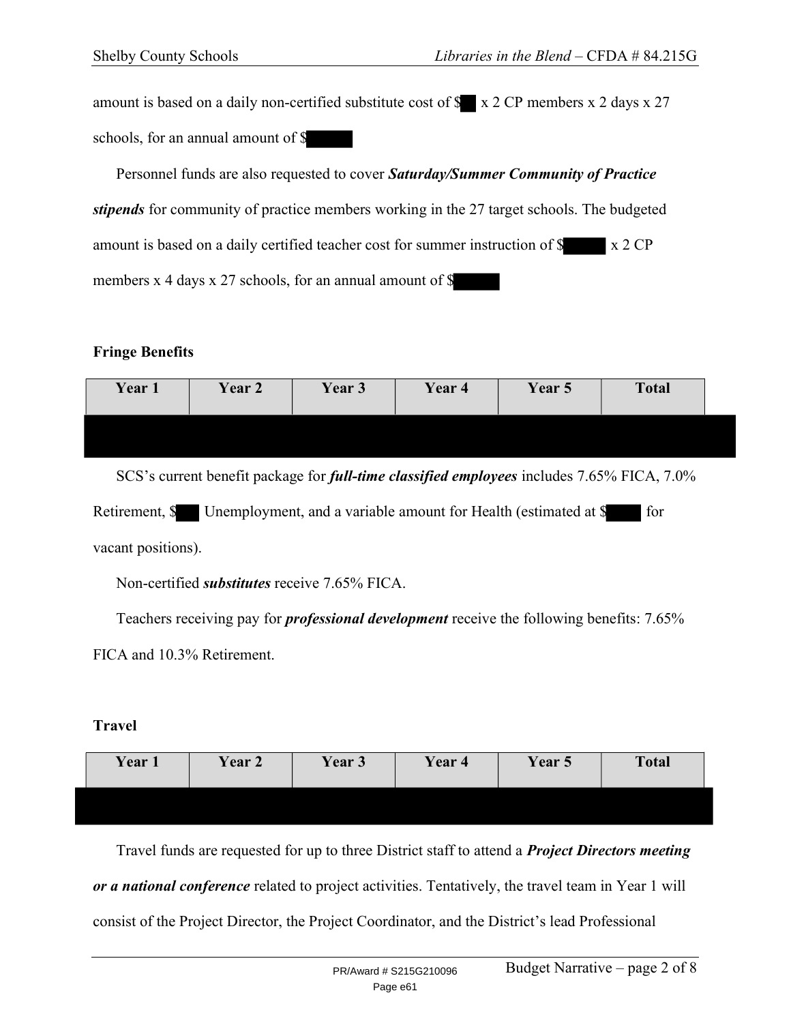amount is based on a daily non-certified substitute cost of  $\frac{1}{x}$  x 2 CP members x 2 days x 27 schools, for an annual amount of \$

Personnel funds are also requested to cover Saturday/Summer Community of Practice stipends for community of practice members working in the 27 target schools. The budgeted amount is based on a daily certified teacher cost for summer instruction of  $\frac{1}{2}$   $\times$  2 CP members x 4 days x 27 schools, for an annual amount of \$

#### Fringe Benefits

| Year 1 | <b>Year 2</b> | Year 3 | Year 4 | Year 5 | <b>Total</b> |  |
|--------|---------------|--------|--------|--------|--------------|--|
|        |               |        |        |        |              |  |

SCS's current benefit package for *full-time classified employees* includes 7.65% FICA, 7.0% Retirement, \$ Unemployment, and a variable amount for Health (estimated at \$ for vacant positions).

Non-certified *substitutes* receive 7.65% FICA.

Teachers receiving pay for *professional development* receive the following benefits: 7.65%

FICA and 10.3% Retirement.

Travel

| Year 1 | Year 2 | Year 3 | Year 4 | Year 5 | <b>Total</b> |
|--------|--------|--------|--------|--------|--------------|
|        |        |        |        |        |              |

Travel funds are requested for up to three District staff to attend a *Project Directors meeting* 

or a national conference related to project activities. Tentatively, the travel team in Year 1 will

consist of the Project Director, the Project Coordinator, and the District's lead Professional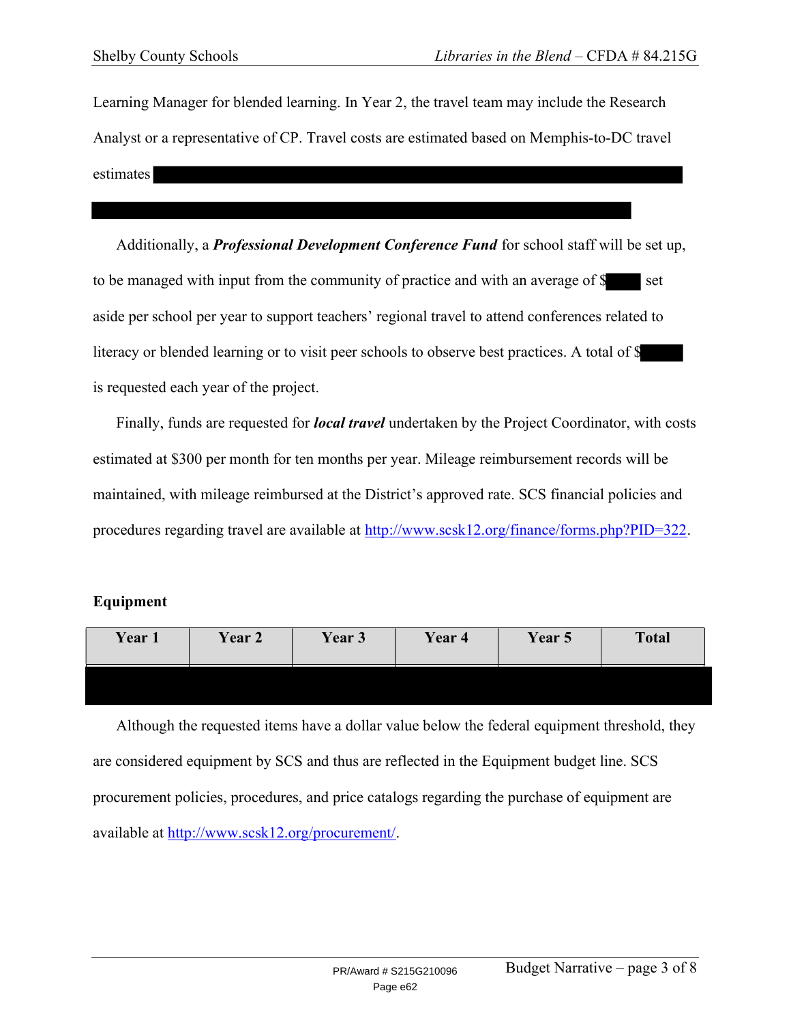Learning Manager for blended learning. In Year 2, the travel team may include the Research Analyst or a representative of CP. Travel costs are estimated based on Memphis-to-DC travel estimates

Additionally, a *Professional Development Conference Fund* for school staff will be set up, to be managed with input from the community of practice and with an average of  $\$\$  set aside per school per year to support teachers' regional travel to attend conferences related to literacy or blended learning or to visit peer schools to observe best practices. A total of \$ is requested each year of the project.

Finally, funds are requested for *local travel* undertaken by the Project Coordinator, with costs estimated at \$300 per month for ten months per year. Mileage reimbursement records will be maintained, with mileage reimbursed at the District's approved rate. SCS financial policies and procedures regarding travel are available at http://www.scsk12.org/finance/forms.php?PID=322.

#### Equipment

| Year 1 | Year 2 | Year 3 | Year 4 | Year 5 | <b>Total</b> |
|--------|--------|--------|--------|--------|--------------|
|        |        |        |        |        |              |

Although the requested items have a dollar value below the federal equipment threshold, they are considered equipment by SCS and thus are reflected in the Equipment budget line. SCS procurement policies, procedures, and price catalogs regarding the purchase of equipment are available at http://www.scsk12.org/procurement/.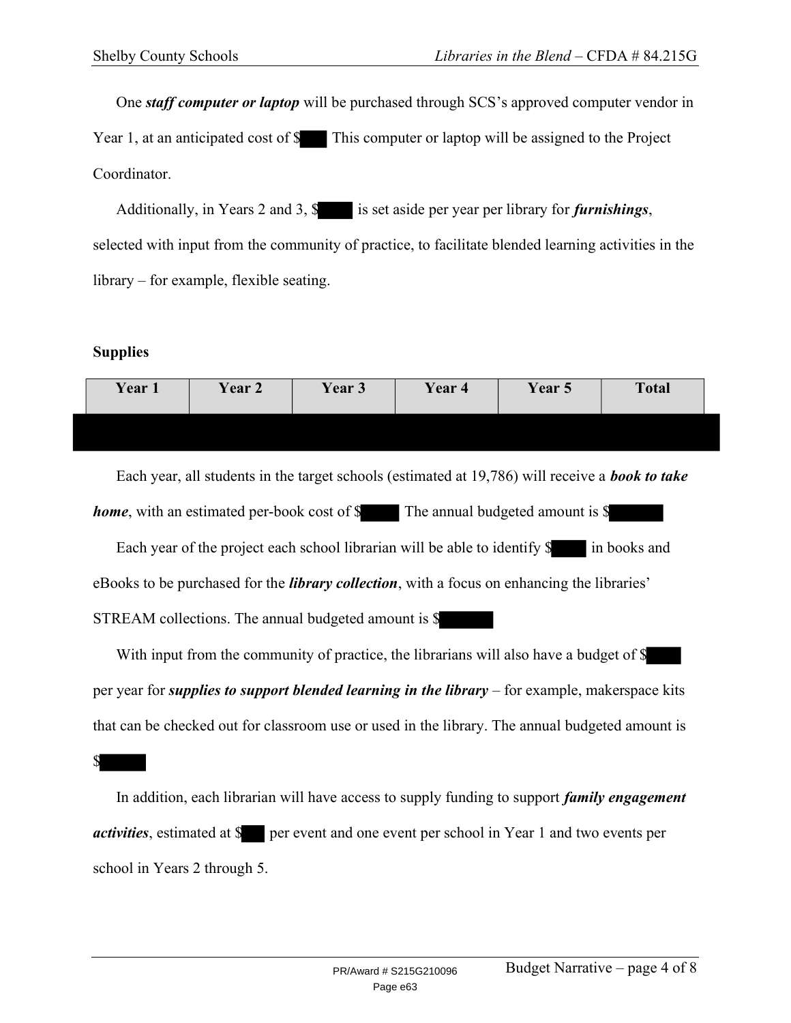One *staff computer or laptop* will be purchased through SCS's approved computer vendor in

Year 1, at an anticipated cost of \$ This computer or laptop will be assigned to the Project Coordinator.

Additionally, in Years 2 and 3,  $\$\$  is set aside per year per library for *furnishings*, selected with input from the community of practice, to facilitate blended learning activities in the library – for example, flexible seating.

#### **Supplies**

**\$** 

| Year 1 | <b>Year 2</b> | Year 3 | Year 4 | Year 5 | <b>Total</b> |
|--------|---------------|--------|--------|--------|--------------|
|        |               |        |        |        |              |

Each year, all students in the target schools (estimated at 19,786) will receive a **book to take home**, with an estimated per-book cost of \$ The annual budgeted amount is \$ Each year of the project each school librarian will be able to identify  $\$\blacksquare\>$  in books and eBooks to be purchased for the *library collection*, with a focus on enhancing the libraries' STREAM collections. The annual budgeted amount is \$

With input from the community of practice, the librarians will also have a budget of \$ per year for *supplies to support blended learning in the library* – for example, makerspace kits that can be checked out for classroom use or used in the library. The annual budgeted amount is

In addition, each librarian will have access to supply funding to support *family engagement* activities, estimated at \$ per event and one event per school in Year 1 and two events per school in Years 2 through 5.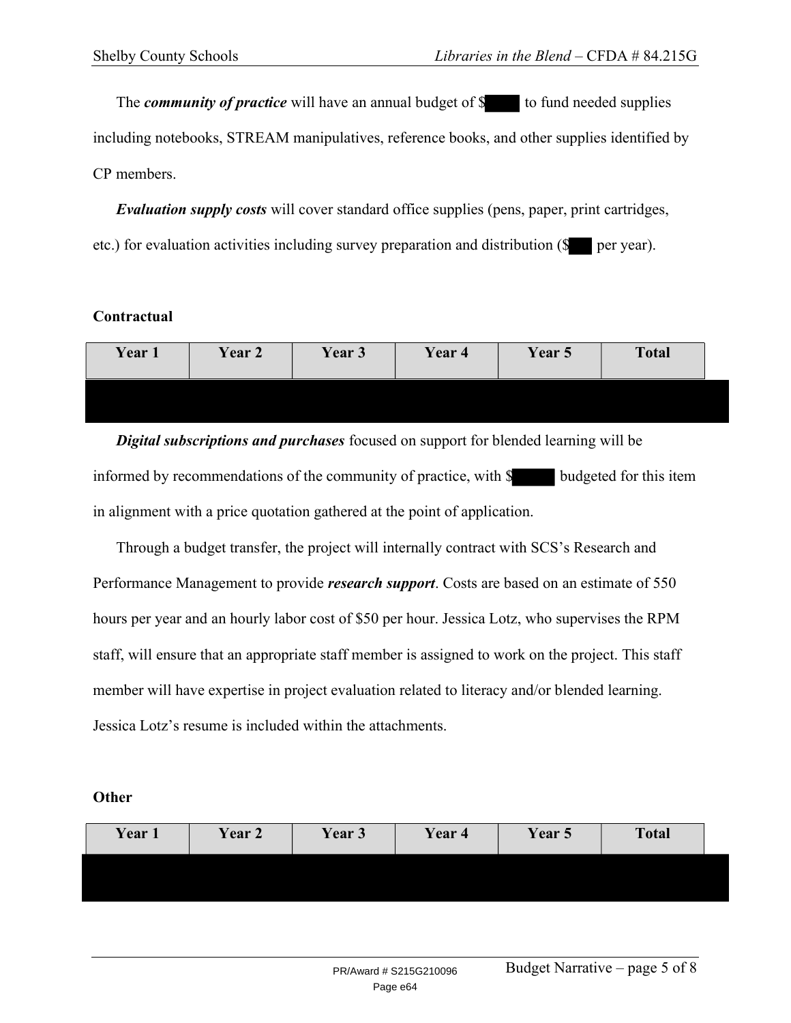The *community of practice* will have an annual budget of  $\S$  to fund needed supplies

including notebooks, STREAM manipulatives, reference books, and other supplies identified by CP members.

**Evaluation supply costs** will cover standard office supplies (pens, paper, print cartridges,

etc.) for evaluation activities including survey preparation and distribution  $(\S$  per year).

### **Contractual**

| Year 1 | Year 2 | Year 3 | Year 4 | Year 5 | <b>Total</b> |  |
|--------|--------|--------|--------|--------|--------------|--|
|        |        |        |        |        |              |  |

Digital subscriptions and purchases focused on support for blended learning will be informed by recommendations of the community of practice, with \$ budgeted for this item in alignment with a price quotation gathered at the point of application.

Through a budget transfer, the project will internally contract with SCS's Research and Performance Management to provide *research support*. Costs are based on an estimate of 550 hours per year and an hourly labor cost of \$50 per hour. Jessica Lotz, who supervises the RPM staff, will ensure that an appropriate staff member is assigned to work on the project. This staff member will have expertise in project evaluation related to literacy and/or blended learning. Jessica Lotz's resume is included within the attachments.

#### **Other**

| Year 1 | Year 2 | Year 3 | Year 4 | Year 5 | <b>Total</b> |  |
|--------|--------|--------|--------|--------|--------------|--|
|        |        |        |        |        |              |  |
|        |        |        |        |        |              |  |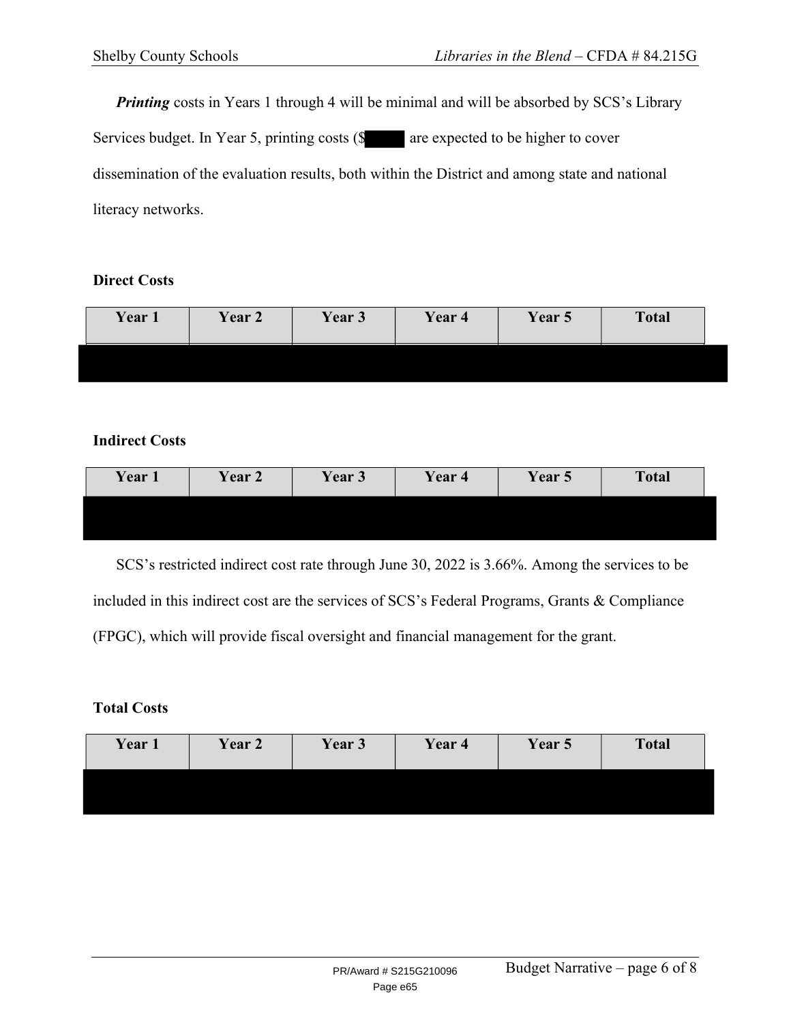**Printing** costs in Years 1 through 4 will be minimal and will be absorbed by SCS's Library Services budget. In Year 5, printing costs (\$ are expected to be higher to cover dissemination of the evaluation results, both within the District and among state and national literacy networks.

#### Direct Costs

| Year 1 | Year 2 | Year 3 | Year 4 | Year 5 | <b>Total</b> |
|--------|--------|--------|--------|--------|--------------|
|        |        |        |        |        |              |

#### Indirect Costs

| Year 1 | <b>Year 2</b> | Year 3 | Year 4 | Year 5 | <b>Total</b> |
|--------|---------------|--------|--------|--------|--------------|
|        |               |        |        |        |              |
|        |               |        |        |        |              |

SCS's restricted indirect cost rate through June 30, 2022 is 3.66%. Among the services to be included in this indirect cost are the services of SCS's Federal Programs, Grants & Compliance (FPGC), which will provide fiscal oversight and financial management for the grant.

#### Total Costs

| Year 1 | <b>Year 2</b> | Year 3 | Year 4 | Year 5 | <b>Total</b> |
|--------|---------------|--------|--------|--------|--------------|
|        |               |        |        |        |              |
|        |               |        |        |        |              |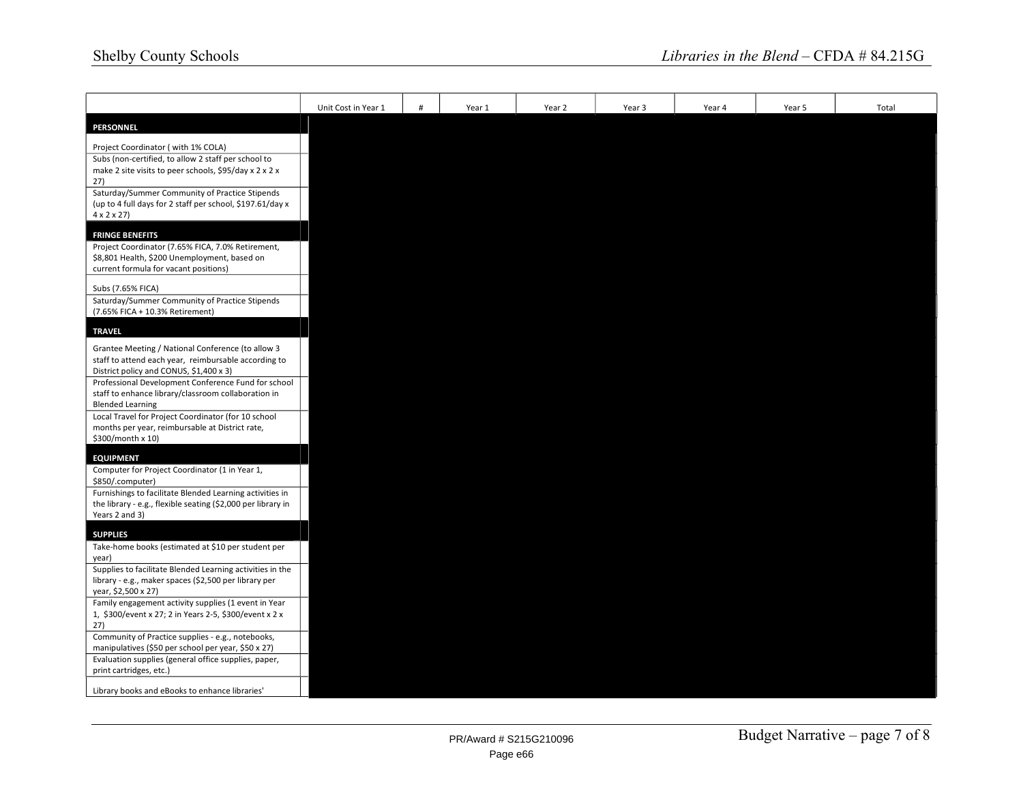|                                                                                                                | Unit Cost in Year 1 | # | Year 1 | Year 2 | Year 3 | Year 4 | Year 5 | Total |
|----------------------------------------------------------------------------------------------------------------|---------------------|---|--------|--------|--------|--------|--------|-------|
| <b>PERSONNEL</b>                                                                                               |                     |   |        |        |        |        |        |       |
|                                                                                                                |                     |   |        |        |        |        |        |       |
| Project Coordinator (with 1% COLA)                                                                             |                     |   |        |        |        |        |        |       |
| Subs (non-certified, to allow 2 staff per school to<br>make 2 site visits to peer schools, \$95/day x 2 x 2 x  |                     |   |        |        |        |        |        |       |
| 27)                                                                                                            |                     |   |        |        |        |        |        |       |
| Saturday/Summer Community of Practice Stipends                                                                 |                     |   |        |        |        |        |        |       |
| (up to 4 full days for 2 staff per school, \$197.61/day x                                                      |                     |   |        |        |        |        |        |       |
| $4 \times 2 \times 27$                                                                                         |                     |   |        |        |        |        |        |       |
| <b>FRINGE BENEFITS</b>                                                                                         |                     |   |        |        |        |        |        |       |
| Project Coordinator (7.65% FICA, 7.0% Retirement,                                                              |                     |   |        |        |        |        |        |       |
| \$8,801 Health, \$200 Unemployment, based on                                                                   |                     |   |        |        |        |        |        |       |
| current formula for vacant positions)                                                                          |                     |   |        |        |        |        |        |       |
| Subs (7.65% FICA)                                                                                              |                     |   |        |        |        |        |        |       |
| Saturday/Summer Community of Practice Stipends                                                                 |                     |   |        |        |        |        |        |       |
| (7.65% FICA + 10.3% Retirement)                                                                                |                     |   |        |        |        |        |        |       |
| <b>TRAVEL</b>                                                                                                  |                     |   |        |        |        |        |        |       |
| Grantee Meeting / National Conference (to allow 3                                                              |                     |   |        |        |        |        |        |       |
| staff to attend each year, reimbursable according to                                                           |                     |   |        |        |        |        |        |       |
| District policy and CONUS, \$1,400 x 3)                                                                        |                     |   |        |        |        |        |        |       |
| Professional Development Conference Fund for school                                                            |                     |   |        |        |        |        |        |       |
| staff to enhance library/classroom collaboration in<br><b>Blended Learning</b>                                 |                     |   |        |        |        |        |        |       |
| Local Travel for Project Coordinator (for 10 school                                                            |                     |   |        |        |        |        |        |       |
| months per year, reimbursable at District rate,                                                                |                     |   |        |        |        |        |        |       |
| \$300/month x 10)                                                                                              |                     |   |        |        |        |        |        |       |
| <b>EQUIPMENT</b>                                                                                               |                     |   |        |        |        |        |        |       |
| Computer for Project Coordinator (1 in Year 1,                                                                 |                     |   |        |        |        |        |        |       |
| \$850/.computer)                                                                                               |                     |   |        |        |        |        |        |       |
| Furnishings to facilitate Blended Learning activities in                                                       |                     |   |        |        |        |        |        |       |
| the library - e.g., flexible seating (\$2,000 per library in<br>Years 2 and 3)                                 |                     |   |        |        |        |        |        |       |
|                                                                                                                |                     |   |        |        |        |        |        |       |
| <b>SUPPLIES</b><br>Take-home books (estimated at \$10 per student per                                          |                     |   |        |        |        |        |        |       |
| year)                                                                                                          |                     |   |        |        |        |        |        |       |
| Supplies to facilitate Blended Learning activities in the                                                      |                     |   |        |        |        |        |        |       |
| library - e.g., maker spaces (\$2,500 per library per                                                          |                     |   |        |        |        |        |        |       |
| year, \$2,500 x 27)                                                                                            |                     |   |        |        |        |        |        |       |
| Family engagement activity supplies (1 event in Year<br>1, \$300/event x 27; 2 in Years 2-5, \$300/event x 2 x |                     |   |        |        |        |        |        |       |
| 27)                                                                                                            |                     |   |        |        |        |        |        |       |
| Community of Practice supplies - e.g., notebooks,                                                              |                     |   |        |        |        |        |        |       |
| manipulatives (\$50 per school per year, \$50 x 27)                                                            |                     |   |        |        |        |        |        |       |
| Evaluation supplies (general office supplies, paper,<br>print cartridges, etc.)                                |                     |   |        |        |        |        |        |       |
|                                                                                                                |                     |   |        |        |        |        |        |       |
| Library books and eBooks to enhance libraries'                                                                 |                     |   |        |        |        |        |        |       |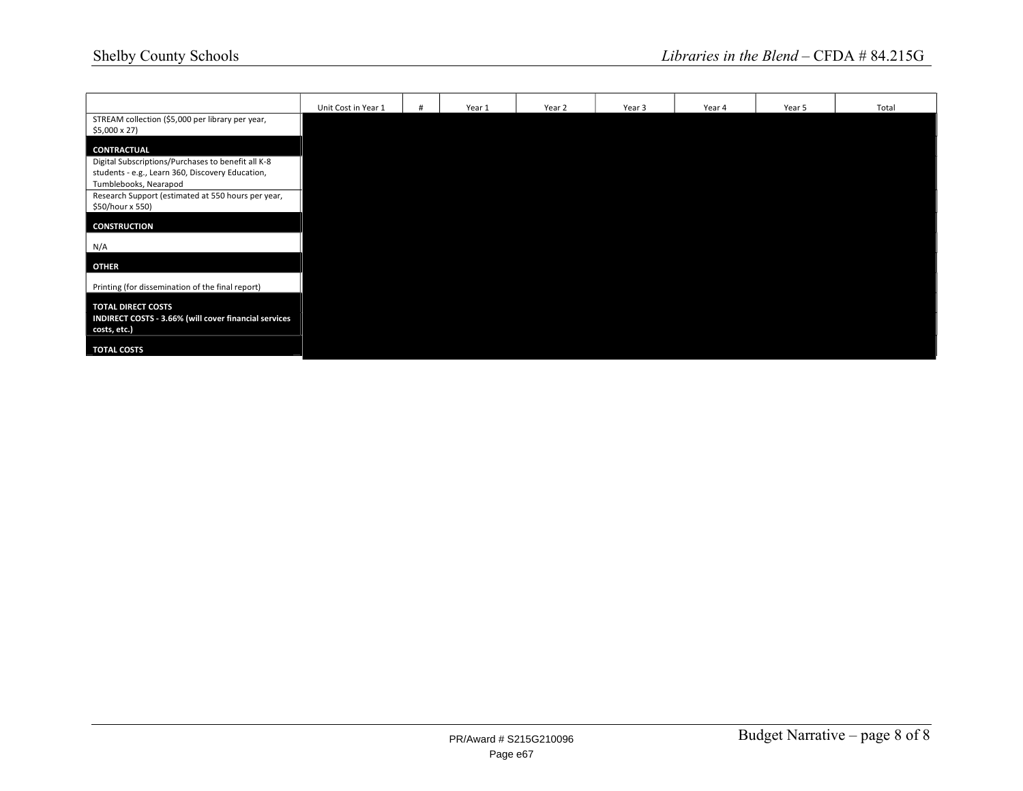|                                                       | Unit Cost in Year 1 | # | Year 1 | Year 2 | Year 3 | Year 4 | Year 5 | Total |
|-------------------------------------------------------|---------------------|---|--------|--------|--------|--------|--------|-------|
| STREAM collection (\$5,000 per library per year,      |                     |   |        |        |        |        |        |       |
| \$5,000 x 27)                                         |                     |   |        |        |        |        |        |       |
| <b>CONTRACTUAL</b>                                    |                     |   |        |        |        |        |        |       |
| Digital Subscriptions/Purchases to benefit all K-8    |                     |   |        |        |        |        |        |       |
| students - e.g., Learn 360, Discovery Education,      |                     |   |        |        |        |        |        |       |
| Tumblebooks, Nearapod                                 |                     |   |        |        |        |        |        |       |
| Research Support (estimated at 550 hours per year,    |                     |   |        |        |        |        |        |       |
| \$50/hour x 550)                                      |                     |   |        |        |        |        |        |       |
| <b>CONSTRUCTION</b>                                   |                     |   |        |        |        |        |        |       |
| N/A                                                   |                     |   |        |        |        |        |        |       |
| <b>OTHER</b>                                          |                     |   |        |        |        |        |        |       |
| Printing (for dissemination of the final report)      |                     |   |        |        |        |        |        |       |
| <b>TOTAL DIRECT COSTS</b>                             |                     |   |        |        |        |        |        |       |
| INDIRECT COSTS - 3.66% (will cover financial services |                     |   |        |        |        |        |        |       |
| costs, etc.)                                          |                     |   |        |        |        |        |        |       |
|                                                       |                     |   |        |        |        |        |        |       |
| <b>TOTAL COSTS</b>                                    |                     |   |        |        |        |        |        |       |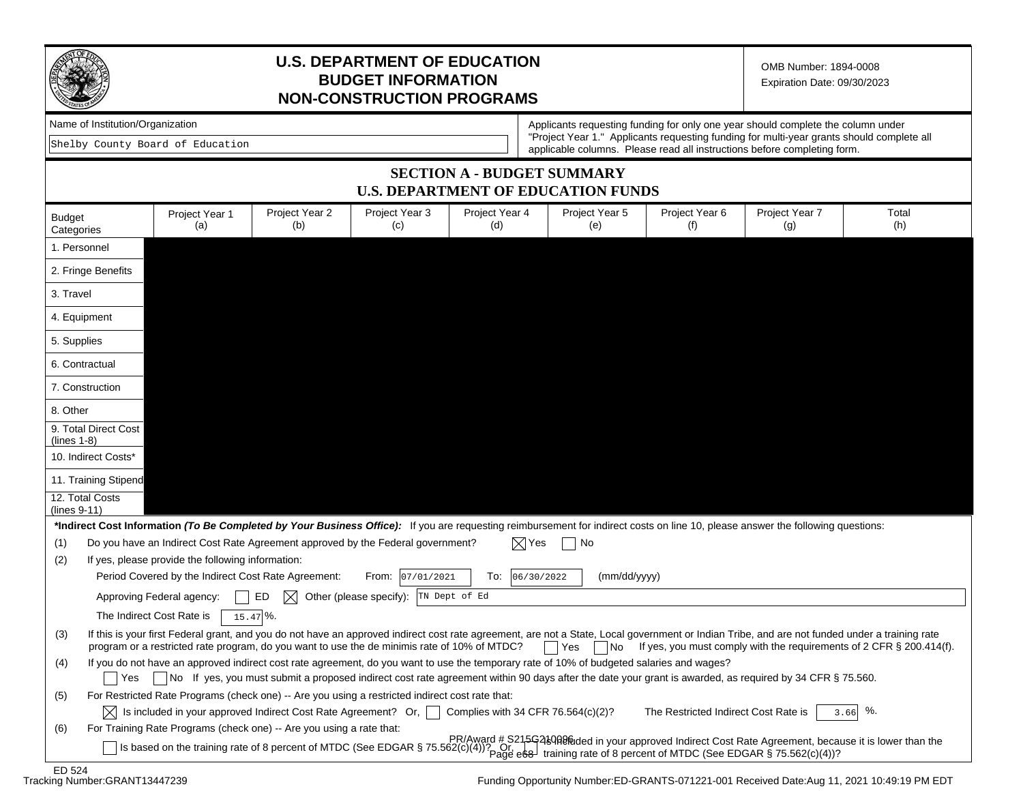

### **U.S. DEPARTMENT OF EDUCATION BUDGET INFORMATION NON-CONSTRUCTION PROGRAMS**

OMB Number: 1894-0008 Expiration Date: 09/30/2023

| Name of Institution/Organization |  |
|----------------------------------|--|
|----------------------------------|--|

Shelby County Board of Education

Applicants requesting funding for only one year should complete the column under "Project Year 1." Applicants requesting funding for multi-year grants should complete all applicable columns. Please read all instructions before completing form.

#### **SECTION A - BUDGET SUMMARY U.S. DEPARTMENT OF EDUCATION FUNDS**

| <b>Budget</b><br>Categories           | Project Year 1<br>(a)                                                                                                                                                                                                                                                                          | Project Year 2<br>(b) | Project Year 3<br>(c)                 | Project Year 4<br>(d)                                                                                                                                   | Project Year 5<br>(e) | Project Year 6<br>(f)                                                                                 | Project Year 7<br>(g) | Total<br>(h)                                                                                           |
|---------------------------------------|------------------------------------------------------------------------------------------------------------------------------------------------------------------------------------------------------------------------------------------------------------------------------------------------|-----------------------|---------------------------------------|---------------------------------------------------------------------------------------------------------------------------------------------------------|-----------------------|-------------------------------------------------------------------------------------------------------|-----------------------|--------------------------------------------------------------------------------------------------------|
| 1. Personnel                          |                                                                                                                                                                                                                                                                                                |                       |                                       |                                                                                                                                                         |                       |                                                                                                       |                       |                                                                                                        |
| 2. Fringe Benefits                    |                                                                                                                                                                                                                                                                                                |                       |                                       |                                                                                                                                                         |                       |                                                                                                       |                       |                                                                                                        |
| 3. Travel                             |                                                                                                                                                                                                                                                                                                |                       |                                       |                                                                                                                                                         |                       |                                                                                                       |                       |                                                                                                        |
| 4. Equipment                          |                                                                                                                                                                                                                                                                                                |                       |                                       |                                                                                                                                                         |                       |                                                                                                       |                       |                                                                                                        |
| 5. Supplies                           |                                                                                                                                                                                                                                                                                                |                       |                                       |                                                                                                                                                         |                       |                                                                                                       |                       |                                                                                                        |
| 6. Contractual                        |                                                                                                                                                                                                                                                                                                |                       |                                       |                                                                                                                                                         |                       |                                                                                                       |                       |                                                                                                        |
| 7. Construction                       |                                                                                                                                                                                                                                                                                                |                       |                                       |                                                                                                                                                         |                       |                                                                                                       |                       |                                                                                                        |
| 8. Other                              |                                                                                                                                                                                                                                                                                                |                       |                                       |                                                                                                                                                         |                       |                                                                                                       |                       |                                                                                                        |
| 9. Total Direct Cost<br>$(lines 1-8)$ |                                                                                                                                                                                                                                                                                                |                       |                                       |                                                                                                                                                         |                       |                                                                                                       |                       |                                                                                                        |
| 10. Indirect Costs*                   |                                                                                                                                                                                                                                                                                                |                       |                                       |                                                                                                                                                         |                       |                                                                                                       |                       |                                                                                                        |
| 11. Training Stipend                  |                                                                                                                                                                                                                                                                                                |                       |                                       |                                                                                                                                                         |                       |                                                                                                       |                       |                                                                                                        |
| 12. Total Costs<br>(lines 9-11)       |                                                                                                                                                                                                                                                                                                |                       |                                       |                                                                                                                                                         |                       |                                                                                                       |                       |                                                                                                        |
|                                       | *Indirect Cost Information (To Be Completed by Your Business Office): If you are requesting reimbursement for indirect costs on line 10, please answer the following questions:                                                                                                                |                       |                                       |                                                                                                                                                         |                       |                                                                                                       |                       |                                                                                                        |
| (1)                                   | Do you have an Indirect Cost Rate Agreement approved by the Federal government?                                                                                                                                                                                                                |                       |                                       | IXI Yes                                                                                                                                                 | No                    |                                                                                                       |                       |                                                                                                        |
| (2)                                   | If yes, please provide the following information:                                                                                                                                                                                                                                              |                       |                                       |                                                                                                                                                         |                       |                                                                                                       |                       |                                                                                                        |
|                                       | Period Covered by the Indirect Cost Rate Agreement:                                                                                                                                                                                                                                            |                       | From: 07/01/2021                      | To:<br>06/30/2022                                                                                                                                       | (mm/dd/yyyy)          |                                                                                                       |                       |                                                                                                        |
|                                       | Approving Federal agency:                                                                                                                                                                                                                                                                      | ED.<br>$\bowtie$      | Other (please specify): TN Dept of Ed |                                                                                                                                                         |                       |                                                                                                       |                       |                                                                                                        |
|                                       | The Indirect Cost Rate is                                                                                                                                                                                                                                                                      | $15.47\%$ .           |                                       |                                                                                                                                                         |                       |                                                                                                       |                       |                                                                                                        |
| (3)                                   | If this is your first Federal grant, and you do not have an approved indirect cost rate agreement, are not a State, Local government or Indian Tribe, and are not funded under a training rate<br>program or a restricted rate program, do you want to use the de minimis rate of 10% of MTDC? |                       |                                       |                                                                                                                                                         | Yes<br>  No           |                                                                                                       |                       | If yes, you must comply with the requirements of 2 CFR § 200.414(f).                                   |
| (4)                                   | If you do not have an approved indirect cost rate agreement, do you want to use the temporary rate of 10% of budgeted salaries and wages?                                                                                                                                                      |                       |                                       |                                                                                                                                                         |                       |                                                                                                       |                       |                                                                                                        |
| l Yes                                 |                                                                                                                                                                                                                                                                                                |                       |                                       | No If yes, you must submit a proposed indirect cost rate agreement within 90 days after the date your grant is awarded, as required by 34 CFR § 75.560. |                       |                                                                                                       |                       |                                                                                                        |
| (5)                                   | For Restricted Rate Programs (check one) -- Are you using a restricted indirect cost rate that:                                                                                                                                                                                                |                       |                                       |                                                                                                                                                         |                       |                                                                                                       |                       |                                                                                                        |
|                                       | $\vert\chi\vert$ is included in your approved Indirect Cost Rate Agreement? Or, $\vert\vert$ Complies with 34 CFR 76.564(c)(2)?                                                                                                                                                                |                       |                                       |                                                                                                                                                         |                       | The Restricted Indirect Cost Rate is                                                                  |                       | $3.66$ %.                                                                                              |
| (6)                                   | For Training Rate Programs (check one) -- Are you using a rate that:                                                                                                                                                                                                                           |                       |                                       |                                                                                                                                                         |                       |                                                                                                       |                       | PR/Award # S215G219Refeded in your approved Indirect Cost Rate Agreement, because it is lower than the |
|                                       | Is based on the training rate of 8 percent of MTDC (See EDGAR $\S$ 75.562(c)(4))?                                                                                                                                                                                                              |                       |                                       |                                                                                                                                                         |                       | Page e68 <sup><math>\perp</math></sup> training rate of 8 percent of MTDC (See EDGAR § 75.562(c)(4))? |                       |                                                                                                        |
| FD 524                                |                                                                                                                                                                                                                                                                                                |                       |                                       |                                                                                                                                                         |                       |                                                                                                       |                       |                                                                                                        |

Funding Opportunity Number:ED-GRANTS-071221-001 Received Date:Aug 11, 2021 10:49:19 PM EDT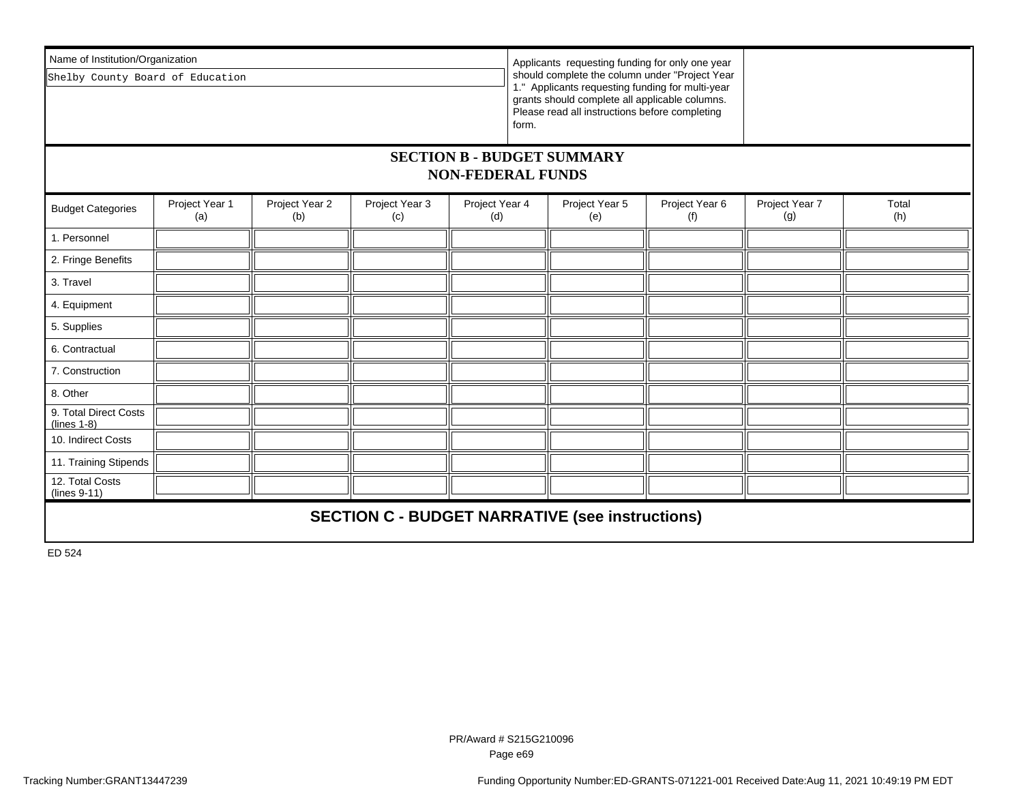| Name of Institution/Organization                              |                       |                       |                                                        |                       | Applicants requesting funding for only one year |                                                                                                    |                       |                       |              |  |
|---------------------------------------------------------------|-----------------------|-----------------------|--------------------------------------------------------|-----------------------|-------------------------------------------------|----------------------------------------------------------------------------------------------------|-----------------------|-----------------------|--------------|--|
| Shelby County Board of Education                              |                       |                       |                                                        |                       |                                                 | should complete the column under "Project Year<br>1." Applicants requesting funding for multi-year |                       |                       |              |  |
|                                                               |                       |                       |                                                        |                       | form.                                           | grants should complete all applicable columns.<br>Please read all instructions before completing   |                       |                       |              |  |
| <b>SECTION B - BUDGET SUMMARY</b><br><b>NON-FEDERAL FUNDS</b> |                       |                       |                                                        |                       |                                                 |                                                                                                    |                       |                       |              |  |
| <b>Budget Categories</b>                                      | Project Year 1<br>(a) | Project Year 2<br>(b) | Project Year 3<br>(c)                                  | Project Year 4<br>(d) |                                                 | Project Year 5<br>(e)                                                                              | Project Year 6<br>(f) | Project Year 7<br>(g) | Total<br>(h) |  |
| 1. Personnel                                                  |                       |                       |                                                        |                       |                                                 |                                                                                                    |                       |                       |              |  |
| 2. Fringe Benefits                                            |                       |                       |                                                        |                       |                                                 |                                                                                                    |                       |                       |              |  |
| 3. Travel                                                     |                       |                       |                                                        |                       |                                                 |                                                                                                    |                       |                       |              |  |
| 4. Equipment                                                  |                       |                       |                                                        |                       |                                                 |                                                                                                    |                       |                       |              |  |
| 5. Supplies                                                   |                       |                       |                                                        |                       |                                                 |                                                                                                    |                       |                       |              |  |
| 6. Contractual                                                |                       |                       |                                                        |                       |                                                 |                                                                                                    |                       |                       |              |  |
| 7. Construction                                               |                       |                       |                                                        |                       |                                                 |                                                                                                    |                       |                       |              |  |
| 8. Other                                                      |                       |                       |                                                        |                       |                                                 |                                                                                                    |                       |                       |              |  |
| 9. Total Direct Costs<br>$(lines 1-8)$                        |                       |                       |                                                        |                       |                                                 |                                                                                                    |                       |                       |              |  |
| 10. Indirect Costs                                            |                       |                       |                                                        |                       |                                                 |                                                                                                    |                       |                       |              |  |
| 11. Training Stipends                                         |                       |                       |                                                        |                       |                                                 |                                                                                                    |                       |                       |              |  |
| 12. Total Costs<br>(lines 9-11)                               |                       |                       |                                                        |                       |                                                 |                                                                                                    |                       |                       |              |  |
|                                                               |                       |                       | <b>SECTION C - BUDGET NARRATIVE (see instructions)</b> |                       |                                                 |                                                                                                    |                       |                       |              |  |

ED 524